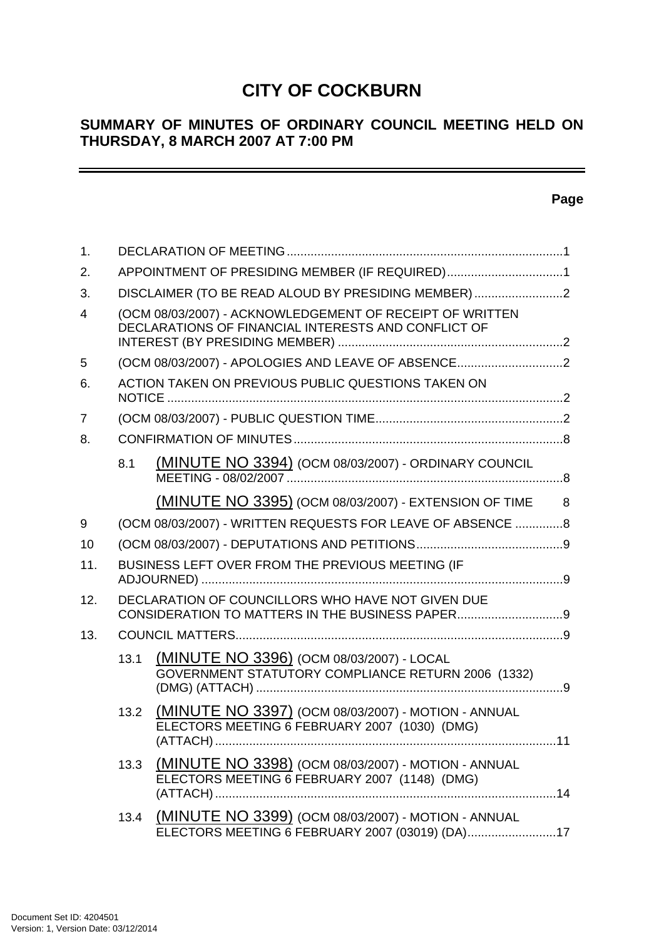# **CITY OF COCKBURN**

# **SUMMARY OF MINUTES OF ORDINARY COUNCIL MEETING HELD ON THURSDAY, 8 MARCH 2007 AT 7:00 PM**

# **Page**

| 1.  |                                                                                                                 |                                                                                                        |     |
|-----|-----------------------------------------------------------------------------------------------------------------|--------------------------------------------------------------------------------------------------------|-----|
| 2.  | APPOINTMENT OF PRESIDING MEMBER (IF REQUIRED)1                                                                  |                                                                                                        |     |
| 3.  | DISCLAIMER (TO BE READ ALOUD BY PRESIDING MEMBER) 2                                                             |                                                                                                        |     |
| 4   | (OCM 08/03/2007) - ACKNOWLEDGEMENT OF RECEIPT OF WRITTEN<br>DECLARATIONS OF FINANCIAL INTERESTS AND CONFLICT OF |                                                                                                        |     |
| 5   |                                                                                                                 | (OCM 08/03/2007) - APOLOGIES AND LEAVE OF ABSENCE2                                                     |     |
| 6.  | ACTION TAKEN ON PREVIOUS PUBLIC QUESTIONS TAKEN ON                                                              |                                                                                                        |     |
| 7   |                                                                                                                 |                                                                                                        |     |
| 8.  |                                                                                                                 |                                                                                                        |     |
|     | 8.1                                                                                                             | (MINUTE NO 3394) (OCM 08/03/2007) - ORDINARY COUNCIL                                                   |     |
|     |                                                                                                                 | (MINUTE NO 3395) (OCM 08/03/2007) - EXTENSION OF TIME 8                                                |     |
| 9   |                                                                                                                 | (OCM 08/03/2007) - WRITTEN REQUESTS FOR LEAVE OF ABSENCE 8                                             |     |
| 10  |                                                                                                                 |                                                                                                        |     |
| 11. | BUSINESS LEFT OVER FROM THE PREVIOUS MEETING (IF                                                                |                                                                                                        |     |
| 12. | DECLARATION OF COUNCILLORS WHO HAVE NOT GIVEN DUE                                                               |                                                                                                        |     |
| 13. |                                                                                                                 |                                                                                                        |     |
|     | 13.1                                                                                                            | (MINUTE NO 3396) (OCM 08/03/2007) - LOCAL<br>GOVERNMENT STATUTORY COMPLIANCE RETURN 2006 (1332)        |     |
|     | 13.2                                                                                                            | (MINUTE NO 3397) (OCM 08/03/2007) - MOTION - ANNUAL<br>ELECTORS MEETING 6 FEBRUARY 2007 (1030) (DMG)   | .11 |
|     | 13.3                                                                                                            | (MINUTE NO 3398) (OCM 08/03/2007) - MOTION - ANNUAL<br>ELECTORS MEETING 6 FEBRUARY 2007 (1148) (DMG)   |     |
|     | 13.4                                                                                                            | (MINUTE NO 3399) (OCM 08/03/2007) - MOTION - ANNUAL<br>ELECTORS MEETING 6 FEBRUARY 2007 (03019) (DA)17 |     |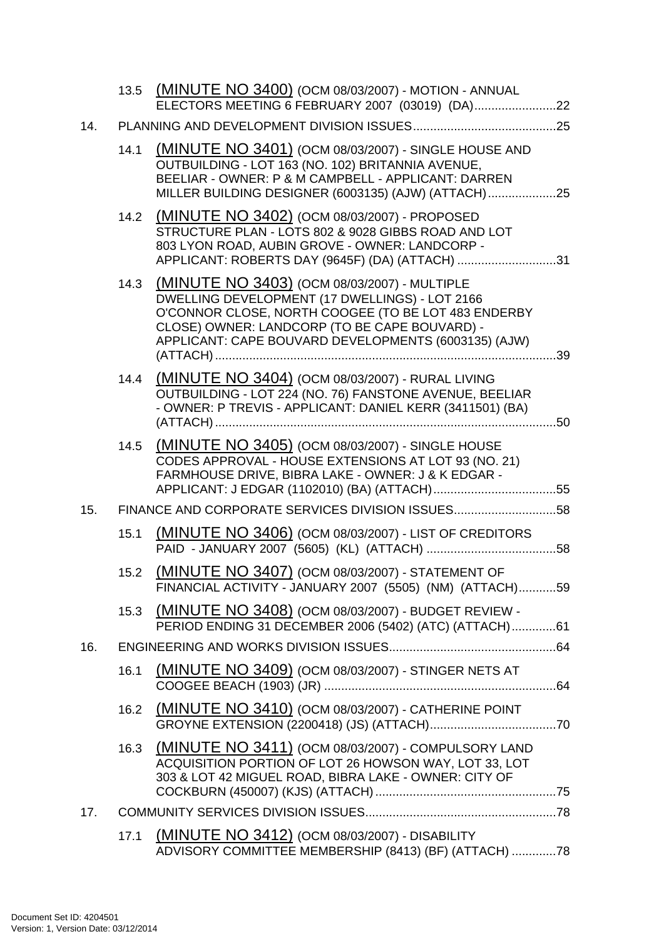|     |      | 13.5 (MINUTE NO 3400) (OCM 08/03/2007) - MOTION - ANNUAL<br>ELECTORS MEETING 6 FEBRUARY 2007 (03019) (DA)22                                                                                                                                                    |  |
|-----|------|----------------------------------------------------------------------------------------------------------------------------------------------------------------------------------------------------------------------------------------------------------------|--|
| 14. |      |                                                                                                                                                                                                                                                                |  |
|     | 14.1 | (MINUTE NO 3401) (OCM 08/03/2007) - SINGLE HOUSE AND<br>OUTBUILDING - LOT 163 (NO. 102) BRITANNIA AVENUE,<br>BEELIAR - OWNER: P & M CAMPBELL - APPLICANT: DARREN<br>MILLER BUILDING DESIGNER (6003135) (AJW) (ATTACH)25                                        |  |
|     | 14.2 | (MINUTE NO 3402) (OCM 08/03/2007) - PROPOSED<br>STRUCTURE PLAN - LOTS 802 & 9028 GIBBS ROAD AND LOT<br>803 LYON ROAD, AUBIN GROVE - OWNER: LANDCORP -<br>APPLICANT: ROBERTS DAY (9645F) (DA) (ATTACH) 31                                                       |  |
|     | 14.3 | (MINUTE NO 3403) (OCM 08/03/2007) - MULTIPLE<br>DWELLING DEVELOPMENT (17 DWELLINGS) - LOT 2166<br>O'CONNOR CLOSE, NORTH COOGEE (TO BE LOT 483 ENDERBY<br>CLOSE) OWNER: LANDCORP (TO BE CAPE BOUVARD) -<br>APPLICANT: CAPE BOUVARD DEVELOPMENTS (6003135) (AJW) |  |
|     | 14.4 | (MINUTE NO 3404) (OCM 08/03/2007) - RURAL LIVING<br>OUTBUILDING - LOT 224 (NO. 76) FANSTONE AVENUE, BEELIAR<br>- OWNER: P TREVIS - APPLICANT: DANIEL KERR (3411501) (BA)                                                                                       |  |
|     | 14.5 | (MINUTE NO 3405) (OCM 08/03/2007) - SINGLE HOUSE<br>CODES APPROVAL - HOUSE EXTENSIONS AT LOT 93 (NO. 21)<br>FARMHOUSE DRIVE, BIBRA LAKE - OWNER: J & K EDGAR -                                                                                                 |  |
| 15. |      | FINANCE AND CORPORATE SERVICES DIVISION ISSUES58                                                                                                                                                                                                               |  |
|     | 15.1 | (MINUTE NO 3406) (OCM 08/03/2007) - LIST OF CREDITORS                                                                                                                                                                                                          |  |
|     | 15.2 | <b>(MINUTE NO 3407)</b> (OCM 08/03/2007) - STATEMENT OF<br>FINANCIAL ACTIVITY - JANUARY 2007 (5505) (NM) (ATTACH)59                                                                                                                                            |  |
|     | 15.3 | (MINUTE NO 3408) (OCM 08/03/2007) - BUDGET REVIEW -<br>PERIOD ENDING 31 DECEMBER 2006 (5402) (ATC) (ATTACH)61                                                                                                                                                  |  |
| 16. |      |                                                                                                                                                                                                                                                                |  |
|     | 16.1 | (MINUTE NO 3409) (OCM 08/03/2007) - STINGER NETS AT                                                                                                                                                                                                            |  |
|     | 16.2 | (MINUTE NO 3410) (OCM 08/03/2007) - CATHERINE POINT                                                                                                                                                                                                            |  |
|     | 16.3 | (MINUTE NO 3411) (OCM 08/03/2007) - COMPULSORY LAND<br>ACQUISITION PORTION OF LOT 26 HOWSON WAY, LOT 33, LOT<br>303 & LOT 42 MIGUEL ROAD, BIBRA LAKE - OWNER: CITY OF                                                                                          |  |
| 17. |      |                                                                                                                                                                                                                                                                |  |
|     | 17.1 | (MINUTE NO 3412) (OCM 08/03/2007) - DISABILITY<br>ADVISORY COMMITTEE MEMBERSHIP (8413) (BF) (ATTACH) 78                                                                                                                                                        |  |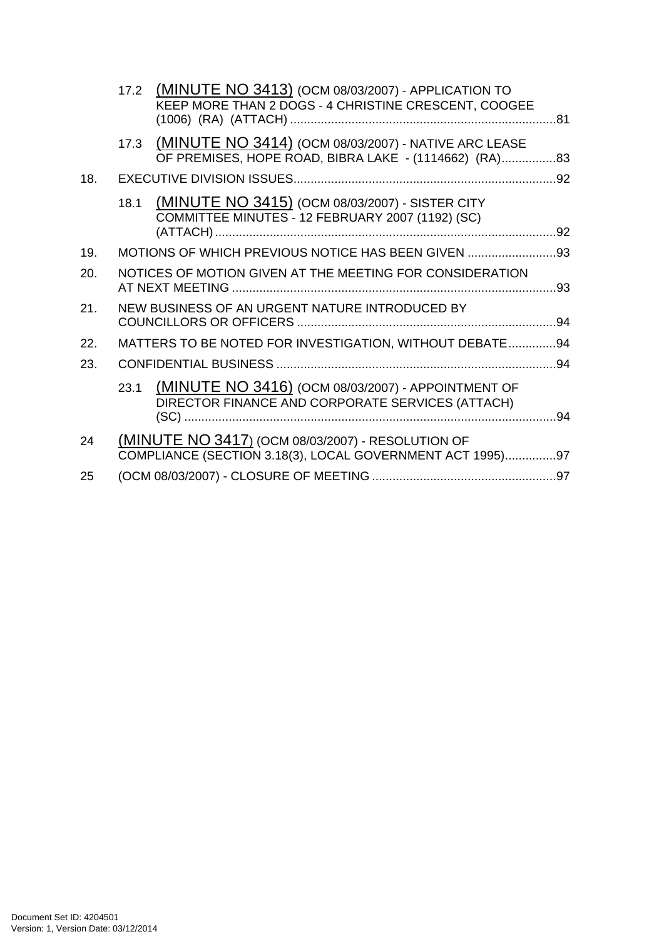|     |      | 17.2 (MINUTE NO 3413) (OCM 08/03/2007) - APPLICATION TO<br>KEEP MORE THAN 2 DOGS - 4 CHRISTINE CRESCENT, COOGEE    |  |
|-----|------|--------------------------------------------------------------------------------------------------------------------|--|
|     |      | 17.3 (MINUTE NO 3414) (OCM 08/03/2007) - NATIVE ARC LEASE<br>OF PREMISES, HOPE ROAD, BIBRA LAKE - (1114662) (RA)83 |  |
| 18. |      |                                                                                                                    |  |
|     | 18.1 | (MINUTE NO 3415) (OCM 08/03/2007) - SISTER CITY<br>COMMITTEE MINUTES - 12 FEBRUARY 2007 (1192) (SC)                |  |
| 19. |      | MOTIONS OF WHICH PREVIOUS NOTICE HAS BEEN GIVEN                                                                    |  |
| 20. |      | NOTICES OF MOTION GIVEN AT THE MEETING FOR CONSIDERATION<br>AT NEXT MEETING ………………………………………………………………………………………93    |  |
| 21. |      | NEW BUSINESS OF AN URGENT NATURE INTRODUCED BY                                                                     |  |
| 22. |      | MATTERS TO BE NOTED FOR INVESTIGATION, WITHOUT DEBATE94                                                            |  |
| 23. |      |                                                                                                                    |  |
|     | 23.1 | (MINUTE NO 3416) (OCM 08/03/2007) - APPOINTMENT OF<br>DIRECTOR FINANCE AND CORPORATE SERVICES (ATTACH)             |  |
| 24  |      | (MINUTE NO 3417) (OCM 08/03/2007) - RESOLUTION OF<br>COMPLIANCE (SECTION 3.18(3), LOCAL GOVERNMENT ACT 1995)97     |  |
| 25  |      |                                                                                                                    |  |
|     |      |                                                                                                                    |  |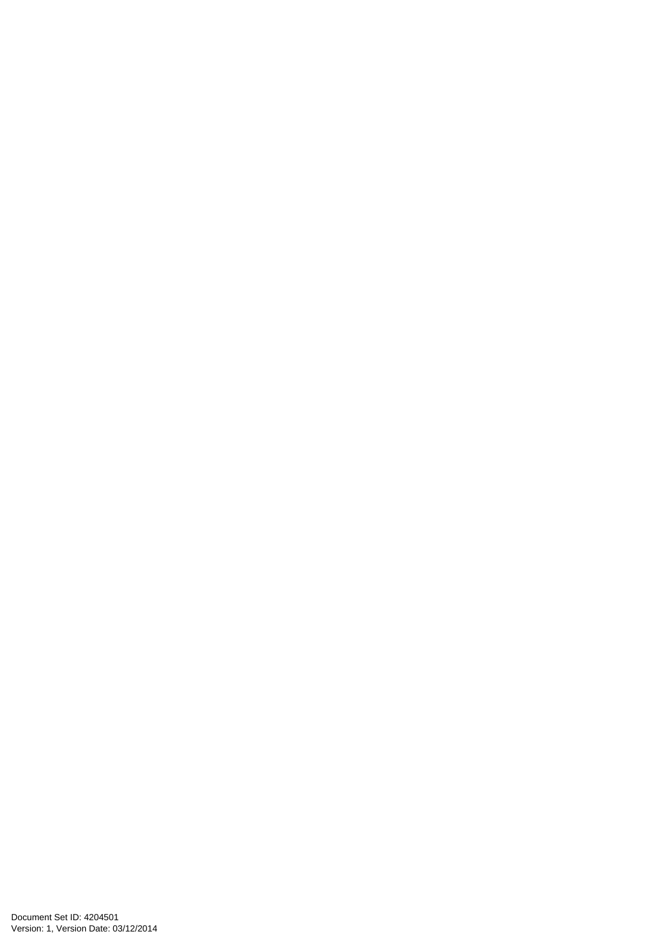Document Set ID: 4204501<br>Version: 1, Version Date: 03/12/2014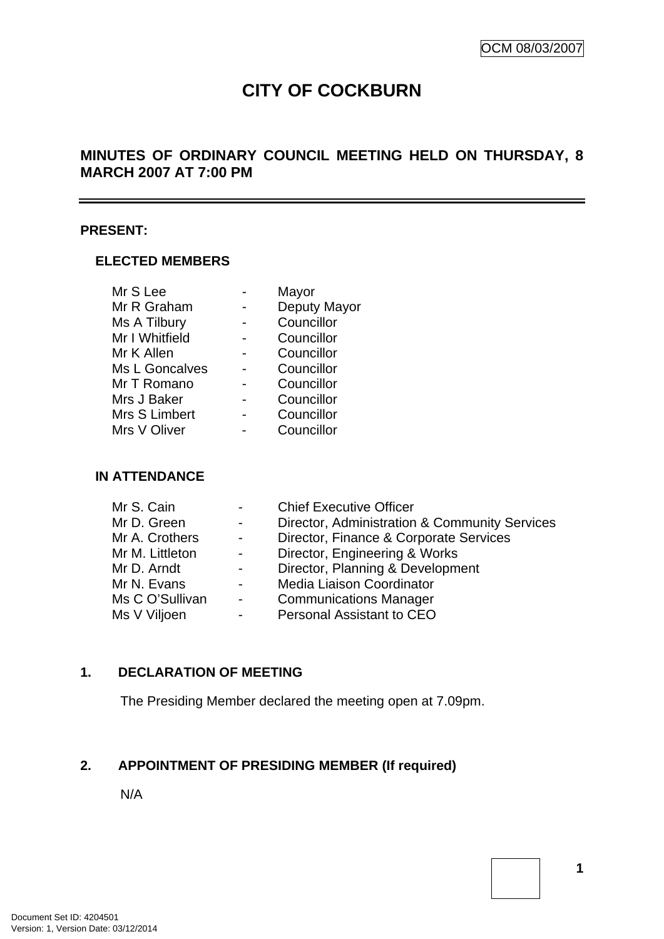# **CITY OF COCKBURN**

# <span id="page-4-0"></span>**MINUTES OF ORDINARY COUNCIL MEETING HELD ON THURSDAY, 8 MARCH 2007 AT 7:00 PM**

## **PRESENT:**

#### **ELECTED MEMBERS**

| Mr S Lee       | Mayor        |
|----------------|--------------|
| Mr R Graham    | Deputy Mayor |
| Ms A Tilbury   | Councillor   |
| Mr I Whitfield | Councillor   |
| Mr K Allen     | Councillor   |
| Ms L Goncalves | Councillor   |
| Mr T Romano    | Councillor   |
| Mrs J Baker    | Councillor   |
| Mrs S Limbert  | Councillor   |
| Mrs V Oliver   | Councillor   |

## **IN ATTENDANCE**

| Mr S. Cain      | $\sim 100$                   | <b>Chief Executive Officer</b>                |
|-----------------|------------------------------|-----------------------------------------------|
| Mr D. Green     | $\sim 100$                   | Director, Administration & Community Services |
| Mr A. Crothers  | $\sim 100$                   | Director, Finance & Corporate Services        |
| Mr M. Littleton | $\sim$ $-$                   | Director, Engineering & Works                 |
| Mr D. Arndt     | $\sim$ 100 $\mu$             | Director, Planning & Development              |
| Mr N. Evans     | $\sim 100$                   | Media Liaison Coordinator                     |
| Ms C O'Sullivan | $\sim 100$                   | <b>Communications Manager</b>                 |
| Ms V Viljoen    | $\qquad \qquad \blacksquare$ | <b>Personal Assistant to CEO</b>              |
|                 |                              |                                               |

# **1. DECLARATION OF MEETING**

The Presiding Member declared the meeting open at 7.09pm.

# **2. APPOINTMENT OF PRESIDING MEMBER (If required)**

N/A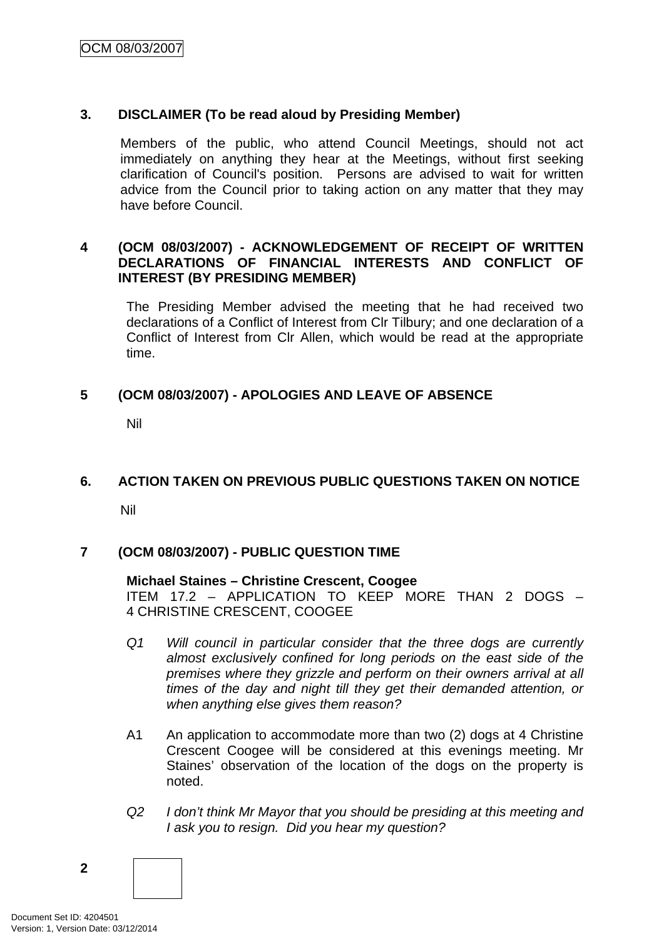## <span id="page-5-0"></span>**3. DISCLAIMER (To be read aloud by Presiding Member)**

Members of the public, who attend Council Meetings, should not act immediately on anything they hear at the Meetings, without first seeking clarification of Council's position. Persons are advised to wait for written advice from the Council prior to taking action on any matter that they may have before Council.

## **4 (OCM 08/03/2007) - ACKNOWLEDGEMENT OF RECEIPT OF WRITTEN DECLARATIONS OF FINANCIAL INTERESTS AND CONFLICT OF INTEREST (BY PRESIDING MEMBER)**

The Presiding Member advised the meeting that he had received two declarations of a Conflict of Interest from Clr Tilbury; and one declaration of a Conflict of Interest from Clr Allen, which would be read at the appropriate time.

## **5 (OCM 08/03/2007) - APOLOGIES AND LEAVE OF ABSENCE**

Nil

## **6. ACTION TAKEN ON PREVIOUS PUBLIC QUESTIONS TAKEN ON NOTICE**

Nil

## **7 (OCM 08/03/2007) - PUBLIC QUESTION TIME**

## **Michael Staines – Christine Crescent, Coogee**

ITEM 17.2 – APPLICATION TO KEEP MORE THAN 2 DOGS – 4 CHRISTINE CRESCENT, COOGEE

- *Q1 Will council in particular consider that the three dogs are currently almost exclusively confined for long periods on the east side of the premises where they grizzle and perform on their owners arrival at all times of the day and night till they get their demanded attention, or when anything else gives them reason?*
- A1 An application to accommodate more than two (2) dogs at 4 Christine Crescent Coogee will be considered at this evenings meeting. Mr Staines' observation of the location of the dogs on the property is noted.
- *Q2 I don't think Mr Mayor that you should be presiding at this meeting and I ask you to resign. Did you hear my question?*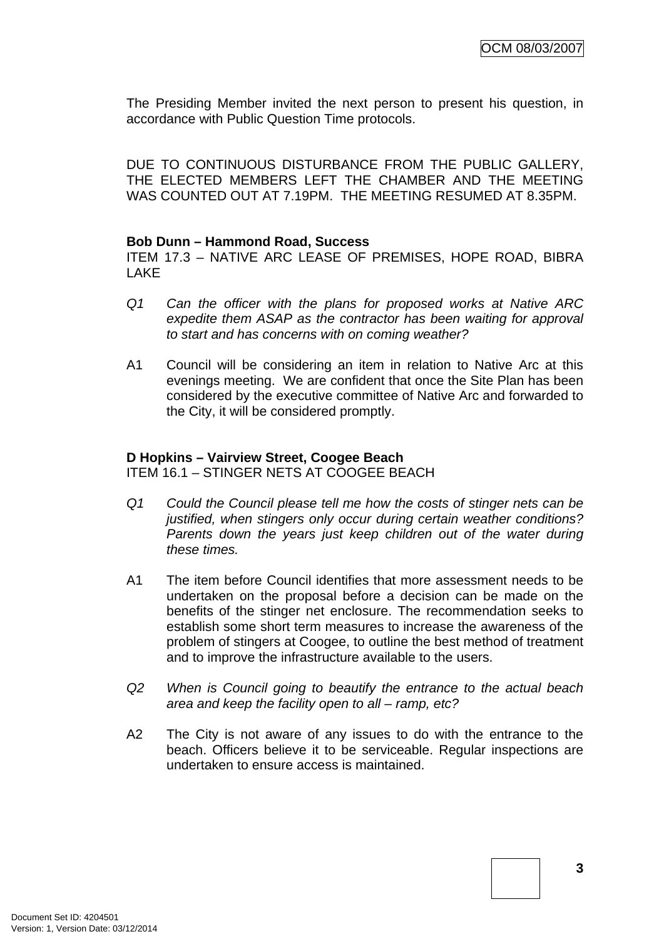The Presiding Member invited the next person to present his question, in accordance with Public Question Time protocols.

DUE TO CONTINUOUS DISTURBANCE FROM THE PUBLIC GALLERY, THE ELECTED MEMBERS LEFT THE CHAMBER AND THE MEETING WAS COUNTED OUT AT 7.19PM. THE MEETING RESUMED AT 8.35PM.

#### **Bob Dunn – Hammond Road, Success**

ITEM 17.3 – NATIVE ARC LEASE OF PREMISES, HOPE ROAD, BIBRA LAKE

- *Q1 Can the officer with the plans for proposed works at Native ARC expedite them ASAP as the contractor has been waiting for approval to start and has concerns with on coming weather?*
- A1 Council will be considering an item in relation to Native Arc at this evenings meeting. We are confident that once the Site Plan has been considered by the executive committee of Native Arc and forwarded to the City, it will be considered promptly.

## **D Hopkins – Vairview Street, Coogee Beach**

ITEM 16.1 – STINGER NETS AT COOGEE BEACH

- *Q1 Could the Council please tell me how the costs of stinger nets can be justified, when stingers only occur during certain weather conditions? Parents down the years just keep children out of the water during these times.*
- A1 The item before Council identifies that more assessment needs to be undertaken on the proposal before a decision can be made on the benefits of the stinger net enclosure. The recommendation seeks to establish some short term measures to increase the awareness of the problem of stingers at Coogee, to outline the best method of treatment and to improve the infrastructure available to the users.
- *Q2 When is Council going to beautify the entrance to the actual beach area and keep the facility open to all – ramp, etc?*
- A2 The City is not aware of any issues to do with the entrance to the beach. Officers believe it to be serviceable. Regular inspections are undertaken to ensure access is maintained.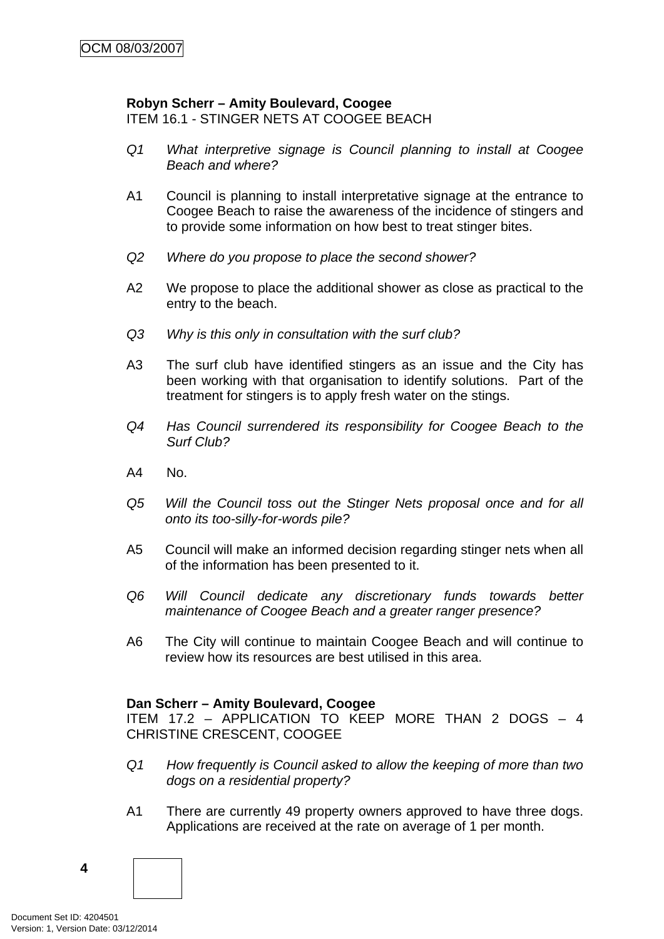## **Robyn Scherr – Amity Boulevard, Coogee**

ITEM 16.1 - STINGER NETS AT COOGEE BEACH

- *Q1 What interpretive signage is Council planning to install at Coogee Beach and where?*
- A1 Council is planning to install interpretative signage at the entrance to Coogee Beach to raise the awareness of the incidence of stingers and to provide some information on how best to treat stinger bites.
- *Q2 Where do you propose to place the second shower?*
- A2 We propose to place the additional shower as close as practical to the entry to the beach.
- *Q3 Why is this only in consultation with the surf club?*
- A3 The surf club have identified stingers as an issue and the City has been working with that organisation to identify solutions. Part of the treatment for stingers is to apply fresh water on the stings.
- *Q4 Has Council surrendered its responsibility for Coogee Beach to the Surf Club?*
- A4 No.
- *Q5 Will the Council toss out the Stinger Nets proposal once and for all onto its too-silly-for-words pile?*
- A5 Council will make an informed decision regarding stinger nets when all of the information has been presented to it.
- *Q6 Will Council dedicate any discretionary funds towards better maintenance of Coogee Beach and a greater ranger presence?*
- A6 The City will continue to maintain Coogee Beach and will continue to review how its resources are best utilised in this area.

## **Dan Scherr – Amity Boulevard, Coogee**

ITEM 17.2 – APPLICATION TO KEEP MORE THAN 2 DOGS – 4 CHRISTINE CRESCENT, COOGEE

- *Q1 How frequently is Council asked to allow the keeping of more than two dogs on a residential property?*
- A1 There are currently 49 property owners approved to have three dogs. Applications are received at the rate on average of 1 per month.

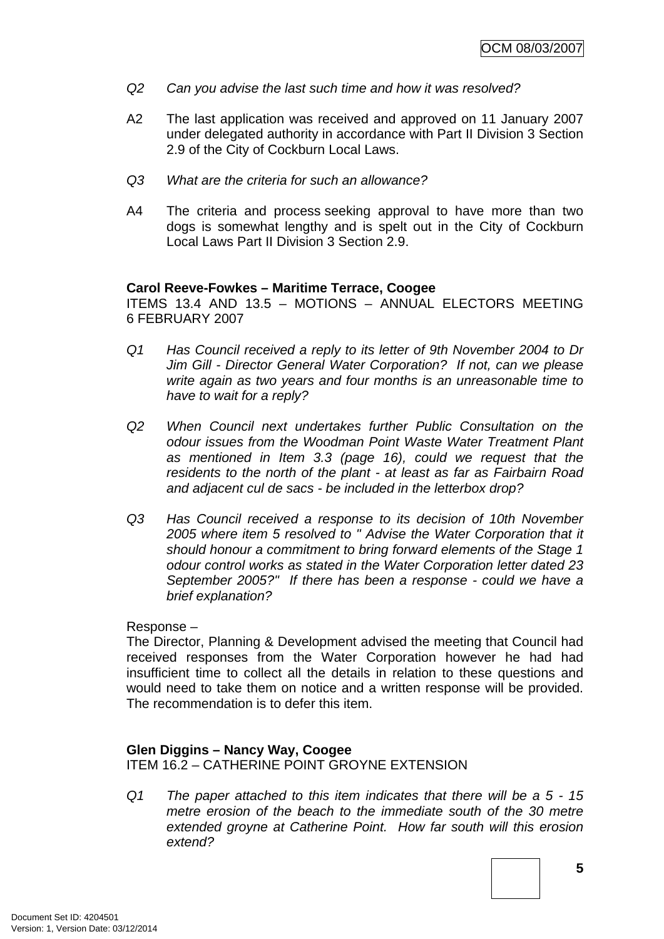- *Q2 Can you advise the last such time and how it was resolved?*
- A2 The last application was received and approved on 11 January 2007 under delegated authority in accordance with Part II Division 3 Section 2.9 of the City of Cockburn Local Laws.
- *Q3 What are the criteria for such an allowance?*
- A4 The criteria and process seeking approval to have more than two dogs is somewhat lengthy and is spelt out in the City of Cockburn Local Laws Part II Division 3 Section 2.9.

## **Carol Reeve-Fowkes – Maritime Terrace, Coogee**

ITEMS 13.4 AND 13.5 – MOTIONS – ANNUAL ELECTORS MEETING 6 FEBRUARY 2007

- *Q1 Has Council received a reply to its letter of 9th November 2004 to Dr Jim Gill - Director General Water Corporation? If not, can we please write again as two years and four months is an unreasonable time to have to wait for a reply?*
- *Q2 When Council next undertakes further Public Consultation on the odour issues from the Woodman Point Waste Water Treatment Plant as mentioned in Item 3.3 (page 16), could we request that the residents to the north of the plant - at least as far as Fairbairn Road and adjacent cul de sacs - be included in the letterbox drop?*
- *Q3 Has Council received a response to its decision of 10th November 2005 where item 5 resolved to " Advise the Water Corporation that it should honour a commitment to bring forward elements of the Stage 1 odour control works as stated in the Water Corporation letter dated 23 September 2005?" If there has been a response - could we have a brief explanation?*

#### Response –

The Director, Planning & Development advised the meeting that Council had received responses from the Water Corporation however he had had insufficient time to collect all the details in relation to these questions and would need to take them on notice and a written response will be provided. The recommendation is to defer this item.

#### **Glen Diggins – Nancy Way, Coogee**

ITEM 16.2 – CATHERINE POINT GROYNE EXTENSION

*Q1 The paper attached to this item indicates that there will be a 5 - 15 metre erosion of the beach to the immediate south of the 30 metre extended groyne at Catherine Point. How far south will this erosion extend?*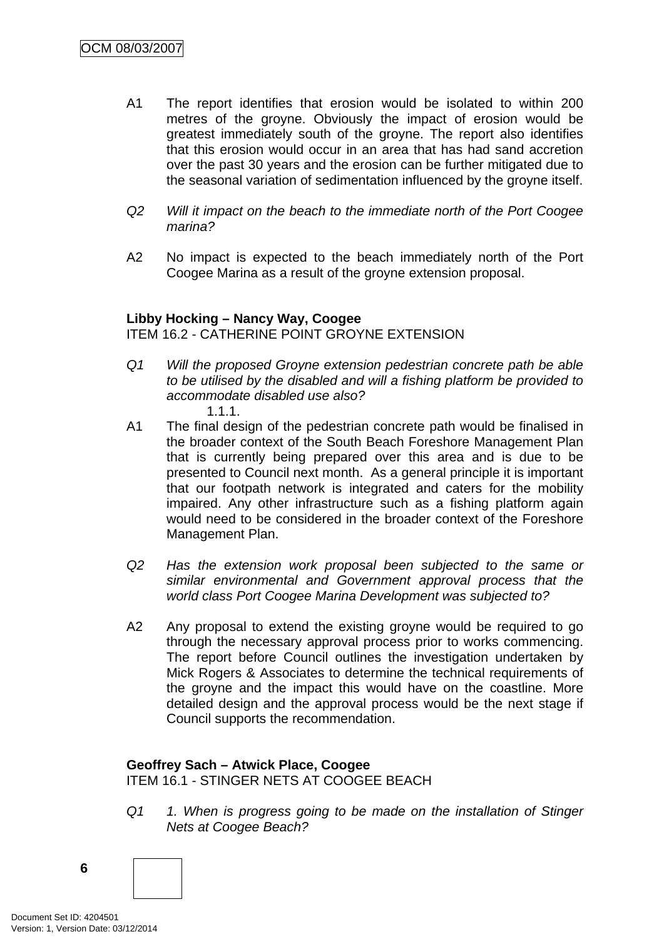- A1 The report identifies that erosion would be isolated to within 200 metres of the groyne. Obviously the impact of erosion would be greatest immediately south of the groyne. The report also identifies that this erosion would occur in an area that has had sand accretion over the past 30 years and the erosion can be further mitigated due to the seasonal variation of sedimentation influenced by the groyne itself.
- *Q2 Will it impact on the beach to the immediate north of the Port Coogee marina?*
- A2 No impact is expected to the beach immediately north of the Port Coogee Marina as a result of the groyne extension proposal.

## **Libby Hocking – Nancy Way, Coogee**

ITEM 16.2 - CATHERINE POINT GROYNE EXTENSION

- *Q1 Will the proposed Groyne extension pedestrian concrete path be able to be utilised by the disabled and will a fishing platform be provided to accommodate disabled use also?*  1.1.1.
- A1 The final design of the pedestrian concrete path would be finalised in the broader context of the South Beach Foreshore Management Plan that is currently being prepared over this area and is due to be presented to Council next month. As a general principle it is important that our footpath network is integrated and caters for the mobility impaired. Any other infrastructure such as a fishing platform again would need to be considered in the broader context of the Foreshore Management Plan.
- *Q2 Has the extension work proposal been subjected to the same or similar environmental and Government approval process that the world class Port Coogee Marina Development was subjected to?*
- A2 Any proposal to extend the existing groyne would be required to go through the necessary approval process prior to works commencing. The report before Council outlines the investigation undertaken by Mick Rogers & Associates to determine the technical requirements of the groyne and the impact this would have on the coastline. More detailed design and the approval process would be the next stage if Council supports the recommendation.

## **Geoffrey Sach – Atwick Place, Coogee**

ITEM 16.1 - STINGER NETS AT COOGEE BEACH

*Q1 1. When is progress going to be made on the installation of Stinger Nets at Coogee Beach?* 

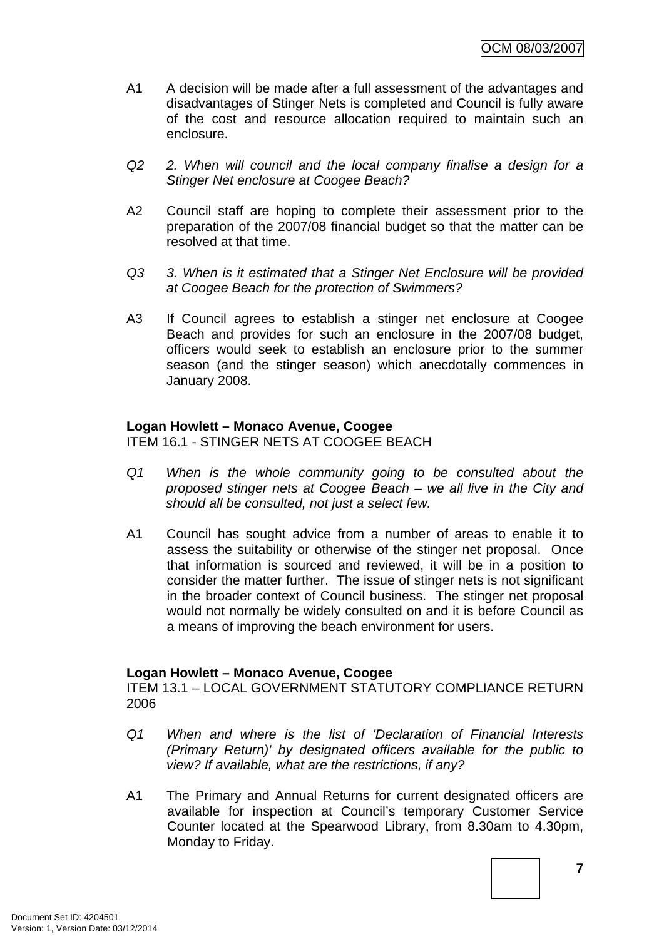- A1 A decision will be made after a full assessment of the advantages and disadvantages of Stinger Nets is completed and Council is fully aware of the cost and resource allocation required to maintain such an enclosure.
- *Q2 2. When will council and the local company finalise a design for a Stinger Net enclosure at Coogee Beach?*
- A2 Council staff are hoping to complete their assessment prior to the preparation of the 2007/08 financial budget so that the matter can be resolved at that time.
- *Q3 3. When is it estimated that a Stinger Net Enclosure will be provided at Coogee Beach for the protection of Swimmers?*
- A3 If Council agrees to establish a stinger net enclosure at Coogee Beach and provides for such an enclosure in the 2007/08 budget, officers would seek to establish an enclosure prior to the summer season (and the stinger season) which anecdotally commences in January 2008.

#### **Logan Howlett – Monaco Avenue, Coogee**

ITEM 16.1 - STINGER NETS AT COOGEE BEACH

- *Q1 When is the whole community going to be consulted about the proposed stinger nets at Coogee Beach – we all live in the City and should all be consulted, not just a select few.*
- A1 Council has sought advice from a number of areas to enable it to assess the suitability or otherwise of the stinger net proposal. Once that information is sourced and reviewed, it will be in a position to consider the matter further. The issue of stinger nets is not significant in the broader context of Council business. The stinger net proposal would not normally be widely consulted on and it is before Council as a means of improving the beach environment for users.

## **Logan Howlett – Monaco Avenue, Coogee**

ITEM 13.1 – LOCAL GOVERNMENT STATUTORY COMPLIANCE RETURN 2006

- *Q1 When and where is the list of 'Declaration of Financial Interests (Primary Return)' by designated officers available for the public to view? If available, what are the restrictions, if any?*
- A1 The Primary and Annual Returns for current designated officers are available for inspection at Council's temporary Customer Service Counter located at the Spearwood Library, from 8.30am to 4.30pm, Monday to Friday.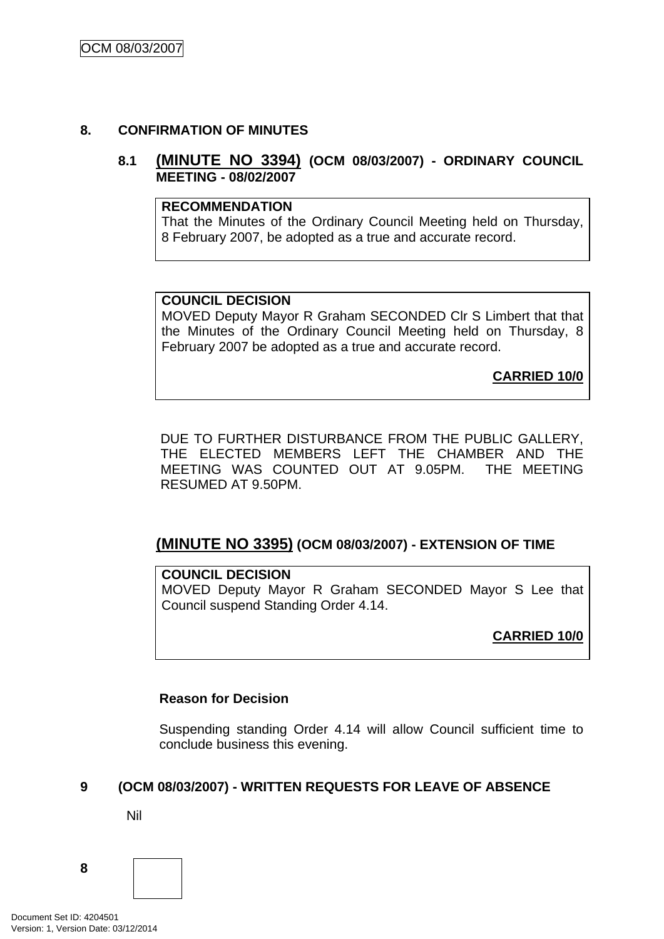#### <span id="page-11-0"></span>**8. CONFIRMATION OF MINUTES**

#### **8.1 (MINUTE NO 3394) (OCM 08/03/2007) - ORDINARY COUNCIL MEETING - 08/02/2007**

#### **RECOMMENDATION**

That the Minutes of the Ordinary Council Meeting held on Thursday, 8 February 2007, be adopted as a true and accurate record.

## **COUNCIL DECISION**

MOVED Deputy Mayor R Graham SECONDED Clr S Limbert that that the Minutes of the Ordinary Council Meeting held on Thursday, 8 February 2007 be adopted as a true and accurate record.

**CARRIED 10/0**

DUE TO FURTHER DISTURBANCE FROM THE PUBLIC GALLERY, THE ELECTED MEMBERS LEFT THE CHAMBER AND THE MEETING WAS COUNTED OUT AT 9.05PM. THE MEETING RESUMED AT 9.50PM.

## **(MINUTE NO 3395) (OCM 08/03/2007) - EXTENSION OF TIME**

#### **COUNCIL DECISION**

MOVED Deputy Mayor R Graham SECONDED Mayor S Lee that Council suspend Standing Order 4.14.

## **CARRIED 10/0**

## **Reason for Decision**

Suspending standing Order 4.14 will allow Council sufficient time to conclude business this evening.

## **9 (OCM 08/03/2007) - WRITTEN REQUESTS FOR LEAVE OF ABSENCE**

Nil

**8**

Document Set ID: 4204501<br>Version: 1, Version Date: 03/12/2014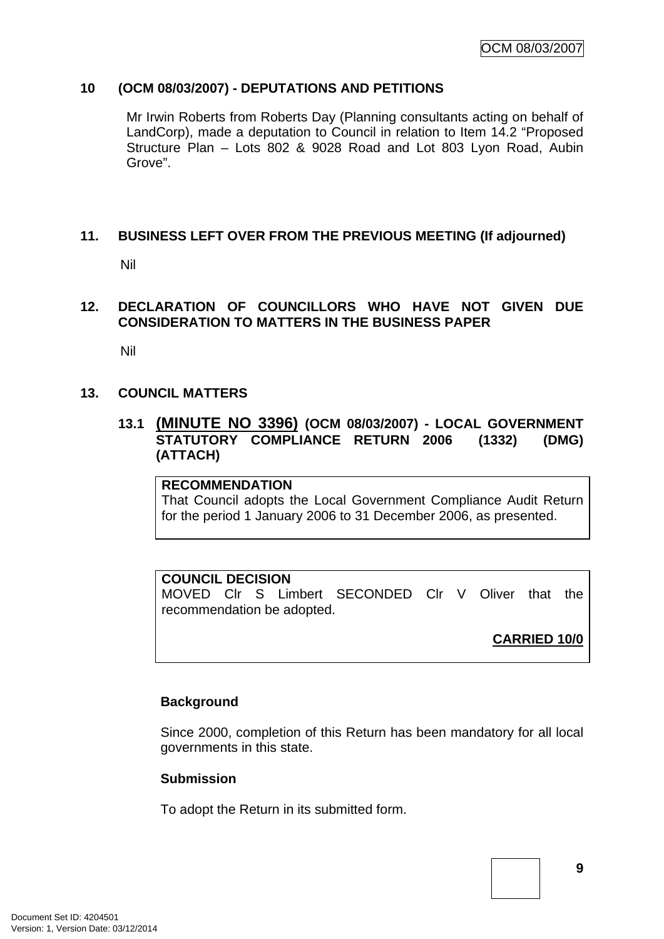## <span id="page-12-0"></span>**10 (OCM 08/03/2007) - DEPUTATIONS AND PETITIONS**

Mr Irwin Roberts from Roberts Day (Planning consultants acting on behalf of LandCorp), made a deputation to Council in relation to Item 14.2 "Proposed Structure Plan – Lots 802 & 9028 Road and Lot 803 Lyon Road, Aubin Grove".

## **11. BUSINESS LEFT OVER FROM THE PREVIOUS MEETING (If adjourned)**

Nil

## **12. DECLARATION OF COUNCILLORS WHO HAVE NOT GIVEN DUE CONSIDERATION TO MATTERS IN THE BUSINESS PAPER**

Nil

## **13. COUNCIL MATTERS**

## **13.1 (MINUTE NO 3396) (OCM 08/03/2007) - LOCAL GOVERNMENT STATUTORY COMPLIANCE RETURN 2006 (1332) (DMG) (ATTACH)**

#### **RECOMMENDATION**

That Council adopts the Local Government Compliance Audit Return for the period 1 January 2006 to 31 December 2006, as presented.

## **COUNCIL DECISION**

MOVED Clr S Limbert SECONDED Clr V Oliver that the recommendation be adopted.

**CARRIED 10/0**

## **Background**

Since 2000, completion of this Return has been mandatory for all local governments in this state.

## **Submission**

To adopt the Return in its submitted form.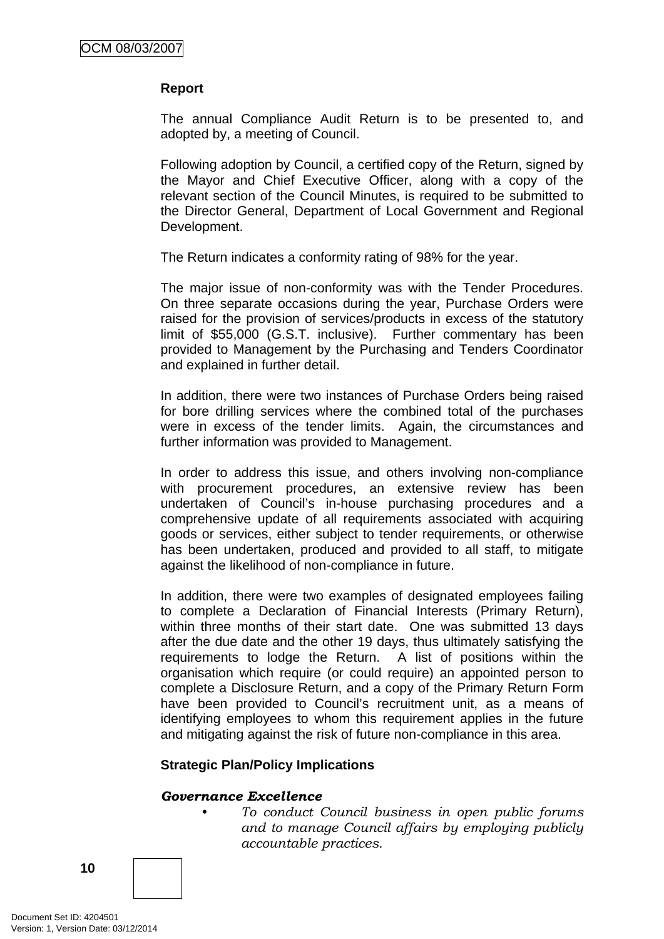## **Report**

The annual Compliance Audit Return is to be presented to, and adopted by, a meeting of Council.

Following adoption by Council, a certified copy of the Return, signed by the Mayor and Chief Executive Officer, along with a copy of the relevant section of the Council Minutes, is required to be submitted to the Director General, Department of Local Government and Regional Development.

The Return indicates a conformity rating of 98% for the year.

The major issue of non-conformity was with the Tender Procedures. On three separate occasions during the year, Purchase Orders were raised for the provision of services/products in excess of the statutory limit of \$55,000 (G.S.T. inclusive). Further commentary has been provided to Management by the Purchasing and Tenders Coordinator and explained in further detail.

In addition, there were two instances of Purchase Orders being raised for bore drilling services where the combined total of the purchases were in excess of the tender limits. Again, the circumstances and further information was provided to Management.

In order to address this issue, and others involving non-compliance with procurement procedures, an extensive review has been undertaken of Council's in-house purchasing procedures and a comprehensive update of all requirements associated with acquiring goods or services, either subject to tender requirements, or otherwise has been undertaken, produced and provided to all staff, to mitigate against the likelihood of non-compliance in future.

In addition, there were two examples of designated employees failing to complete a Declaration of Financial Interests (Primary Return), within three months of their start date. One was submitted 13 days after the due date and the other 19 days, thus ultimately satisfying the requirements to lodge the Return. A list of positions within the organisation which require (or could require) an appointed person to complete a Disclosure Return, and a copy of the Primary Return Form have been provided to Council's recruitment unit, as a means of identifying employees to whom this requirement applies in the future and mitigating against the risk of future non-compliance in this area.

## **Strategic Plan/Policy Implications**

## *Governance Excellence*

*• To conduct Council business in open public forums and to manage Council affairs by employing publicly accountable practices.* 

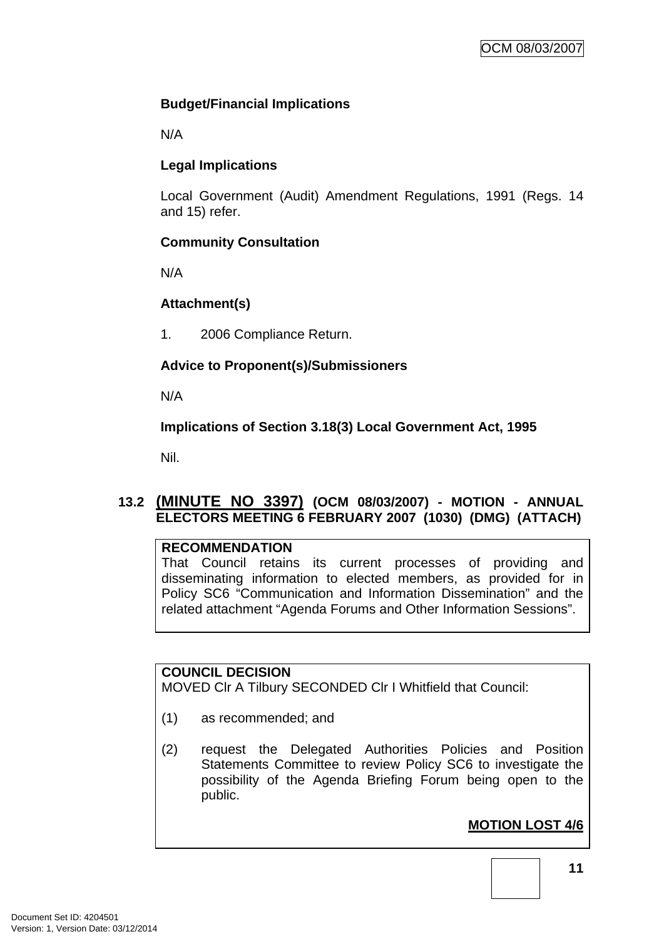# <span id="page-14-0"></span>**Budget/Financial Implications**

N/A

# **Legal Implications**

Local Government (Audit) Amendment Regulations, 1991 (Regs. 14 and 15) refer.

# **Community Consultation**

N/A

# **Attachment(s)**

1. 2006 Compliance Return.

# **Advice to Proponent(s)/Submissioners**

N/A

# **Implications of Section 3.18(3) Local Government Act, 1995**

Nil.

# **13.2 (MINUTE NO 3397) (OCM 08/03/2007) - MOTION - ANNUAL ELECTORS MEETING 6 FEBRUARY 2007 (1030) (DMG) (ATTACH)**

## **RECOMMENDATION**

That Council retains its current processes of providing and disseminating information to elected members, as provided for in Policy SC6 "Communication and Information Dissemination" and the related attachment "Agenda Forums and Other Information Sessions".

## **COUNCIL DECISION**

MOVED Clr A Tilbury SECONDED Clr I Whitfield that Council:

- (1) as recommended; and
- (2) request the Delegated Authorities Policies and Position Statements Committee to review Policy SC6 to investigate the possibility of the Agenda Briefing Forum being open to the public.

# **MOTION LOST 4/6**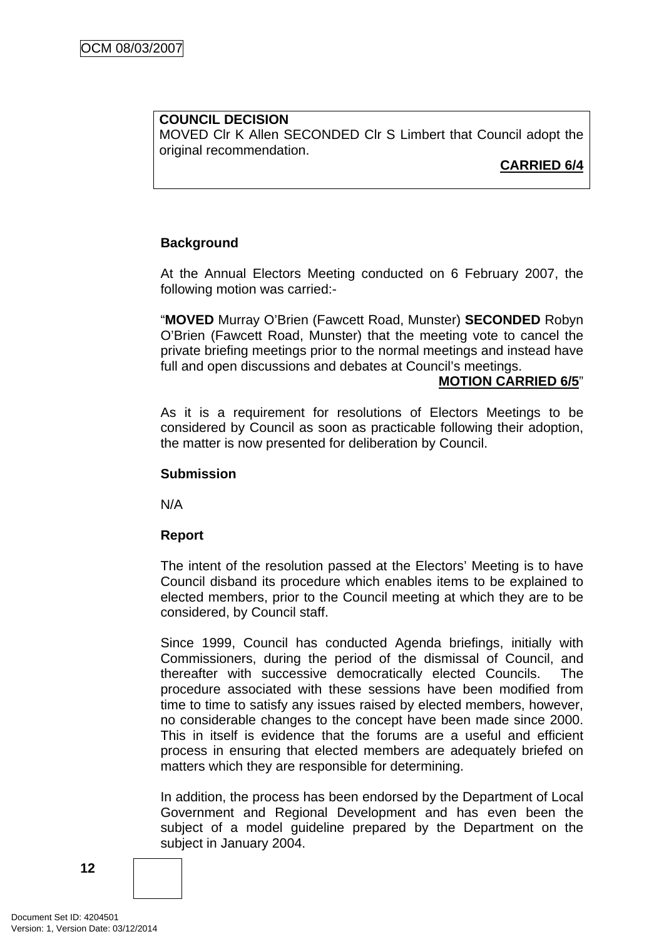## **COUNCIL DECISION**

MOVED Clr K Allen SECONDED Clr S Limbert that Council adopt the original recommendation.

# **CARRIED 6/4**

## **Background**

At the Annual Electors Meeting conducted on 6 February 2007, the following motion was carried:-

"**MOVED** Murray O'Brien (Fawcett Road, Munster) **SECONDED** Robyn O'Brien (Fawcett Road, Munster) that the meeting vote to cancel the private briefing meetings prior to the normal meetings and instead have full and open discussions and debates at Council's meetings.

## **MOTION CARRIED 6/5**"

As it is a requirement for resolutions of Electors Meetings to be considered by Council as soon as practicable following their adoption, the matter is now presented for deliberation by Council.

#### **Submission**

N/A

## **Report**

The intent of the resolution passed at the Electors' Meeting is to have Council disband its procedure which enables items to be explained to elected members, prior to the Council meeting at which they are to be considered, by Council staff.

Since 1999, Council has conducted Agenda briefings, initially with Commissioners, during the period of the dismissal of Council, and thereafter with successive democratically elected Councils. The procedure associated with these sessions have been modified from time to time to satisfy any issues raised by elected members, however, no considerable changes to the concept have been made since 2000. This in itself is evidence that the forums are a useful and efficient process in ensuring that elected members are adequately briefed on matters which they are responsible for determining.

In addition, the process has been endorsed by the Department of Local Government and Regional Development and has even been the subject of a model guideline prepared by the Department on the subject in January 2004.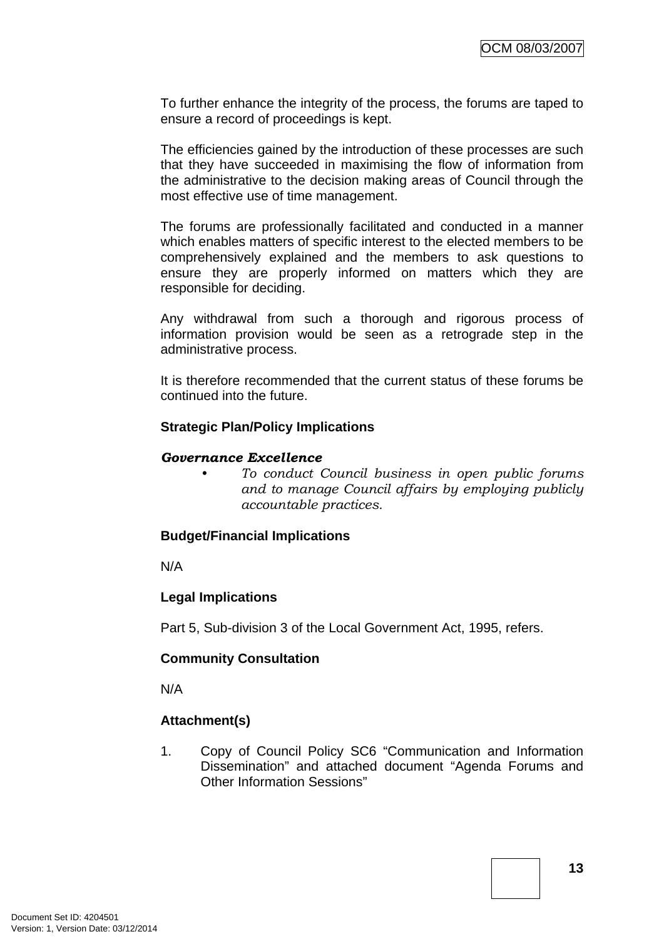To further enhance the integrity of the process, the forums are taped to ensure a record of proceedings is kept.

The efficiencies gained by the introduction of these processes are such that they have succeeded in maximising the flow of information from the administrative to the decision making areas of Council through the most effective use of time management.

The forums are professionally facilitated and conducted in a manner which enables matters of specific interest to the elected members to be comprehensively explained and the members to ask questions to ensure they are properly informed on matters which they are responsible for deciding.

Any withdrawal from such a thorough and rigorous process of information provision would be seen as a retrograde step in the administrative process.

It is therefore recommended that the current status of these forums be continued into the future.

## **Strategic Plan/Policy Implications**

#### *Governance Excellence*

*• To conduct Council business in open public forums and to manage Council affairs by employing publicly accountable practices.* 

## **Budget/Financial Implications**

N/A

## **Legal Implications**

Part 5, Sub-division 3 of the Local Government Act, 1995, refers.

## **Community Consultation**

N/A

## **Attachment(s)**

1. Copy of Council Policy SC6 "Communication and Information Dissemination" and attached document "Agenda Forums and Other Information Sessions"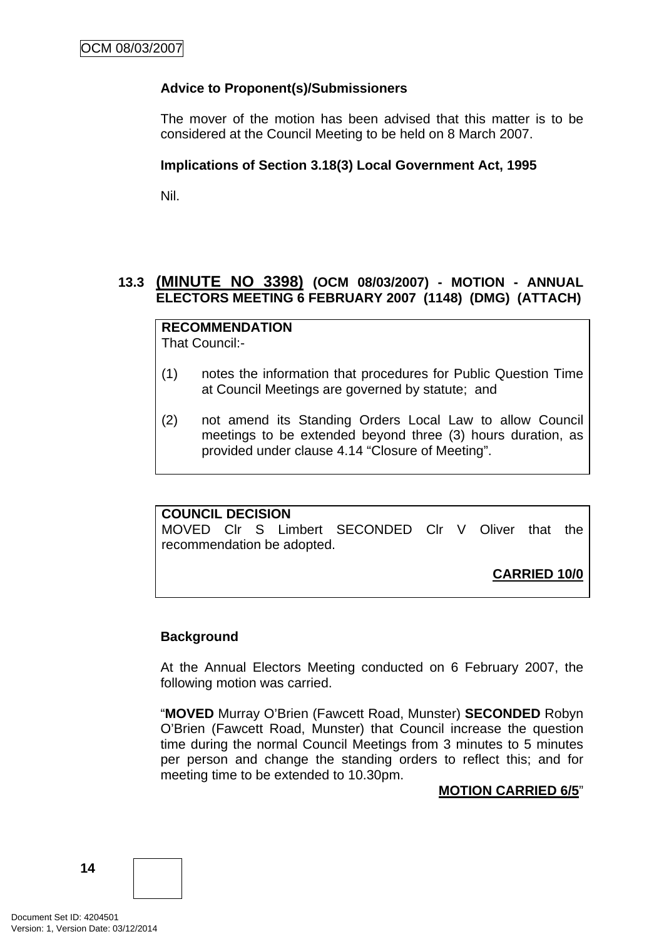## <span id="page-17-0"></span>**Advice to Proponent(s)/Submissioners**

The mover of the motion has been advised that this matter is to be considered at the Council Meeting to be held on 8 March 2007.

## **Implications of Section 3.18(3) Local Government Act, 1995**

Nil.

## **13.3 (MINUTE NO 3398) (OCM 08/03/2007) - MOTION - ANNUAL ELECTORS MEETING 6 FEBRUARY 2007 (1148) (DMG) (ATTACH)**

# **RECOMMENDATION**

That Council:-

- (1) notes the information that procedures for Public Question Time at Council Meetings are governed by statute; and
- (2) not amend its Standing Orders Local Law to allow Council meetings to be extended beyond three (3) hours duration, as provided under clause 4.14 "Closure of Meeting".

# **COUNCIL DECISION**

MOVED Clr S Limbert SECONDED Clr V Oliver that the recommendation be adopted.

**CARRIED 10/0**

## **Background**

At the Annual Electors Meeting conducted on 6 February 2007, the following motion was carried.

"**MOVED** Murray O'Brien (Fawcett Road, Munster) **SECONDED** Robyn O'Brien (Fawcett Road, Munster) that Council increase the question time during the normal Council Meetings from 3 minutes to 5 minutes per person and change the standing orders to reflect this; and for meeting time to be extended to 10.30pm.

**MOTION CARRIED 6/5**"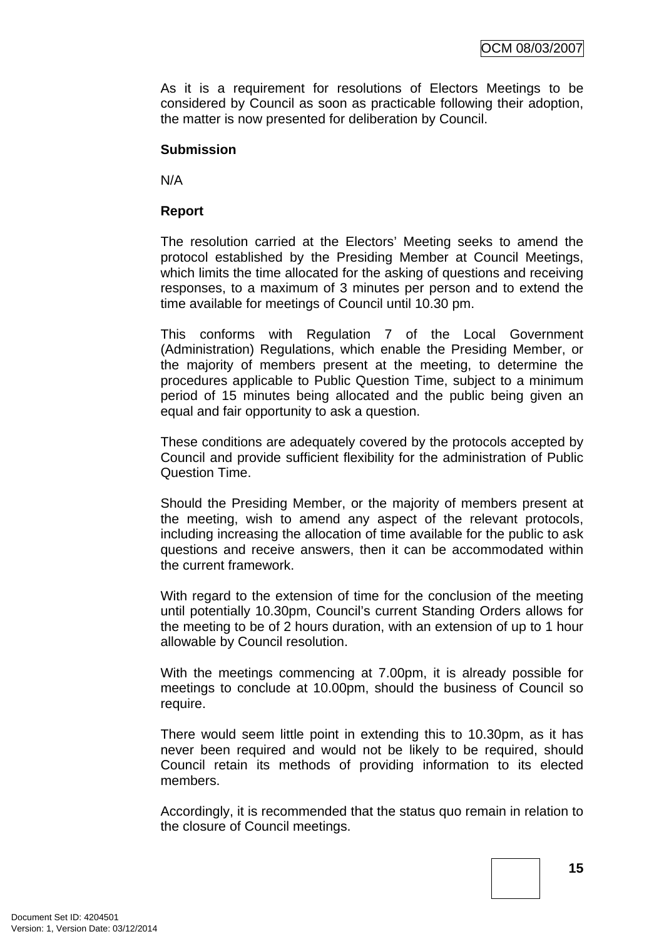As it is a requirement for resolutions of Electors Meetings to be considered by Council as soon as practicable following their adoption, the matter is now presented for deliberation by Council.

#### **Submission**

N/A

#### **Report**

The resolution carried at the Electors' Meeting seeks to amend the protocol established by the Presiding Member at Council Meetings, which limits the time allocated for the asking of questions and receiving responses, to a maximum of 3 minutes per person and to extend the time available for meetings of Council until 10.30 pm.

This conforms with Regulation 7 of the Local Government (Administration) Regulations, which enable the Presiding Member, or the majority of members present at the meeting, to determine the procedures applicable to Public Question Time, subject to a minimum period of 15 minutes being allocated and the public being given an equal and fair opportunity to ask a question.

These conditions are adequately covered by the protocols accepted by Council and provide sufficient flexibility for the administration of Public Question Time.

Should the Presiding Member, or the majority of members present at the meeting, wish to amend any aspect of the relevant protocols, including increasing the allocation of time available for the public to ask questions and receive answers, then it can be accommodated within the current framework.

With regard to the extension of time for the conclusion of the meeting until potentially 10.30pm, Council's current Standing Orders allows for the meeting to be of 2 hours duration, with an extension of up to 1 hour allowable by Council resolution.

With the meetings commencing at 7.00pm, it is already possible for meetings to conclude at 10.00pm, should the business of Council so require.

There would seem little point in extending this to 10.30pm, as it has never been required and would not be likely to be required, should Council retain its methods of providing information to its elected members.

Accordingly, it is recommended that the status quo remain in relation to the closure of Council meetings.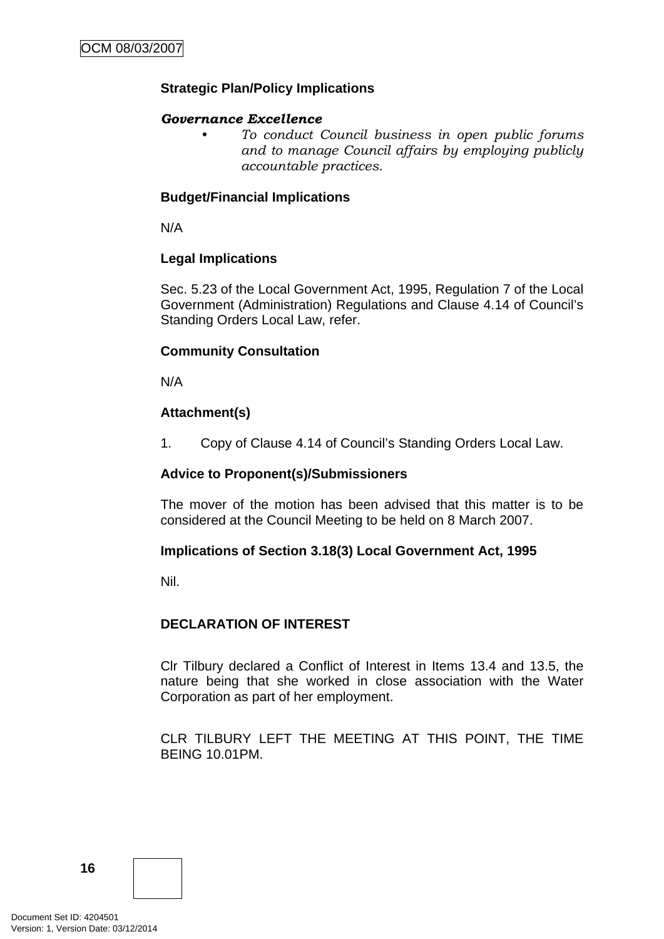## **Strategic Plan/Policy Implications**

#### *Governance Excellence*

*• To conduct Council business in open public forums and to manage Council affairs by employing publicly accountable practices.* 

#### **Budget/Financial Implications**

N/A

#### **Legal Implications**

Sec. 5.23 of the Local Government Act, 1995, Regulation 7 of the Local Government (Administration) Regulations and Clause 4.14 of Council's Standing Orders Local Law, refer.

## **Community Consultation**

N/A

## **Attachment(s)**

1. Copy of Clause 4.14 of Council's Standing Orders Local Law.

## **Advice to Proponent(s)/Submissioners**

The mover of the motion has been advised that this matter is to be considered at the Council Meeting to be held on 8 March 2007.

## **Implications of Section 3.18(3) Local Government Act, 1995**

Nil.

## **DECLARATION OF INTEREST**

Clr Tilbury declared a Conflict of Interest in Items 13.4 and 13.5, the nature being that she worked in close association with the Water Corporation as part of her employment.

CLR TILBURY LEFT THE MEETING AT THIS POINT, THE TIME BEING 10.01PM.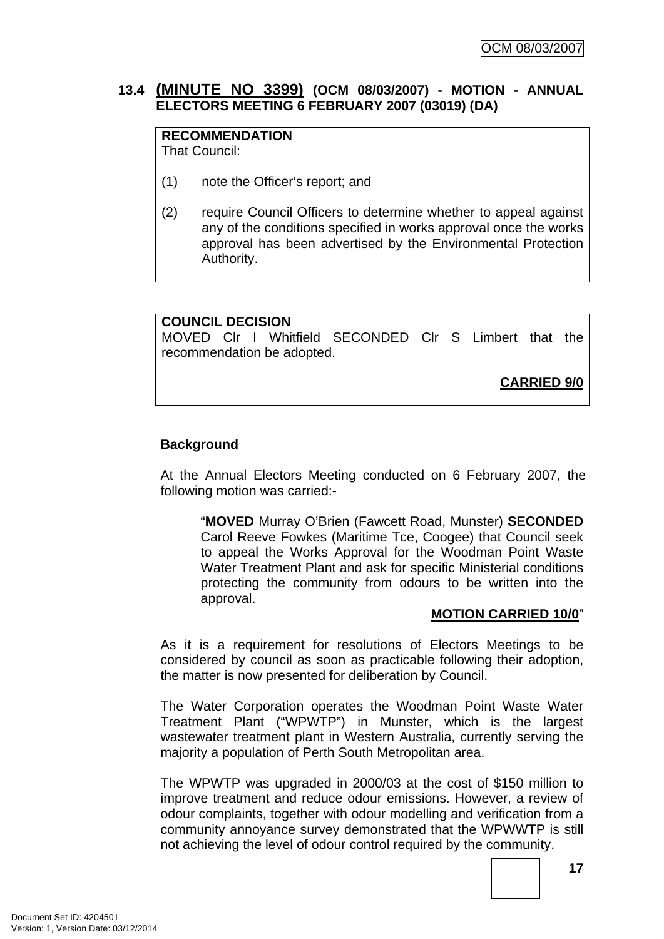## <span id="page-20-0"></span>**13.4 (MINUTE NO 3399) (OCM 08/03/2007) - MOTION - ANNUAL ELECTORS MEETING 6 FEBRUARY 2007 (03019) (DA)**

# **RECOMMENDATION**

That Council:

- (1) note the Officer's report; and
- (2) require Council Officers to determine whether to appeal against any of the conditions specified in works approval once the works approval has been advertised by the Environmental Protection Authority.

## **COUNCIL DECISION**

MOVED Clr I Whitfield SECONDED Clr S Limbert that the recommendation be adopted.

**CARRIED 9/0**

## **Background**

At the Annual Electors Meeting conducted on 6 February 2007, the following motion was carried:-

"**MOVED** Murray O'Brien (Fawcett Road, Munster) **SECONDED**  Carol Reeve Fowkes (Maritime Tce, Coogee) that Council seek to appeal the Works Approval for the Woodman Point Waste Water Treatment Plant and ask for specific Ministerial conditions protecting the community from odours to be written into the approval.

#### **MOTION CARRIED 10/0**"

As it is a requirement for resolutions of Electors Meetings to be considered by council as soon as practicable following their adoption, the matter is now presented for deliberation by Council.

The Water Corporation operates the Woodman Point Waste Water Treatment Plant ("WPWTP") in Munster, which is the largest wastewater treatment plant in Western Australia, currently serving the majority a population of Perth South Metropolitan area.

The WPWTP was upgraded in 2000/03 at the cost of \$150 million to improve treatment and reduce odour emissions. However, a review of odour complaints, together with odour modelling and verification from a community annoyance survey demonstrated that the WPWWTP is still not achieving the level of odour control required by the community.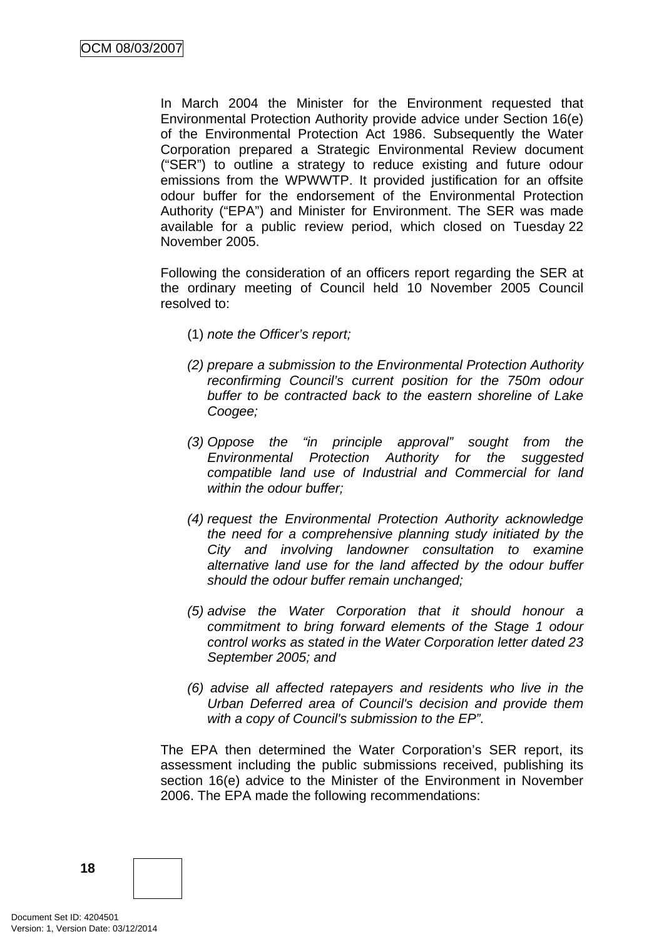In March 2004 the Minister for the Environment requested that Environmental Protection Authority provide advice under Section 16(e) of the Environmental Protection Act 1986. Subsequently the Water Corporation prepared a Strategic Environmental Review document ("SER") to outline a strategy to reduce existing and future odour emissions from the WPWWTP. It provided justification for an offsite odour buffer for the endorsement of the Environmental Protection Authority ("EPA") and Minister for Environment. The SER was made available for a public review period, which closed on Tuesday 22 November 2005.

Following the consideration of an officers report regarding the SER at the ordinary meeting of Council held 10 November 2005 Council resolved to:

- (1) *note the Officer's report;*
- *(2) prepare a submission to the Environmental Protection Authority reconfirming Council's current position for the 750m odour buffer to be contracted back to the eastern shoreline of Lake Coogee;*
- *(3) Oppose the "in principle approval" sought from the Environmental Protection Authority for the suggested compatible land use of Industrial and Commercial for land within the odour buffer;*
- *(4) request the Environmental Protection Authority acknowledge the need for a comprehensive planning study initiated by the City and involving landowner consultation to examine alternative land use for the land affected by the odour buffer should the odour buffer remain unchanged;*
- *(5) advise the Water Corporation that it should honour a commitment to bring forward elements of the Stage 1 odour control works as stated in the Water Corporation letter dated 23 September 2005; and*
- *(6) advise all affected ratepayers and residents who live in the Urban Deferred area of Council's decision and provide them with a copy of Council's submission to the EP".*

The EPA then determined the Water Corporation's SER report, its assessment including the public submissions received, publishing its section 16(e) advice to the Minister of the Environment in November 2006. The EPA made the following recommendations: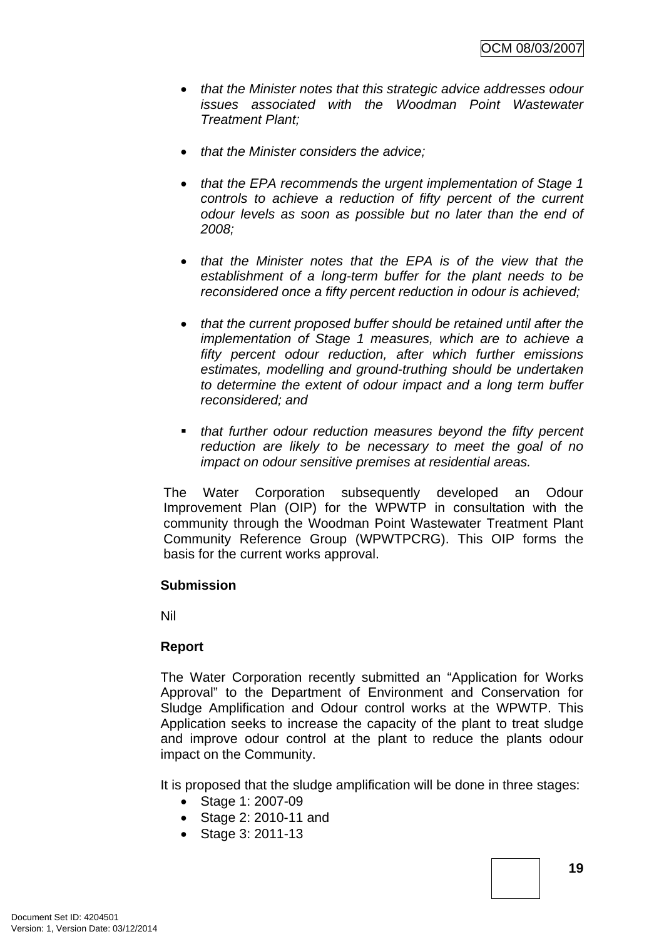- *that the Minister notes that this strategic advice addresses odour issues associated with the Woodman Point Wastewater Treatment Plant;*
- *that the Minister considers the advice;*
- *that the EPA recommends the urgent implementation of Stage 1 controls to achieve a reduction of fifty percent of the current odour levels as soon as possible but no later than the end of 2008;*
- that the Minister notes that the EPA is of the view that the *establishment of a long-term buffer for the plant needs to be reconsidered once a fifty percent reduction in odour is achieved;*
- *that the current proposed buffer should be retained until after the implementation of Stage 1 measures, which are to achieve a fifty percent odour reduction, after which further emissions estimates, modelling and ground-truthing should be undertaken to determine the extent of odour impact and a long term buffer reconsidered; and*
- *that further odour reduction measures beyond the fifty percent reduction are likely to be necessary to meet the goal of no impact on odour sensitive premises at residential areas.*

The Water Corporation subsequently developed an Odour Improvement Plan (OIP) for the WPWTP in consultation with the community through the Woodman Point Wastewater Treatment Plant Community Reference Group (WPWTPCRG). This OIP forms the basis for the current works approval.

## **Submission**

Nil

## **Report**

The Water Corporation recently submitted an "Application for Works Approval" to the Department of Environment and Conservation for Sludge Amplification and Odour control works at the WPWTP. This Application seeks to increase the capacity of the plant to treat sludge and improve odour control at the plant to reduce the plants odour impact on the Community.

It is proposed that the sludge amplification will be done in three stages:

- Stage 1: 2007-09
- Stage 2: 2010-11 and
- Stage 3: 2011-13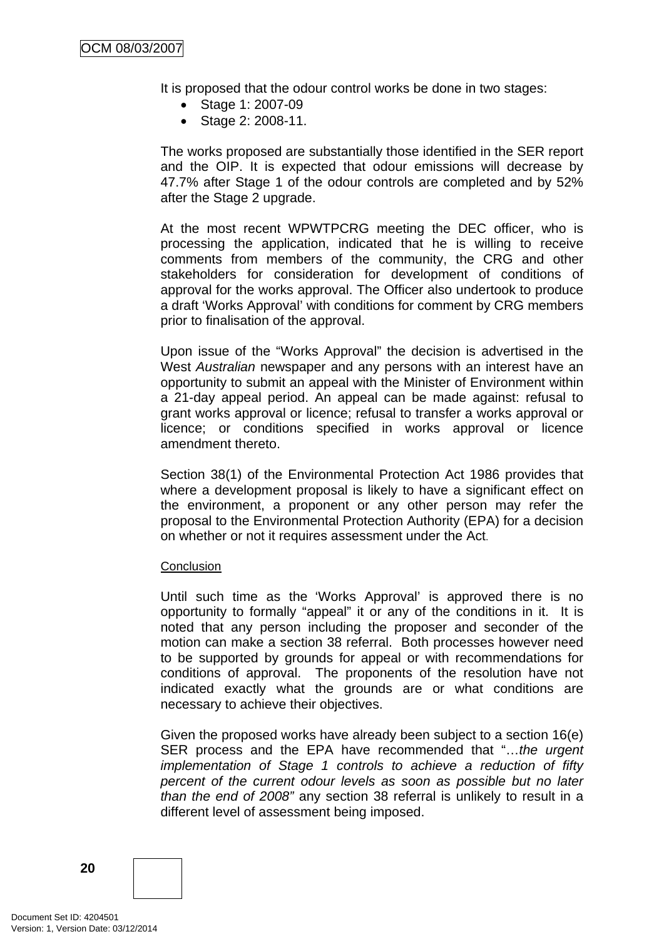It is proposed that the odour control works be done in two stages:

- Stage 1: 2007-09
- Stage 2: 2008-11.

The works proposed are substantially those identified in the SER report and the OIP. It is expected that odour emissions will decrease by 47.7% after Stage 1 of the odour controls are completed and by 52% after the Stage 2 upgrade.

At the most recent WPWTPCRG meeting the DEC officer, who is processing the application, indicated that he is willing to receive comments from members of the community, the CRG and other stakeholders for consideration for development of conditions of approval for the works approval. The Officer also undertook to produce a draft 'Works Approval' with conditions for comment by CRG members prior to finalisation of the approval.

Upon issue of the "Works Approval" the decision is advertised in the West *Australian* newspaper and any persons with an interest have an opportunity to submit an appeal with the Minister of Environment within a 21-day appeal period. An appeal can be made against: refusal to grant works approval or licence; refusal to transfer a works approval or licence; or conditions specified in works approval or licence amendment thereto.

Section 38(1) of the Environmental Protection Act 1986 provides that where a development proposal is likely to have a significant effect on the environment, a proponent or any other person may refer the proposal to the Environmental Protection Authority (EPA) for a decision on whether or not it requires assessment under the Act.

#### Conclusion

Until such time as the 'Works Approval' is approved there is no opportunity to formally "appeal" it or any of the conditions in it. It is noted that any person including the proposer and seconder of the motion can make a section 38 referral. Both processes however need to be supported by grounds for appeal or with recommendations for conditions of approval. The proponents of the resolution have not indicated exactly what the grounds are or what conditions are necessary to achieve their objectives.

Given the proposed works have already been subject to a section 16(e) SER process and the EPA have recommended that "…*the urgent implementation of Stage 1 controls to achieve a reduction of fifty percent of the current odour levels as soon as possible but no later than the end of 2008"* any section 38 referral is unlikely to result in a different level of assessment being imposed.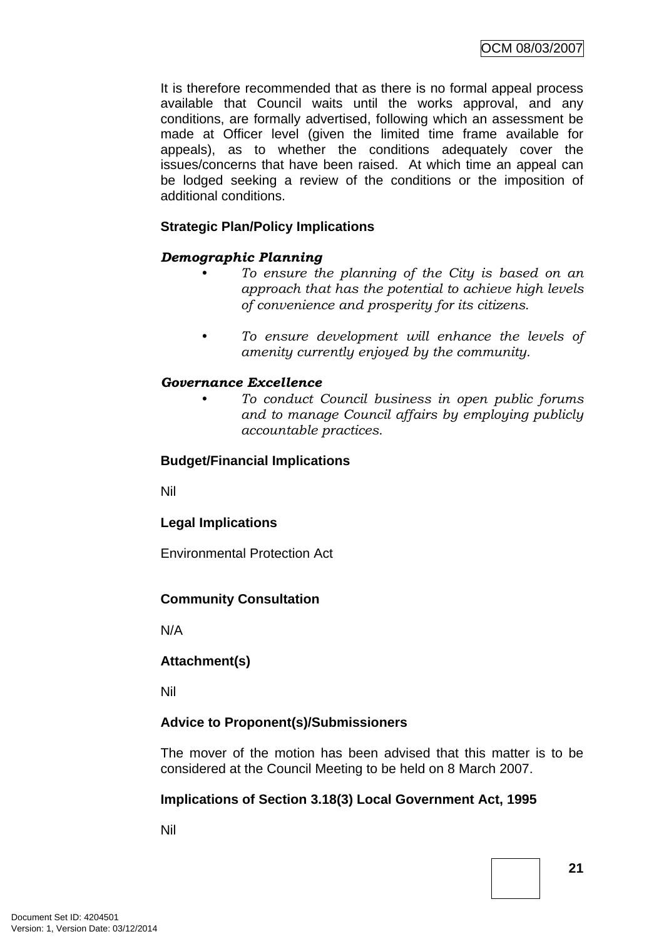It is therefore recommended that as there is no formal appeal process available that Council waits until the works approval, and any conditions, are formally advertised, following which an assessment be made at Officer level (given the limited time frame available for appeals), as to whether the conditions adequately cover the issues/concerns that have been raised. At which time an appeal can be lodged seeking a review of the conditions or the imposition of additional conditions.

## **Strategic Plan/Policy Implications**

## *Demographic Planning*

- *To ensure the planning of the City is based on an approach that has the potential to achieve high levels of convenience and prosperity for its citizens.*
- *To ensure development will enhance the levels of amenity currently enjoyed by the community.*

## *Governance Excellence*

*• To conduct Council business in open public forums and to manage Council affairs by employing publicly accountable practices.* 

## **Budget/Financial Implications**

Nil

## **Legal Implications**

Environmental Protection Act

## **Community Consultation**

N/A

## **Attachment(s)**

Nil

## **Advice to Proponent(s)/Submissioners**

The mover of the motion has been advised that this matter is to be considered at the Council Meeting to be held on 8 March 2007.

## **Implications of Section 3.18(3) Local Government Act, 1995**

Nil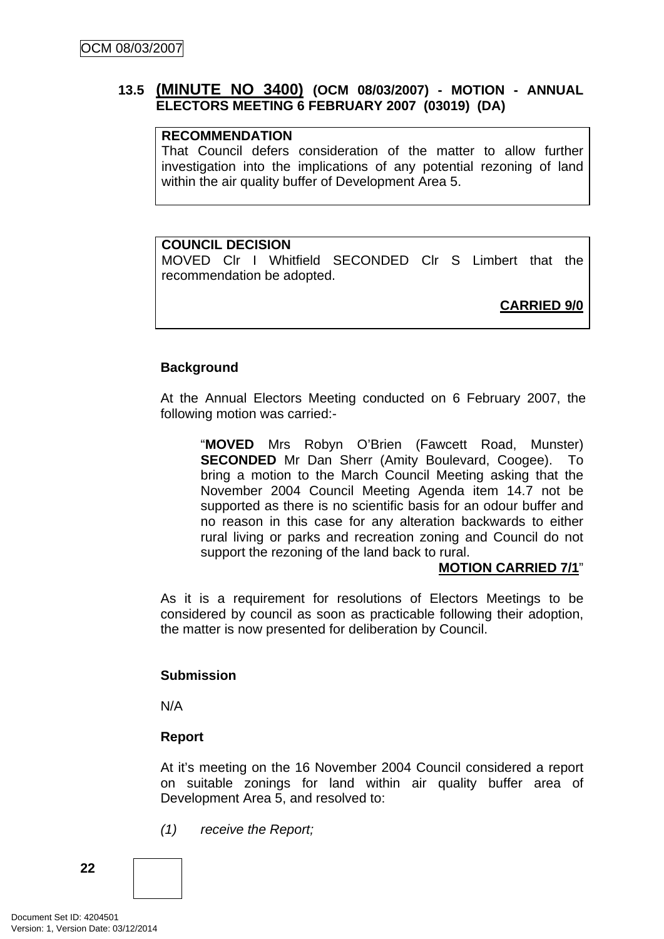## <span id="page-25-0"></span>**13.5 (MINUTE NO 3400) (OCM 08/03/2007) - MOTION - ANNUAL ELECTORS MEETING 6 FEBRUARY 2007 (03019) (DA)**

## **RECOMMENDATION**

That Council defers consideration of the matter to allow further investigation into the implications of any potential rezoning of land within the air quality buffer of Development Area 5.

## **COUNCIL DECISION**

MOVED Clr I Whitfield SECONDED Clr S Limbert that the recommendation be adopted.

**CARRIED 9/0**

## **Background**

At the Annual Electors Meeting conducted on 6 February 2007, the following motion was carried:-

"**MOVED** Mrs Robyn O'Brien (Fawcett Road, Munster) **SECONDED** Mr Dan Sherr (Amity Boulevard, Coogee). To bring a motion to the March Council Meeting asking that the November 2004 Council Meeting Agenda item 14.7 not be supported as there is no scientific basis for an odour buffer and no reason in this case for any alteration backwards to either rural living or parks and recreation zoning and Council do not support the rezoning of the land back to rural.

## **MOTION CARRIED 7/1**"

As it is a requirement for resolutions of Electors Meetings to be considered by council as soon as practicable following their adoption, the matter is now presented for deliberation by Council.

## **Submission**

N/A

## **Report**

At it's meeting on the 16 November 2004 Council considered a report on suitable zonings for land within air quality buffer area of Development Area 5, and resolved to:

*(1) receive the Report;*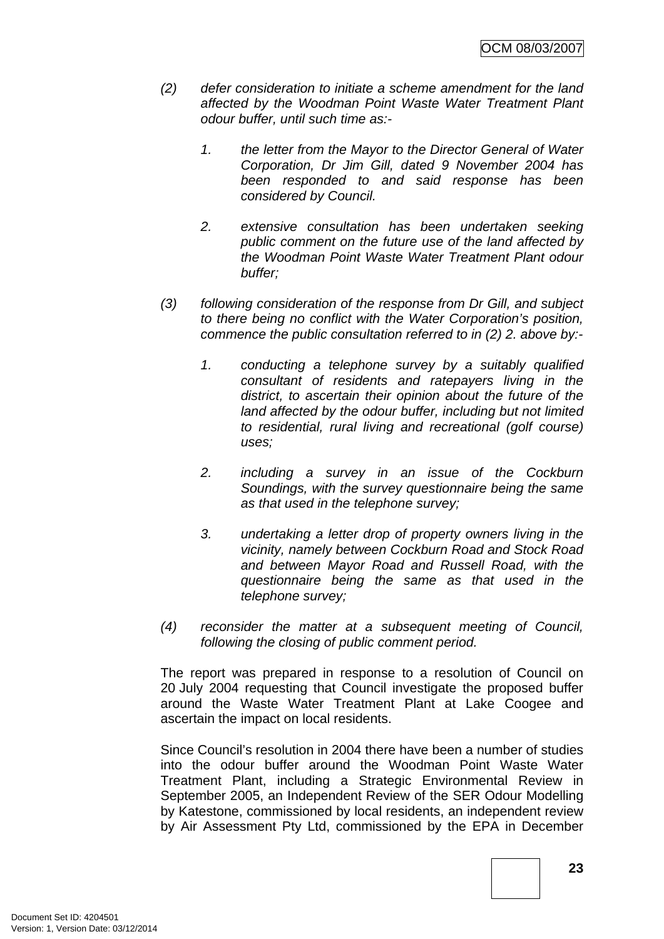- *(2) defer consideration to initiate a scheme amendment for the land affected by the Woodman Point Waste Water Treatment Plant odour buffer, until such time as:-* 
	- *1. the letter from the Mayor to the Director General of Water Corporation, Dr Jim Gill, dated 9 November 2004 has been responded to and said response has been considered by Council.*
	- *2. extensive consultation has been undertaken seeking public comment on the future use of the land affected by the Woodman Point Waste Water Treatment Plant odour buffer;*
- *(3) following consideration of the response from Dr Gill, and subject to there being no conflict with the Water Corporation's position, commence the public consultation referred to in (2) 2. above by:-* 
	- *1. conducting a telephone survey by a suitably qualified consultant of residents and ratepayers living in the district, to ascertain their opinion about the future of the land affected by the odour buffer, including but not limited to residential, rural living and recreational (golf course) uses;*
	- *2. including a survey in an issue of the Cockburn Soundings, with the survey questionnaire being the same as that used in the telephone survey;*
	- *3. undertaking a letter drop of property owners living in the vicinity, namely between Cockburn Road and Stock Road and between Mayor Road and Russell Road, with the questionnaire being the same as that used in the telephone survey;*
- *(4) reconsider the matter at a subsequent meeting of Council, following the closing of public comment period.*

The report was prepared in response to a resolution of Council on 20 July 2004 requesting that Council investigate the proposed buffer around the Waste Water Treatment Plant at Lake Coogee and ascertain the impact on local residents.

Since Council's resolution in 2004 there have been a number of studies into the odour buffer around the Woodman Point Waste Water Treatment Plant, including a Strategic Environmental Review in September 2005, an Independent Review of the SER Odour Modelling by Katestone, commissioned by local residents, an independent review by Air Assessment Pty Ltd, commissioned by the EPA in December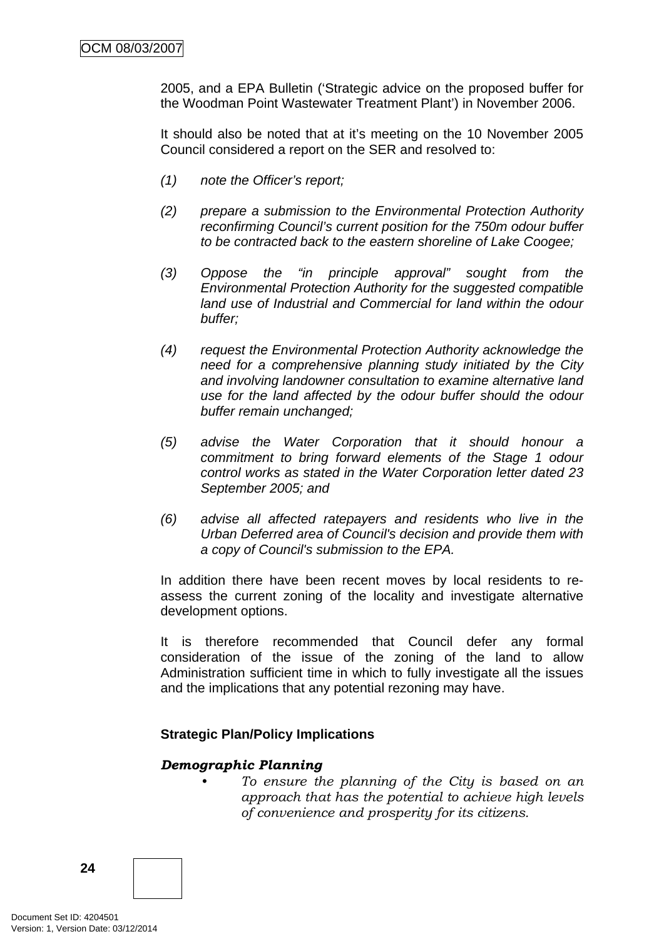2005, and a EPA Bulletin ('Strategic advice on the proposed buffer for the Woodman Point Wastewater Treatment Plant') in November 2006.

It should also be noted that at it's meeting on the 10 November 2005 Council considered a report on the SER and resolved to:

- *(1) note the Officer's report;*
- *(2) prepare a submission to the Environmental Protection Authority reconfirming Council's current position for the 750m odour buffer to be contracted back to the eastern shoreline of Lake Coogee;*
- *(3) Oppose the "in principle approval" sought from the Environmental Protection Authority for the suggested compatible land use of Industrial and Commercial for land within the odour buffer;*
- *(4) request the Environmental Protection Authority acknowledge the need for a comprehensive planning study initiated by the City and involving landowner consultation to examine alternative land use for the land affected by the odour buffer should the odour buffer remain unchanged;*
- *(5) advise the Water Corporation that it should honour a commitment to bring forward elements of the Stage 1 odour control works as stated in the Water Corporation letter dated 23 September 2005; and*
- *(6) advise all affected ratepayers and residents who live in the Urban Deferred area of Council's decision and provide them with a copy of Council's submission to the EPA.*

In addition there have been recent moves by local residents to reassess the current zoning of the locality and investigate alternative development options.

It is therefore recommended that Council defer any formal consideration of the issue of the zoning of the land to allow Administration sufficient time in which to fully investigate all the issues and the implications that any potential rezoning may have.

## **Strategic Plan/Policy Implications**

## *Demographic Planning*

*• To ensure the planning of the City is based on an approach that has the potential to achieve high levels of convenience and prosperity for its citizens.* 

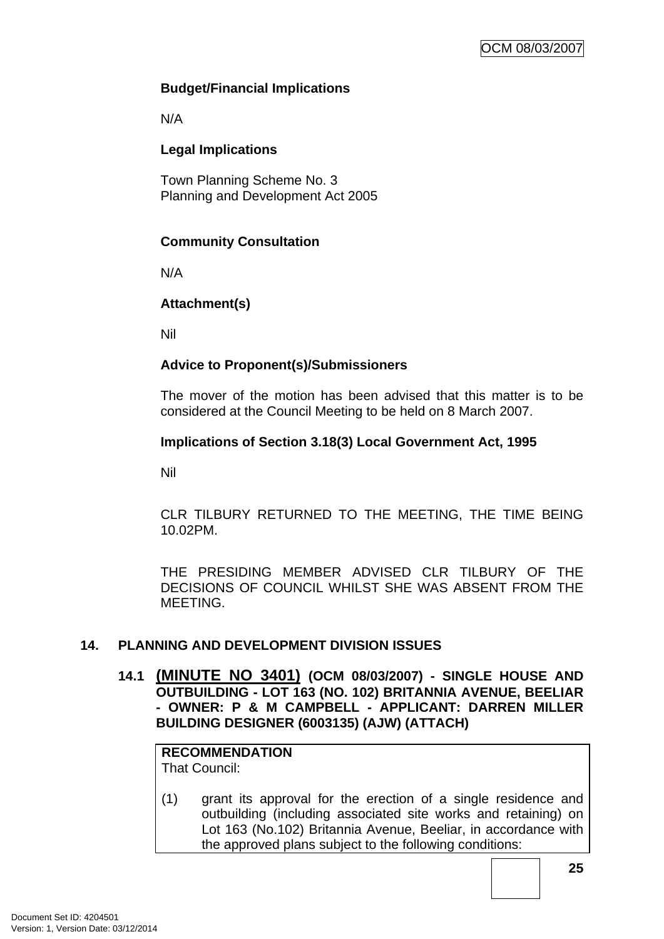## <span id="page-28-0"></span>**Budget/Financial Implications**

N/A

## **Legal Implications**

Town Planning Scheme No. 3 Planning and Development Act 2005

## **Community Consultation**

N/A

## **Attachment(s)**

Nil

## **Advice to Proponent(s)/Submissioners**

The mover of the motion has been advised that this matter is to be considered at the Council Meeting to be held on 8 March 2007.

## **Implications of Section 3.18(3) Local Government Act, 1995**

Nil

CLR TILBURY RETURNED TO THE MEETING, THE TIME BEING 10.02PM.

THE PRESIDING MEMBER ADVISED CLR TILBURY OF THE DECISIONS OF COUNCIL WHILST SHE WAS ABSENT FROM THE MEETING.

## **14. PLANNING AND DEVELOPMENT DIVISION ISSUES**

**14.1 (MINUTE NO 3401) (OCM 08/03/2007) - SINGLE HOUSE AND OUTBUILDING - LOT 163 (NO. 102) BRITANNIA AVENUE, BEELIAR - OWNER: P & M CAMPBELL - APPLICANT: DARREN MILLER BUILDING DESIGNER (6003135) (AJW) (ATTACH)** 

# **RECOMMENDATION**

That Council:

(1) grant its approval for the erection of a single residence and outbuilding (including associated site works and retaining) on Lot 163 (No.102) Britannia Avenue, Beeliar, in accordance with the approved plans subject to the following conditions: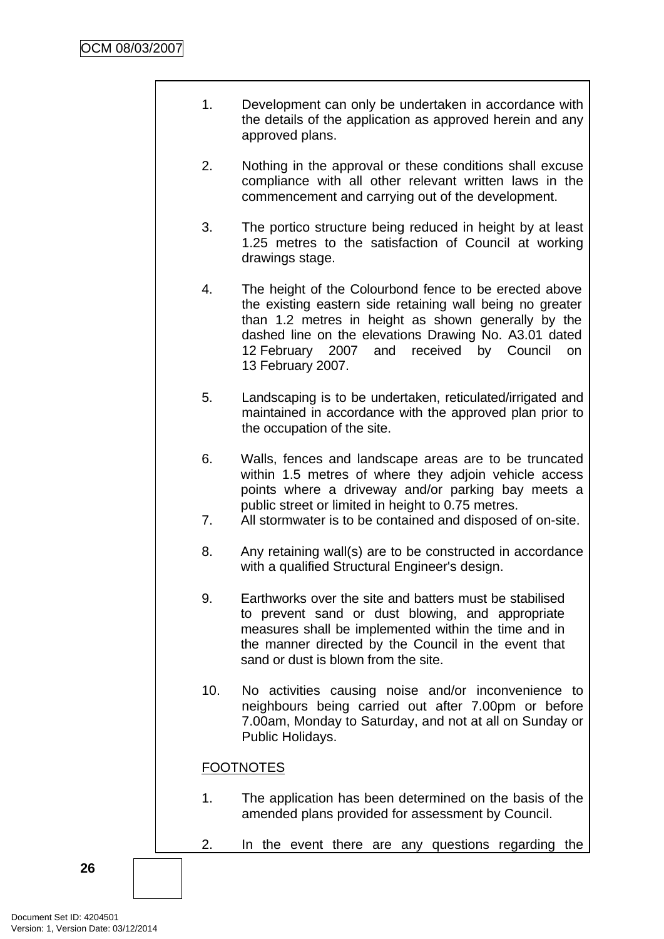- 1. Development can only be undertaken in accordance with the details of the application as approved herein and any approved plans.
- 2. Nothing in the approval or these conditions shall excuse compliance with all other relevant written laws in the commencement and carrying out of the development.
- 3. The portico structure being reduced in height by at least 1.25 metres to the satisfaction of Council at working drawings stage.
- 4. The height of the Colourbond fence to be erected above the existing eastern side retaining wall being no greater than 1.2 metres in height as shown generally by the dashed line on the elevations Drawing No. A3.01 dated 12 February 2007 and received by Council on 13 February 2007.
- 5. Landscaping is to be undertaken, reticulated/irrigated and maintained in accordance with the approved plan prior to the occupation of the site.
- 6. Walls, fences and landscape areas are to be truncated within 1.5 metres of where they adjoin vehicle access points where a driveway and/or parking bay meets a public street or limited in height to 0.75 metres.
- 7. All stormwater is to be contained and disposed of on-site.
- 8. Any retaining wall(s) are to be constructed in accordance with a qualified Structural Engineer's design.
- 9. Earthworks over the site and batters must be stabilised to prevent sand or dust blowing, and appropriate measures shall be implemented within the time and in the manner directed by the Council in the event that sand or dust is blown from the site.
- 10. No activities causing noise and/or inconvenience to neighbours being carried out after 7.00pm or before 7.00am, Monday to Saturday, and not at all on Sunday or Public Holidays.

## FOOTNOTES

- 1. The application has been determined on the basis of the amended plans provided for assessment by Council.
- 2. In the event there are any questions regarding the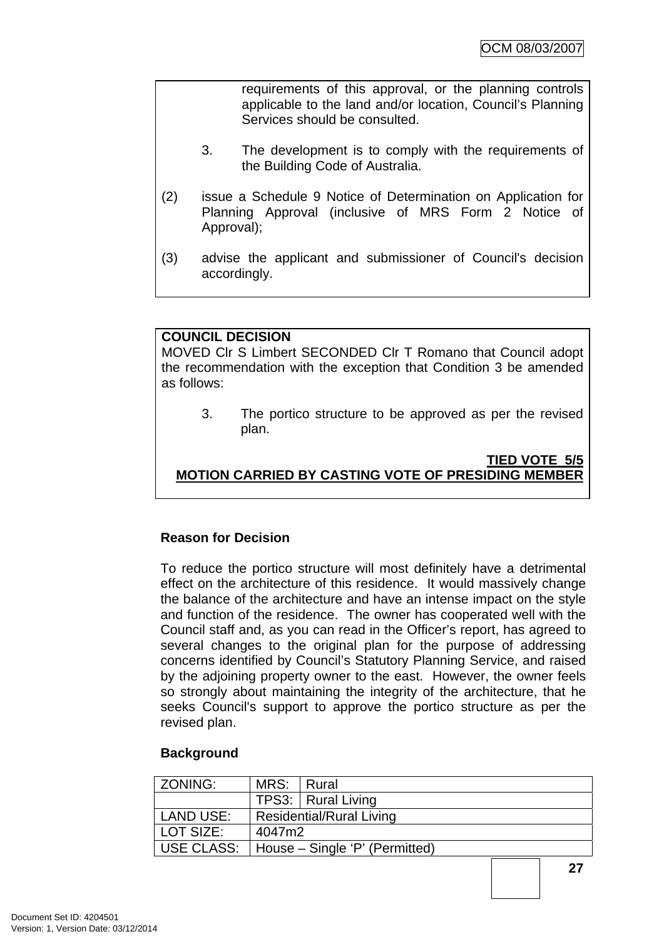requirements of this approval, or the planning controls applicable to the land and/or location, Council's Planning Services should be consulted.

- 3. The development is to comply with the requirements of the Building Code of Australia.
- (2) issue a Schedule 9 Notice of Determination on Application for Planning Approval (inclusive of MRS Form 2 Notice of Approval);
- (3) advise the applicant and submissioner of Council's decision accordingly.

## **COUNCIL DECISION**

MOVED Clr S Limbert SECONDED Clr T Romano that Council adopt the recommendation with the exception that Condition 3 be amended as follows:

 3. The portico structure to be approved as per the revised plan.

## **TIED VOTE 5/5 MOTION CARRIED BY CASTING VOTE OF PRESIDING MEMBER**

## **Reason for Decision**

To reduce the portico structure will most definitely have a detrimental effect on the architecture of this residence. It would massively change the balance of the architecture and have an intense impact on the style and function of the residence. The owner has cooperated well with the Council staff and, as you can read in the Officer's report, has agreed to several changes to the original plan for the purpose of addressing concerns identified by Council's Statutory Planning Service, and raised by the adjoining property owner to the east. However, the owner feels so strongly about maintaining the integrity of the architecture, that he seeks Council's support to approve the portico structure as per the revised plan.

## **Background**

| ZONING:   | MRS: Rural |                                             |
|-----------|------------|---------------------------------------------|
|           |            | TPS3:   Rural Living                        |
| LAND USE: |            | <b>Residential/Rural Living</b>             |
| LOT SIZE: | 4047m2     |                                             |
|           |            | USE CLASS:   House – Single 'P' (Permitted) |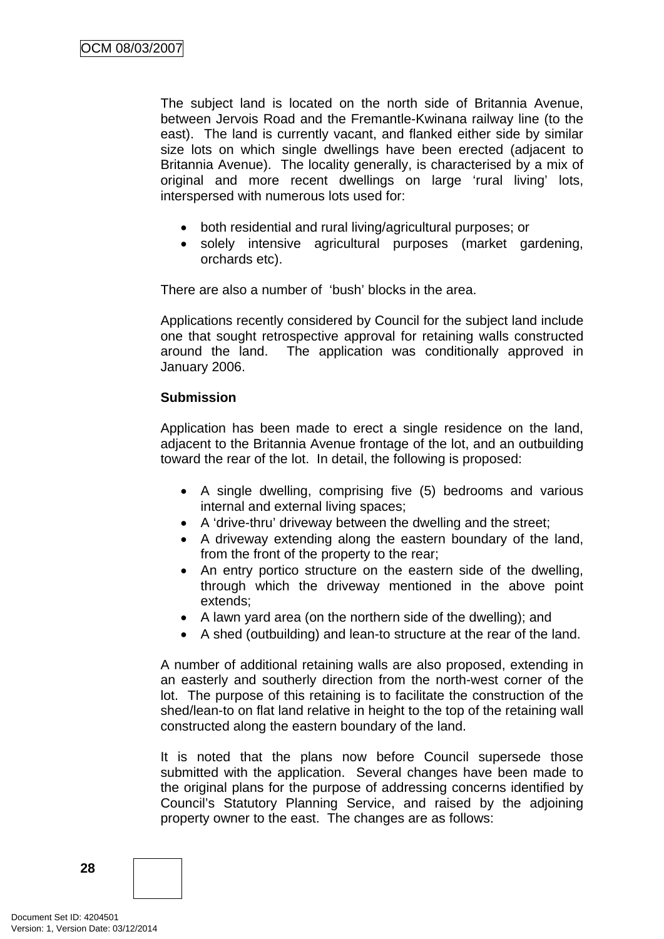The subject land is located on the north side of Britannia Avenue, between Jervois Road and the Fremantle-Kwinana railway line (to the east). The land is currently vacant, and flanked either side by similar size lots on which single dwellings have been erected (adjacent to Britannia Avenue). The locality generally, is characterised by a mix of original and more recent dwellings on large 'rural living' lots, interspersed with numerous lots used for:

- both residential and rural living/agricultural purposes; or
- solely intensive agricultural purposes (market gardening, orchards etc).

There are also a number of 'bush' blocks in the area.

Applications recently considered by Council for the subject land include one that sought retrospective approval for retaining walls constructed around the land. The application was conditionally approved in January 2006.

#### **Submission**

Application has been made to erect a single residence on the land, adjacent to the Britannia Avenue frontage of the lot, and an outbuilding toward the rear of the lot. In detail, the following is proposed:

- A single dwelling, comprising five (5) bedrooms and various internal and external living spaces;
- A 'drive-thru' driveway between the dwelling and the street;
- A driveway extending along the eastern boundary of the land, from the front of the property to the rear;
- An entry portico structure on the eastern side of the dwelling, through which the driveway mentioned in the above point extends;
- A lawn yard area (on the northern side of the dwelling); and
- A shed (outbuilding) and lean-to structure at the rear of the land.

A number of additional retaining walls are also proposed, extending in an easterly and southerly direction from the north-west corner of the lot. The purpose of this retaining is to facilitate the construction of the shed/lean-to on flat land relative in height to the top of the retaining wall constructed along the eastern boundary of the land.

It is noted that the plans now before Council supersede those submitted with the application. Several changes have been made to the original plans for the purpose of addressing concerns identified by Council's Statutory Planning Service, and raised by the adjoining property owner to the east. The changes are as follows: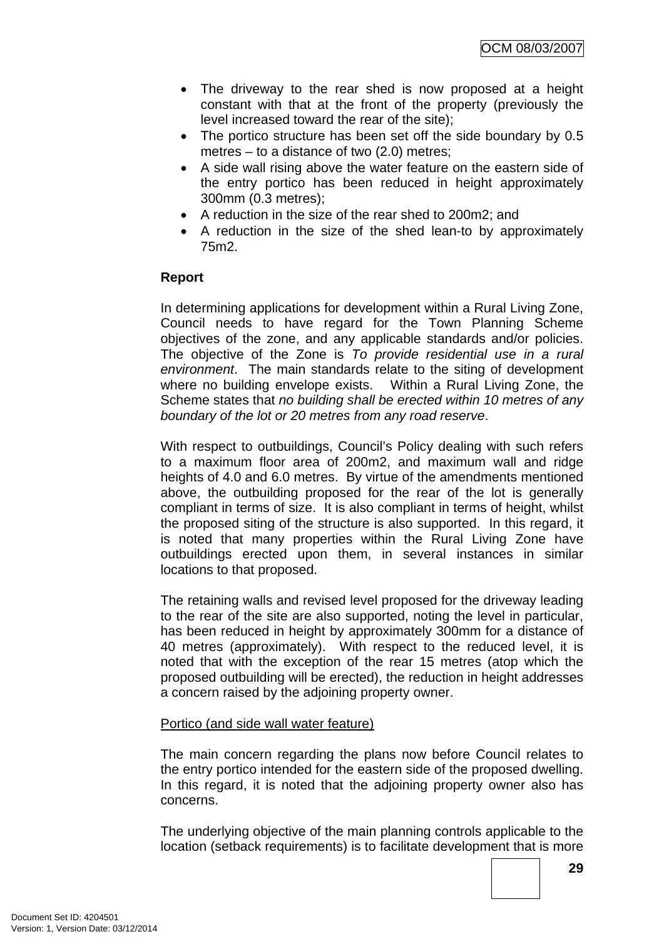OCM 08/03/2007

- The driveway to the rear shed is now proposed at a height constant with that at the front of the property (previously the level increased toward the rear of the site);
- The portico structure has been set off the side boundary by 0.5 metres – to a distance of two (2.0) metres;
- A side wall rising above the water feature on the eastern side of the entry portico has been reduced in height approximately 300mm (0.3 metres);
- A reduction in the size of the rear shed to 200m2; and
- A reduction in the size of the shed lean-to by approximately 75m2.

## **Report**

In determining applications for development within a Rural Living Zone, Council needs to have regard for the Town Planning Scheme objectives of the zone, and any applicable standards and/or policies. The objective of the Zone is *To provide residential use in a rural environment*. The main standards relate to the siting of development where no building envelope exists. Within a Rural Living Zone, the Scheme states that *no building shall be erected within 10 metres of any boundary of the lot or 20 metres from any road reserve*.

With respect to outbuildings, Council's Policy dealing with such refers to a maximum floor area of 200m2, and maximum wall and ridge heights of 4.0 and 6.0 metres. By virtue of the amendments mentioned above, the outbuilding proposed for the rear of the lot is generally compliant in terms of size. It is also compliant in terms of height, whilst the proposed siting of the structure is also supported. In this regard, it is noted that many properties within the Rural Living Zone have outbuildings erected upon them, in several instances in similar locations to that proposed.

The retaining walls and revised level proposed for the driveway leading to the rear of the site are also supported, noting the level in particular, has been reduced in height by approximately 300mm for a distance of 40 metres (approximately). With respect to the reduced level, it is noted that with the exception of the rear 15 metres (atop which the proposed outbuilding will be erected), the reduction in height addresses a concern raised by the adjoining property owner.

## Portico (and side wall water feature)

The main concern regarding the plans now before Council relates to the entry portico intended for the eastern side of the proposed dwelling. In this regard, it is noted that the adjoining property owner also has concerns.

The underlying objective of the main planning controls applicable to the location (setback requirements) is to facilitate development that is more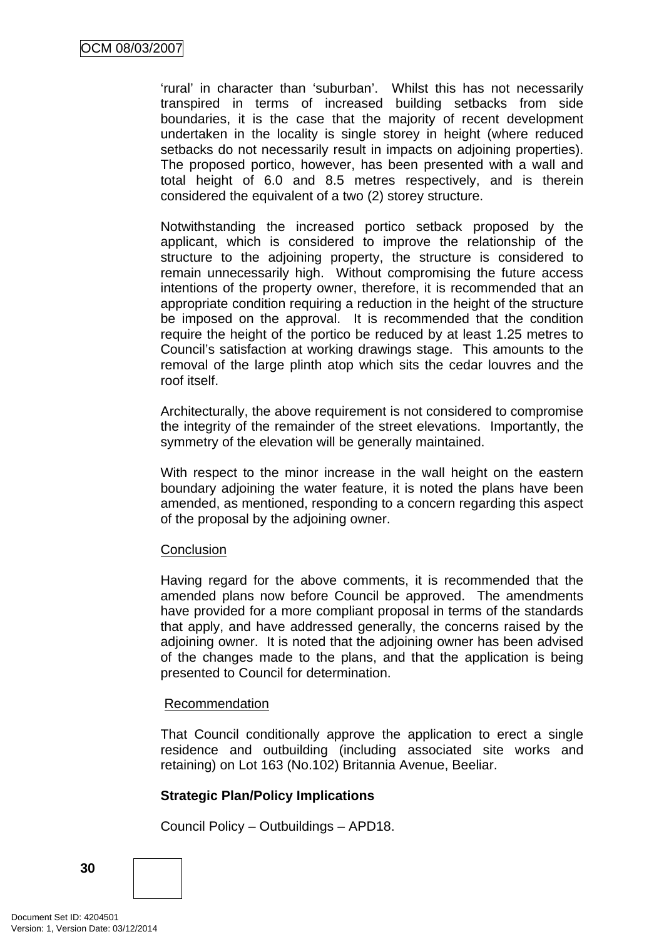'rural' in character than 'suburban'. Whilst this has not necessarily transpired in terms of increased building setbacks from side boundaries, it is the case that the majority of recent development undertaken in the locality is single storey in height (where reduced setbacks do not necessarily result in impacts on adjoining properties). The proposed portico, however, has been presented with a wall and total height of 6.0 and 8.5 metres respectively, and is therein considered the equivalent of a two (2) storey structure.

Notwithstanding the increased portico setback proposed by the applicant, which is considered to improve the relationship of the structure to the adjoining property, the structure is considered to remain unnecessarily high. Without compromising the future access intentions of the property owner, therefore, it is recommended that an appropriate condition requiring a reduction in the height of the structure be imposed on the approval. It is recommended that the condition require the height of the portico be reduced by at least 1.25 metres to Council's satisfaction at working drawings stage. This amounts to the removal of the large plinth atop which sits the cedar louvres and the roof itself.

Architecturally, the above requirement is not considered to compromise the integrity of the remainder of the street elevations. Importantly, the symmetry of the elevation will be generally maintained.

With respect to the minor increase in the wall height on the eastern boundary adjoining the water feature, it is noted the plans have been amended, as mentioned, responding to a concern regarding this aspect of the proposal by the adjoining owner.

#### **Conclusion**

Having regard for the above comments, it is recommended that the amended plans now before Council be approved. The amendments have provided for a more compliant proposal in terms of the standards that apply, and have addressed generally, the concerns raised by the adjoining owner. It is noted that the adjoining owner has been advised of the changes made to the plans, and that the application is being presented to Council for determination.

#### Recommendation

That Council conditionally approve the application to erect a single residence and outbuilding (including associated site works and retaining) on Lot 163 (No.102) Britannia Avenue, Beeliar.

## **Strategic Plan/Policy Implications**

Council Policy – Outbuildings – APD18.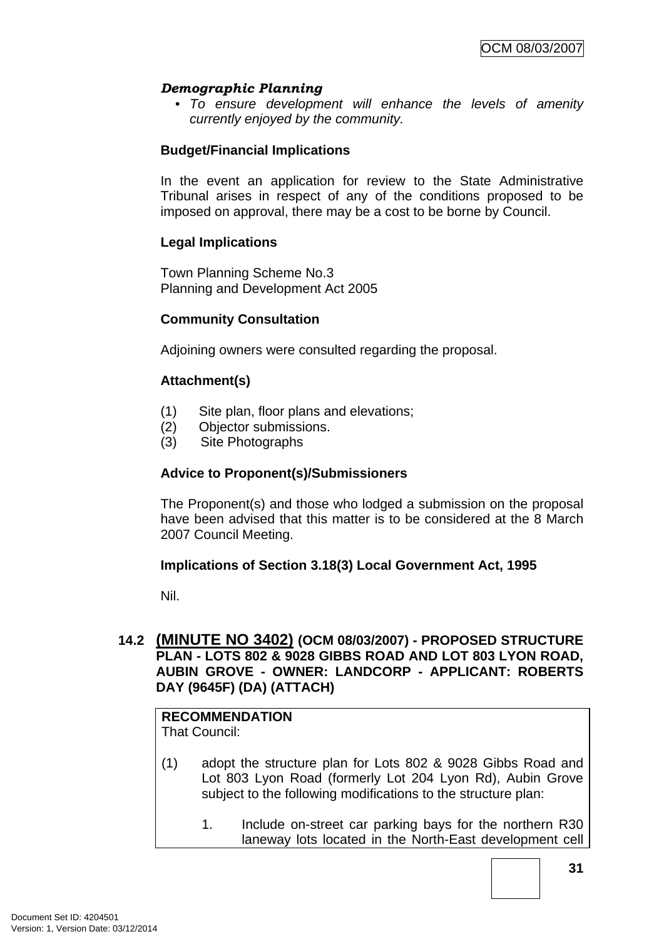## <span id="page-34-0"></span>*Demographic Planning*

*• To ensure development will enhance the levels of amenity currently enjoyed by the community.* 

## **Budget/Financial Implications**

In the event an application for review to the State Administrative Tribunal arises in respect of any of the conditions proposed to be imposed on approval, there may be a cost to be borne by Council.

## **Legal Implications**

Town Planning Scheme No.3 Planning and Development Act 2005

## **Community Consultation**

Adjoining owners were consulted regarding the proposal.

## **Attachment(s)**

- (1) Site plan, floor plans and elevations;
- (2) Objector submissions.
- (3) Site Photographs

## **Advice to Proponent(s)/Submissioners**

The Proponent(s) and those who lodged a submission on the proposal have been advised that this matter is to be considered at the 8 March 2007 Council Meeting.

## **Implications of Section 3.18(3) Local Government Act, 1995**

Nil.

## **14.2 (MINUTE NO 3402) (OCM 08/03/2007) - PROPOSED STRUCTURE PLAN - LOTS 802 & 9028 GIBBS ROAD AND LOT 803 LYON ROAD, AUBIN GROVE - OWNER: LANDCORP - APPLICANT: ROBERTS DAY (9645F) (DA) (ATTACH)**

#### **RECOMMENDATION**  That Council:

- (1) adopt the structure plan for Lots 802 & 9028 Gibbs Road and Lot 803 Lyon Road (formerly Lot 204 Lyon Rd), Aubin Grove subject to the following modifications to the structure plan:
	- 1. Include on-street car parking bays for the northern R30 laneway lots located in the North-East development cell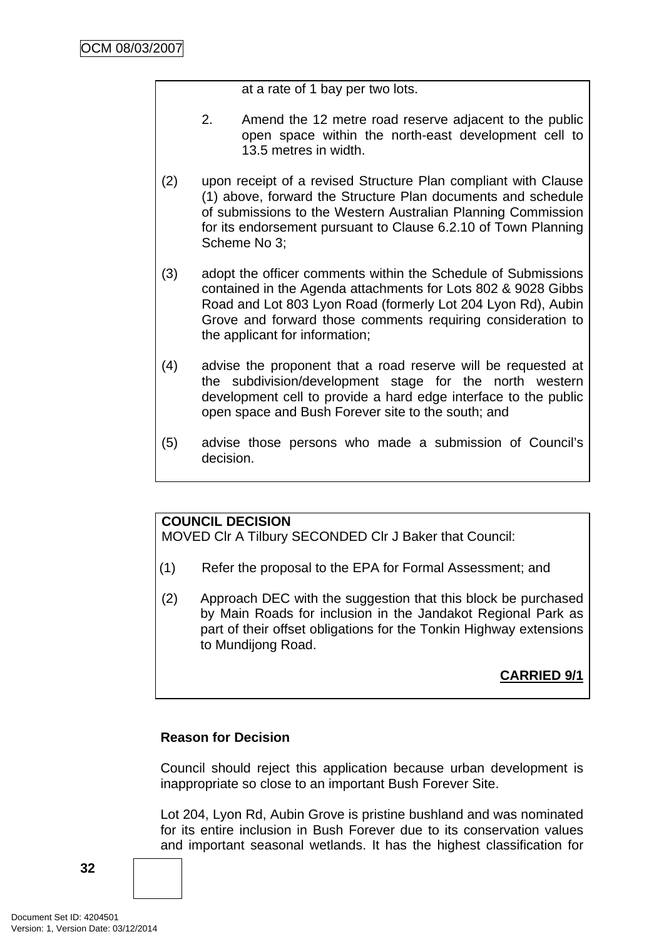at a rate of 1 bay per two lots.

- 2. Amend the 12 metre road reserve adjacent to the public open space within the north-east development cell to 13.5 metres in width.
- (2) upon receipt of a revised Structure Plan compliant with Clause (1) above, forward the Structure Plan documents and schedule of submissions to the Western Australian Planning Commission for its endorsement pursuant to Clause 6.2.10 of Town Planning Scheme No 3;
- (3) adopt the officer comments within the Schedule of Submissions contained in the Agenda attachments for Lots 802 & 9028 Gibbs Road and Lot 803 Lyon Road (formerly Lot 204 Lyon Rd), Aubin Grove and forward those comments requiring consideration to the applicant for information;
- (4) advise the proponent that a road reserve will be requested at the subdivision/development stage for the north western development cell to provide a hard edge interface to the public open space and Bush Forever site to the south; and
- (5) advise those persons who made a submission of Council's decision.

## **COUNCIL DECISION**

MOVED Clr A Tilbury SECONDED Clr J Baker that Council:

- (1) Refer the proposal to the EPA for Formal Assessment; and
- (2) Approach DEC with the suggestion that this block be purchased by Main Roads for inclusion in the Jandakot Regional Park as part of their offset obligations for the Tonkin Highway extensions to Mundijong Road.

**CARRIED 9/1**

## **Reason for Decision**

Council should reject this application because urban development is inappropriate so close to an important Bush Forever Site.

Lot 204, Lyon Rd, Aubin Grove is pristine bushland and was nominated for its entire inclusion in Bush Forever due to its conservation values and important seasonal wetlands. It has the highest classification for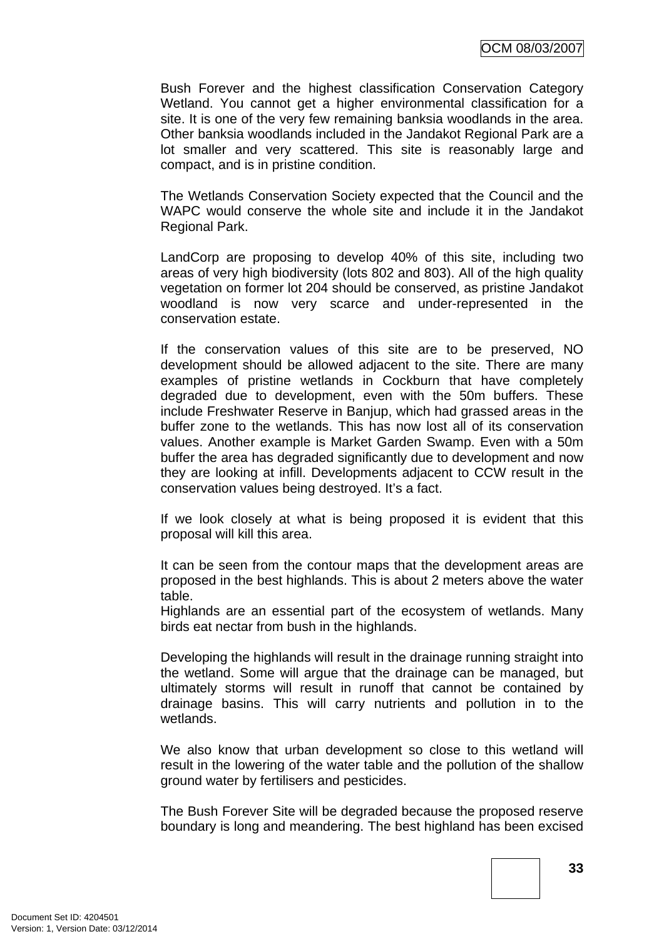Bush Forever and the highest classification Conservation Category Wetland. You cannot get a higher environmental classification for a site. It is one of the very few remaining banksia woodlands in the area. Other banksia woodlands included in the Jandakot Regional Park are a lot smaller and very scattered. This site is reasonably large and compact, and is in pristine condition.

The Wetlands Conservation Society expected that the Council and the WAPC would conserve the whole site and include it in the Jandakot Regional Park.

LandCorp are proposing to develop 40% of this site, including two areas of very high biodiversity (lots 802 and 803). All of the high quality vegetation on former lot 204 should be conserved, as pristine Jandakot woodland is now very scarce and under-represented in the conservation estate.

If the conservation values of this site are to be preserved, NO development should be allowed adjacent to the site. There are many examples of pristine wetlands in Cockburn that have completely degraded due to development, even with the 50m buffers. These include Freshwater Reserve in Banjup, which had grassed areas in the buffer zone to the wetlands. This has now lost all of its conservation values. Another example is Market Garden Swamp. Even with a 50m buffer the area has degraded significantly due to development and now they are looking at infill. Developments adjacent to CCW result in the conservation values being destroyed. It's a fact.

If we look closely at what is being proposed it is evident that this proposal will kill this area.

It can be seen from the contour maps that the development areas are proposed in the best highlands. This is about 2 meters above the water table.

Highlands are an essential part of the ecosystem of wetlands. Many birds eat nectar from bush in the highlands.

Developing the highlands will result in the drainage running straight into the wetland. Some will argue that the drainage can be managed, but ultimately storms will result in runoff that cannot be contained by drainage basins. This will carry nutrients and pollution in to the wetlands.

We also know that urban development so close to this wetland will result in the lowering of the water table and the pollution of the shallow ground water by fertilisers and pesticides.

The Bush Forever Site will be degraded because the proposed reserve boundary is long and meandering. The best highland has been excised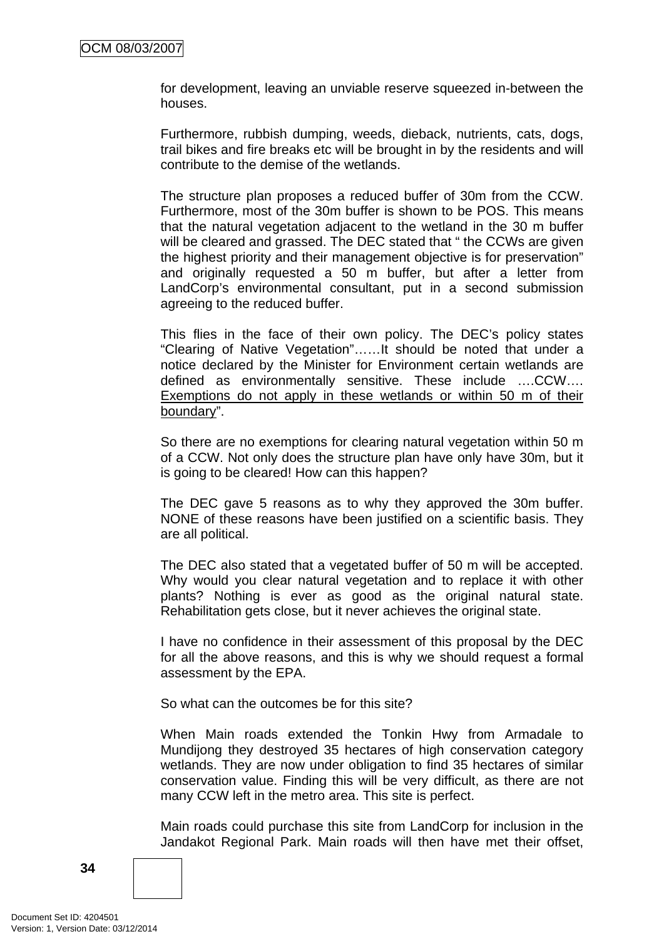for development, leaving an unviable reserve squeezed in-between the houses.

Furthermore, rubbish dumping, weeds, dieback, nutrients, cats, dogs, trail bikes and fire breaks etc will be brought in by the residents and will contribute to the demise of the wetlands.

The structure plan proposes a reduced buffer of 30m from the CCW. Furthermore, most of the 30m buffer is shown to be POS. This means that the natural vegetation adjacent to the wetland in the 30 m buffer will be cleared and grassed. The DEC stated that "the CCWs are given the highest priority and their management objective is for preservation" and originally requested a 50 m buffer, but after a letter from LandCorp's environmental consultant, put in a second submission agreeing to the reduced buffer.

This flies in the face of their own policy. The DEC's policy states "Clearing of Native Vegetation"……It should be noted that under a notice declared by the Minister for Environment certain wetlands are defined as environmentally sensitive. These include ….CCW…. Exemptions do not apply in these wetlands or within 50 m of their boundary".

So there are no exemptions for clearing natural vegetation within 50 m of a CCW. Not only does the structure plan have only have 30m, but it is going to be cleared! How can this happen?

The DEC gave 5 reasons as to why they approved the 30m buffer. NONE of these reasons have been justified on a scientific basis. They are all political.

The DEC also stated that a vegetated buffer of 50 m will be accepted. Why would you clear natural vegetation and to replace it with other plants? Nothing is ever as good as the original natural state. Rehabilitation gets close, but it never achieves the original state.

I have no confidence in their assessment of this proposal by the DEC for all the above reasons, and this is why we should request a formal assessment by the EPA.

So what can the outcomes be for this site?

When Main roads extended the Tonkin Hwy from Armadale to Mundijong they destroyed 35 hectares of high conservation category wetlands. They are now under obligation to find 35 hectares of similar conservation value. Finding this will be very difficult, as there are not many CCW left in the metro area. This site is perfect.

Main roads could purchase this site from LandCorp for inclusion in the Jandakot Regional Park. Main roads will then have met their offset,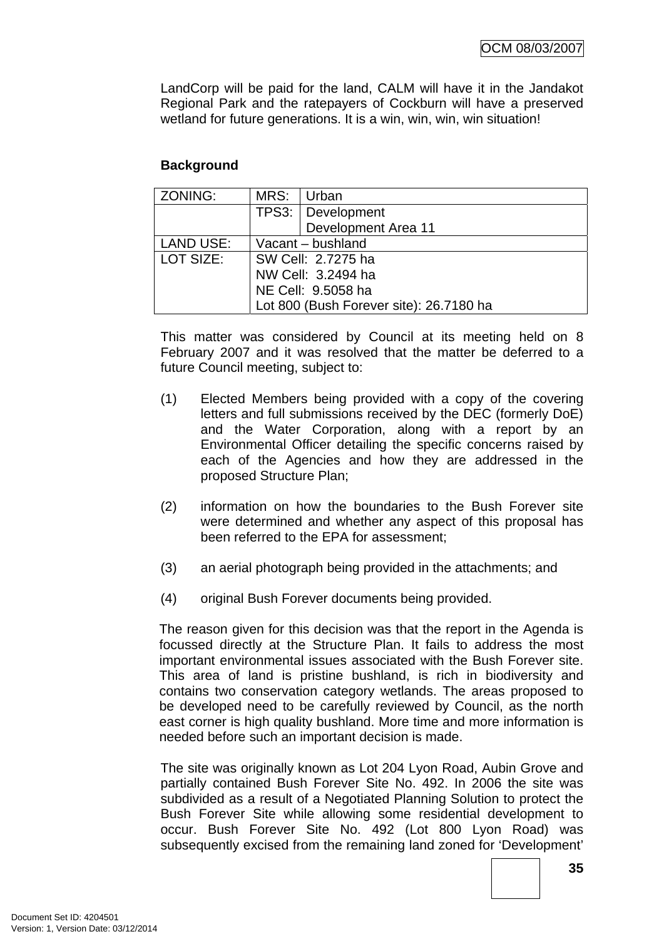LandCorp will be paid for the land, CALM will have it in the Jandakot Regional Park and the ratepayers of Cockburn will have a preserved wetland for future generations. It is a win, win, win, win situation!

## **Background**

| ZONING:          | MRS:                                    | Urban               |  |
|------------------|-----------------------------------------|---------------------|--|
|                  |                                         | TPS3:   Development |  |
|                  |                                         | Development Area 11 |  |
| <b>LAND USE:</b> | Vacant - bushland                       |                     |  |
| LOT SIZE:        | SW Cell: 2.7275 ha                      |                     |  |
|                  | NW Cell: 3.2494 ha                      |                     |  |
|                  | NE Cell: 9.5058 ha                      |                     |  |
|                  | Lot 800 (Bush Forever site): 26.7180 ha |                     |  |

This matter was considered by Council at its meeting held on 8 February 2007 and it was resolved that the matter be deferred to a future Council meeting, subject to:

- (1) Elected Members being provided with a copy of the covering letters and full submissions received by the DEC (formerly DoE) and the Water Corporation, along with a report by an Environmental Officer detailing the specific concerns raised by each of the Agencies and how they are addressed in the proposed Structure Plan;
- (2) information on how the boundaries to the Bush Forever site were determined and whether any aspect of this proposal has been referred to the EPA for assessment;
- (3) an aerial photograph being provided in the attachments; and
- (4) original Bush Forever documents being provided.

The reason given for this decision was that the report in the Agenda is focussed directly at the Structure Plan. It fails to address the most important environmental issues associated with the Bush Forever site. This area of land is pristine bushland, is rich in biodiversity and contains two conservation category wetlands. The areas proposed to be developed need to be carefully reviewed by Council, as the north east corner is high quality bushland. More time and more information is needed before such an important decision is made.

The site was originally known as Lot 204 Lyon Road, Aubin Grove and partially contained Bush Forever Site No. 492. In 2006 the site was subdivided as a result of a Negotiated Planning Solution to protect the Bush Forever Site while allowing some residential development to occur. Bush Forever Site No. 492 (Lot 800 Lyon Road) was subsequently excised from the remaining land zoned for 'Development'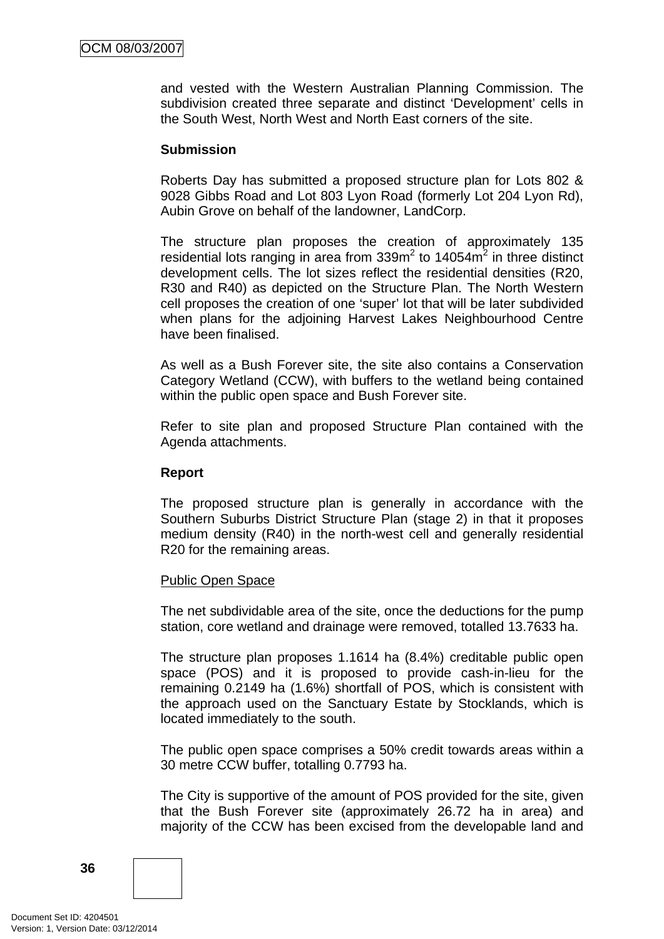and vested with the Western Australian Planning Commission. The subdivision created three separate and distinct 'Development' cells in the South West, North West and North East corners of the site.

#### **Submission**

Roberts Day has submitted a proposed structure plan for Lots 802 & 9028 Gibbs Road and Lot 803 Lyon Road (formerly Lot 204 Lyon Rd), Aubin Grove on behalf of the landowner, LandCorp.

The structure plan proposes the creation of approximately 135 residential lots ranging in area from  $339m^2$  to 14054 $m^2$  in three distinct development cells. The lot sizes reflect the residential densities (R20, R30 and R40) as depicted on the Structure Plan. The North Western cell proposes the creation of one 'super' lot that will be later subdivided when plans for the adjoining Harvest Lakes Neighbourhood Centre have been finalised.

As well as a Bush Forever site, the site also contains a Conservation Category Wetland (CCW), with buffers to the wetland being contained within the public open space and Bush Forever site.

Refer to site plan and proposed Structure Plan contained with the Agenda attachments.

## **Report**

The proposed structure plan is generally in accordance with the Southern Suburbs District Structure Plan (stage 2) in that it proposes medium density (R40) in the north-west cell and generally residential R20 for the remaining areas.

#### Public Open Space

The net subdividable area of the site, once the deductions for the pump station, core wetland and drainage were removed, totalled 13.7633 ha.

The structure plan proposes 1.1614 ha (8.4%) creditable public open space (POS) and it is proposed to provide cash-in-lieu for the remaining 0.2149 ha (1.6%) shortfall of POS, which is consistent with the approach used on the Sanctuary Estate by Stocklands, which is located immediately to the south.

The public open space comprises a 50% credit towards areas within a 30 metre CCW buffer, totalling 0.7793 ha.

The City is supportive of the amount of POS provided for the site, given that the Bush Forever site (approximately 26.72 ha in area) and majority of the CCW has been excised from the developable land and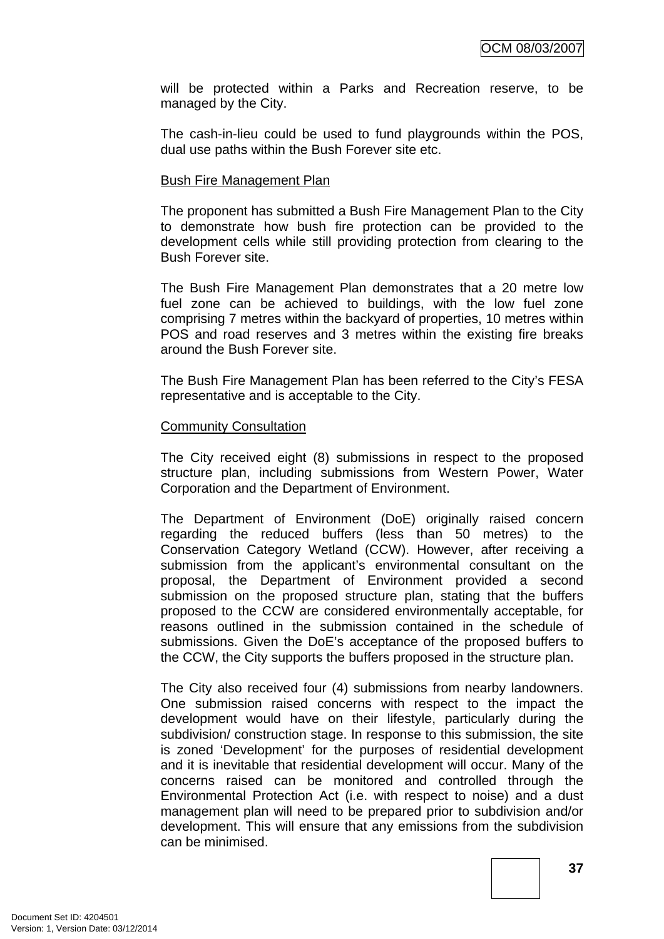will be protected within a Parks and Recreation reserve, to be managed by the City.

The cash-in-lieu could be used to fund playgrounds within the POS, dual use paths within the Bush Forever site etc.

#### Bush Fire Management Plan

The proponent has submitted a Bush Fire Management Plan to the City to demonstrate how bush fire protection can be provided to the development cells while still providing protection from clearing to the Bush Forever site.

The Bush Fire Management Plan demonstrates that a 20 metre low fuel zone can be achieved to buildings, with the low fuel zone comprising 7 metres within the backyard of properties, 10 metres within POS and road reserves and 3 metres within the existing fire breaks around the Bush Forever site.

The Bush Fire Management Plan has been referred to the City's FESA representative and is acceptable to the City.

## Community Consultation

The City received eight (8) submissions in respect to the proposed structure plan, including submissions from Western Power, Water Corporation and the Department of Environment.

The Department of Environment (DoE) originally raised concern regarding the reduced buffers (less than 50 metres) to the Conservation Category Wetland (CCW). However, after receiving a submission from the applicant's environmental consultant on the proposal, the Department of Environment provided a second submission on the proposed structure plan, stating that the buffers proposed to the CCW are considered environmentally acceptable, for reasons outlined in the submission contained in the schedule of submissions. Given the DoE's acceptance of the proposed buffers to the CCW, the City supports the buffers proposed in the structure plan.

The City also received four (4) submissions from nearby landowners. One submission raised concerns with respect to the impact the development would have on their lifestyle, particularly during the subdivision/ construction stage. In response to this submission, the site is zoned 'Development' for the purposes of residential development and it is inevitable that residential development will occur. Many of the concerns raised can be monitored and controlled through the Environmental Protection Act (i.e. with respect to noise) and a dust management plan will need to be prepared prior to subdivision and/or development. This will ensure that any emissions from the subdivision can be minimised.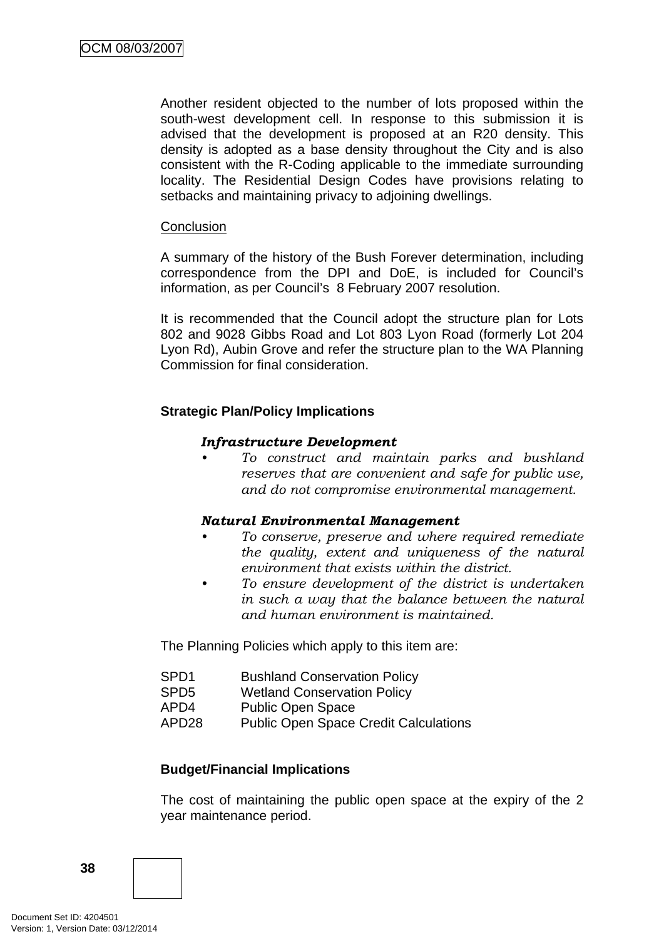Another resident objected to the number of lots proposed within the south-west development cell. In response to this submission it is advised that the development is proposed at an R20 density. This density is adopted as a base density throughout the City and is also consistent with the R-Coding applicable to the immediate surrounding locality. The Residential Design Codes have provisions relating to setbacks and maintaining privacy to adjoining dwellings.

#### **Conclusion**

A summary of the history of the Bush Forever determination, including correspondence from the DPI and DoE, is included for Council's information, as per Council's 8 February 2007 resolution.

It is recommended that the Council adopt the structure plan for Lots 802 and 9028 Gibbs Road and Lot 803 Lyon Road (formerly Lot 204 Lyon Rd), Aubin Grove and refer the structure plan to the WA Planning Commission for final consideration.

## **Strategic Plan/Policy Implications**

#### *Infrastructure Development*

*• To construct and maintain parks and bushland reserves that are convenient and safe for public use, and do not compromise environmental management.* 

## *Natural Environmental Management*

- *To conserve, preserve and where required remediate the quality, extent and uniqueness of the natural environment that exists within the district.*
- *To ensure development of the district is undertaken in such a way that the balance between the natural and human environment is maintained.*

The Planning Policies which apply to this item are:

| <b>Bushland Conservation Policy</b>          |
|----------------------------------------------|
| <b>Wetland Conservation Policy</b>           |
| <b>Public Open Space</b>                     |
| <b>Public Open Space Credit Calculations</b> |
|                                              |

## **Budget/Financial Implications**

The cost of maintaining the public open space at the expiry of the 2 year maintenance period.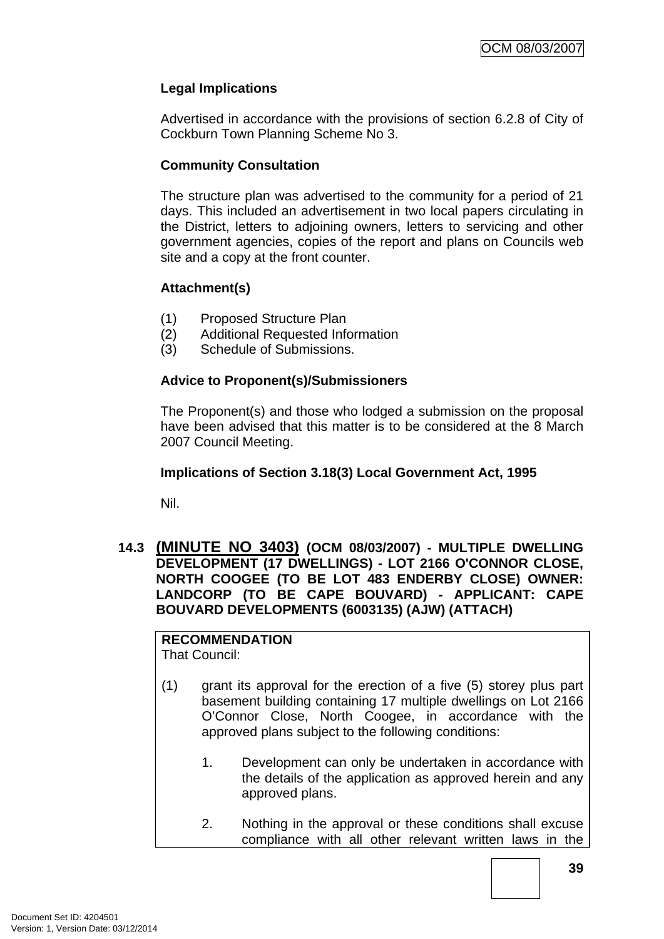# **Legal Implications**

Advertised in accordance with the provisions of section 6.2.8 of City of Cockburn Town Planning Scheme No 3.

# **Community Consultation**

The structure plan was advertised to the community for a period of 21 days. This included an advertisement in two local papers circulating in the District, letters to adjoining owners, letters to servicing and other government agencies, copies of the report and plans on Councils web site and a copy at the front counter.

# **Attachment(s)**

- (1) Proposed Structure Plan
- (2) Additional Requested Information
- (3) Schedule of Submissions.

# **Advice to Proponent(s)/Submissioners**

The Proponent(s) and those who lodged a submission on the proposal have been advised that this matter is to be considered at the 8 March 2007 Council Meeting.

## **Implications of Section 3.18(3) Local Government Act, 1995**

Nil.

## **14.3 (MINUTE NO 3403) (OCM 08/03/2007) - MULTIPLE DWELLING DEVELOPMENT (17 DWELLINGS) - LOT 2166 O'CONNOR CLOSE, NORTH COOGEE (TO BE LOT 483 ENDERBY CLOSE) OWNER: LANDCORP (TO BE CAPE BOUVARD) - APPLICANT: CAPE BOUVARD DEVELOPMENTS (6003135) (AJW) (ATTACH)**

# **RECOMMENDATION**

That Council:

- (1) grant its approval for the erection of a five (5) storey plus part basement building containing 17 multiple dwellings on Lot 2166 O'Connor Close, North Coogee, in accordance with the approved plans subject to the following conditions:
	- 1. Development can only be undertaken in accordance with the details of the application as approved herein and any approved plans.
	- 2. Nothing in the approval or these conditions shall excuse compliance with all other relevant written laws in the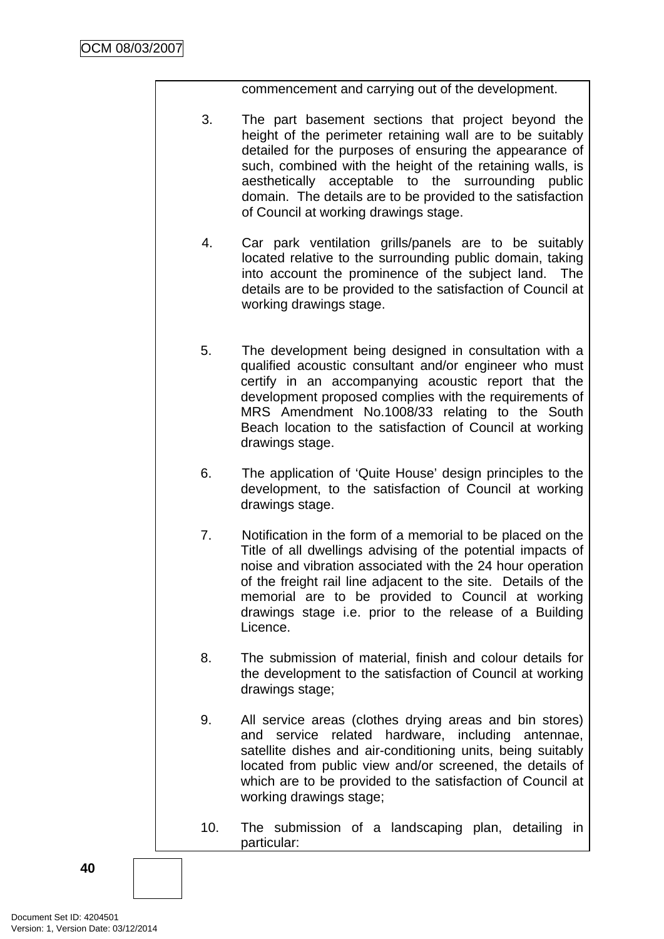commencement and carrying out of the development.

- 3. The part basement sections that project beyond the height of the perimeter retaining wall are to be suitably detailed for the purposes of ensuring the appearance of such, combined with the height of the retaining walls, is aesthetically acceptable to the surrounding public domain. The details are to be provided to the satisfaction of Council at working drawings stage.
- 4. Car park ventilation grills/panels are to be suitably located relative to the surrounding public domain, taking into account the prominence of the subject land. The details are to be provided to the satisfaction of Council at working drawings stage.
- 5. The development being designed in consultation with a qualified acoustic consultant and/or engineer who must certify in an accompanying acoustic report that the development proposed complies with the requirements of MRS Amendment No.1008/33 relating to the South Beach location to the satisfaction of Council at working drawings stage.
- 6. The application of 'Quite House' design principles to the development, to the satisfaction of Council at working drawings stage.
- 7. Notification in the form of a memorial to be placed on the Title of all dwellings advising of the potential impacts of noise and vibration associated with the 24 hour operation of the freight rail line adjacent to the site. Details of the memorial are to be provided to Council at working drawings stage i.e. prior to the release of a Building Licence.
- 8. The submission of material, finish and colour details for the development to the satisfaction of Council at working drawings stage;
- 9. All service areas (clothes drying areas and bin stores) and service related hardware, including antennae, satellite dishes and air-conditioning units, being suitably located from public view and/or screened, the details of which are to be provided to the satisfaction of Council at working drawings stage;
- 10. The submission of a landscaping plan, detailing in particular: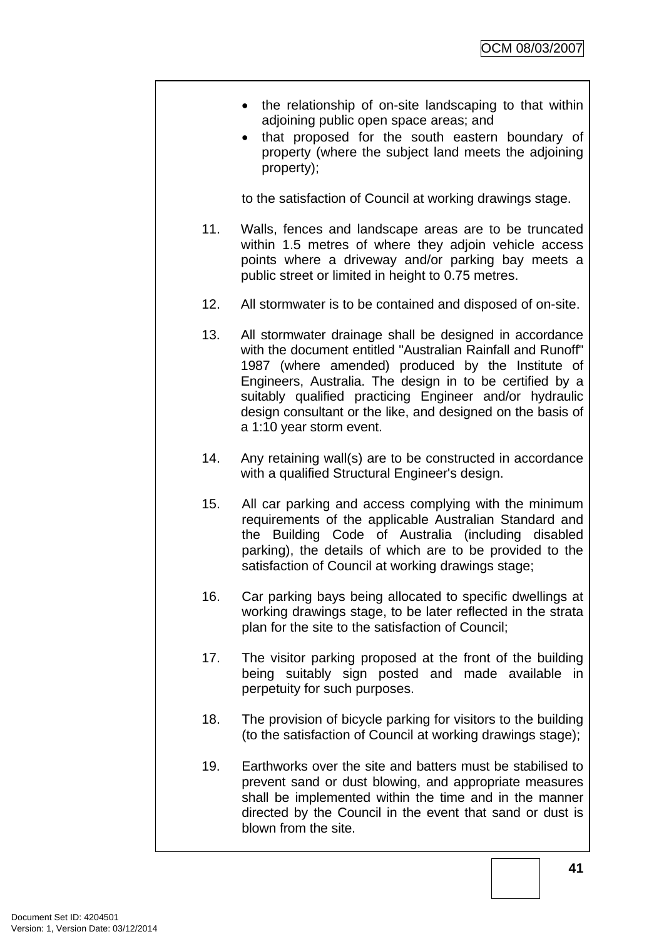- the relationship of on-site landscaping to that within adjoining public open space areas; and
- that proposed for the south eastern boundary of property (where the subject land meets the adjoining property);

to the satisfaction of Council at working drawings stage.

- 11. Walls, fences and landscape areas are to be truncated within 1.5 metres of where they adjoin vehicle access points where a driveway and/or parking bay meets a public street or limited in height to 0.75 metres.
- 12. All stormwater is to be contained and disposed of on-site.
- 13. All stormwater drainage shall be designed in accordance with the document entitled "Australian Rainfall and Runoff" 1987 (where amended) produced by the Institute of Engineers, Australia. The design in to be certified by a suitably qualified practicing Engineer and/or hydraulic design consultant or the like, and designed on the basis of a 1:10 year storm event.
- 14. Any retaining wall(s) are to be constructed in accordance with a qualified Structural Engineer's design.
- 15. All car parking and access complying with the minimum requirements of the applicable Australian Standard and the Building Code of Australia (including disabled parking), the details of which are to be provided to the satisfaction of Council at working drawings stage;
- 16. Car parking bays being allocated to specific dwellings at working drawings stage, to be later reflected in the strata plan for the site to the satisfaction of Council;
- 17. The visitor parking proposed at the front of the building being suitably sign posted and made available in perpetuity for such purposes.
- 18. The provision of bicycle parking for visitors to the building (to the satisfaction of Council at working drawings stage);
- 19. Earthworks over the site and batters must be stabilised to prevent sand or dust blowing, and appropriate measures shall be implemented within the time and in the manner directed by the Council in the event that sand or dust is blown from the site.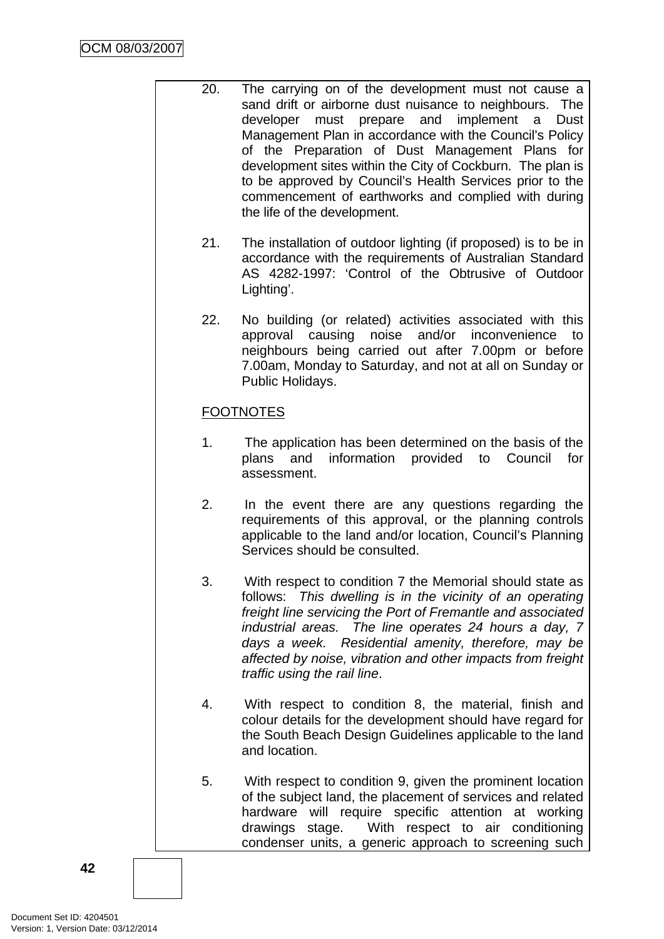- 20. The carrying on of the development must not cause a sand drift or airborne dust nuisance to neighbours. The developer must prepare and implement a Dust Management Plan in accordance with the Council's Policy of the Preparation of Dust Management Plans for development sites within the City of Cockburn. The plan is to be approved by Council's Health Services prior to the commencement of earthworks and complied with during the life of the development.
	- 21. The installation of outdoor lighting (if proposed) is to be in accordance with the requirements of Australian Standard AS 4282-1997: 'Control of the Obtrusive of Outdoor Lighting'.
	- 22. No building (or related) activities associated with this approval causing noise and/or inconvenience to neighbours being carried out after 7.00pm or before 7.00am, Monday to Saturday, and not at all on Sunday or Public Holidays.

# FOOTNOTES

- 1. The application has been determined on the basis of the plans and information provided to Council for assessment.
- 2. In the event there are any questions regarding the requirements of this approval, or the planning controls applicable to the land and/or location, Council's Planning Services should be consulted.
- 3. With respect to condition 7 the Memorial should state as follows: *This dwelling is in the vicinity of an operating freight line servicing the Port of Fremantle and associated industrial areas. The line operates 24 hours a day, 7 days a week. Residential amenity, therefore, may be affected by noise, vibration and other impacts from freight traffic using the rail line*.
- 4. With respect to condition 8, the material, finish and colour details for the development should have regard for the South Beach Design Guidelines applicable to the land and location.
- 5. With respect to condition 9, given the prominent location of the subject land, the placement of services and related hardware will require specific attention at working<br>drawings stage. With respect to air conditioning With respect to air conditioning condenser units, a generic approach to screening such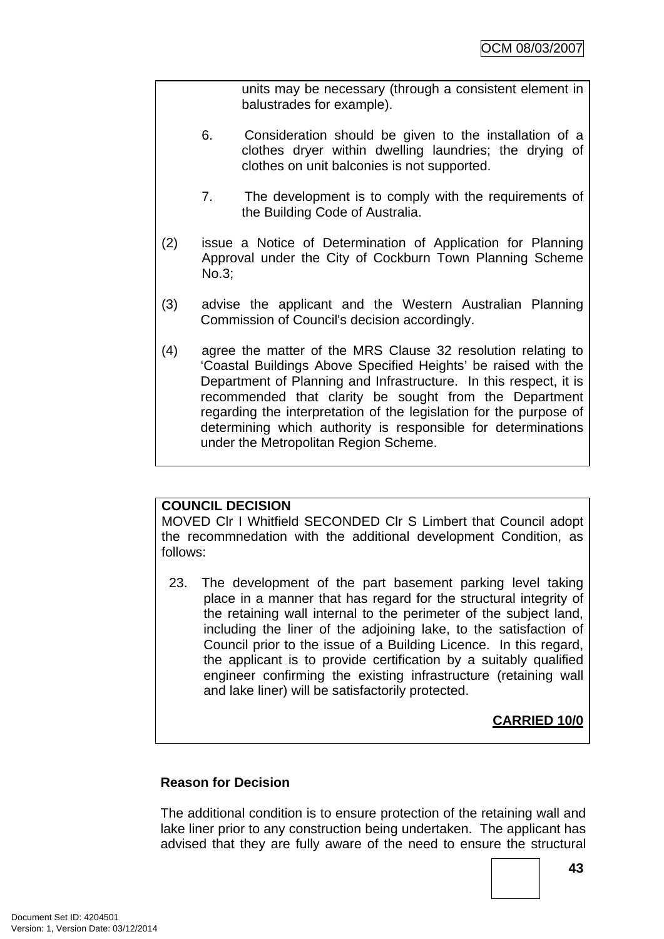units may be necessary (through a consistent element in balustrades for example).

- 6. Consideration should be given to the installation of a clothes dryer within dwelling laundries; the drying of clothes on unit balconies is not supported.
- 7. The development is to comply with the requirements of the Building Code of Australia.
- (2) issue a Notice of Determination of Application for Planning Approval under the City of Cockburn Town Planning Scheme No.3;
- (3) advise the applicant and the Western Australian Planning Commission of Council's decision accordingly.
- (4) agree the matter of the MRS Clause 32 resolution relating to 'Coastal Buildings Above Specified Heights' be raised with the Department of Planning and Infrastructure. In this respect, it is recommended that clarity be sought from the Department regarding the interpretation of the legislation for the purpose of determining which authority is responsible for determinations under the Metropolitan Region Scheme.

# **COUNCIL DECISION**

MOVED Clr I Whitfield SECONDED Clr S Limbert that Council adopt the recommnedation with the additional development Condition, as follows:

 23. The development of the part basement parking level taking place in a manner that has regard for the structural integrity of the retaining wall internal to the perimeter of the subject land, including the liner of the adjoining lake, to the satisfaction of Council prior to the issue of a Building Licence. In this regard, the applicant is to provide certification by a suitably qualified engineer confirming the existing infrastructure (retaining wall and lake liner) will be satisfactorily protected.

**CARRIED 10/0**

## **Reason for Decision**

The additional condition is to ensure protection of the retaining wall and lake liner prior to any construction being undertaken. The applicant has advised that they are fully aware of the need to ensure the structural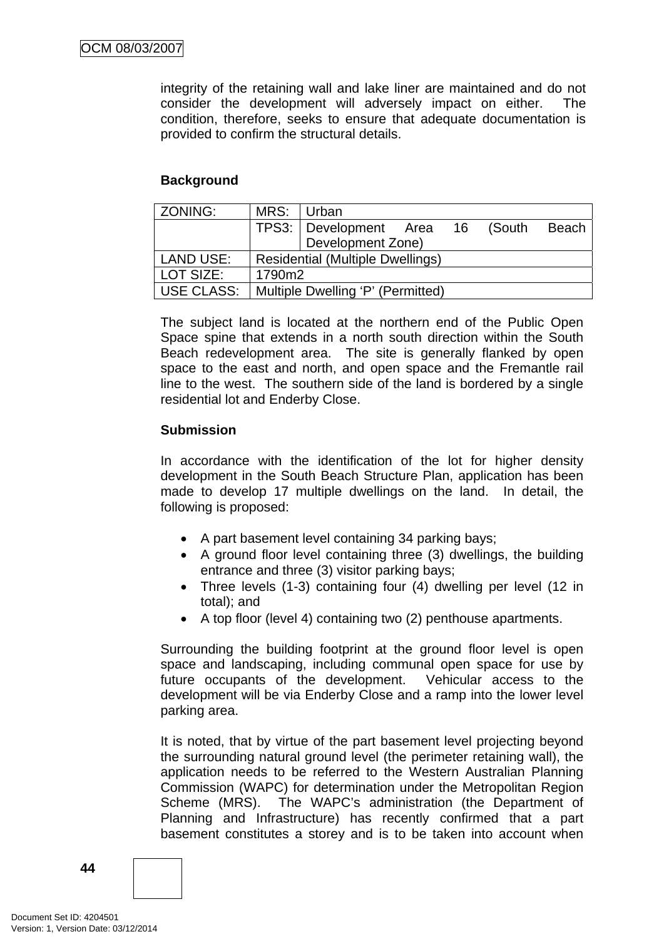integrity of the retaining wall and lake liner are maintained and do not consider the development will adversely impact on either. The condition, therefore, seeks to ensure that adequate documentation is provided to confirm the structural details.

## **Background**

| ZONING:           | MRS: Urban                              |                           |  |        |       |
|-------------------|-----------------------------------------|---------------------------|--|--------|-------|
|                   |                                         | TPS3: Development Area 16 |  | (South | Beach |
|                   |                                         | Development Zone)         |  |        |       |
| LAND USE:         | <b>Residential (Multiple Dwellings)</b> |                           |  |        |       |
| LOT SIZE:         | 1790m2                                  |                           |  |        |       |
| <b>USE CLASS:</b> | Multiple Dwelling 'P' (Permitted)       |                           |  |        |       |

The subject land is located at the northern end of the Public Open Space spine that extends in a north south direction within the South Beach redevelopment area. The site is generally flanked by open space to the east and north, and open space and the Fremantle rail line to the west. The southern side of the land is bordered by a single residential lot and Enderby Close.

## **Submission**

In accordance with the identification of the lot for higher density development in the South Beach Structure Plan, application has been made to develop 17 multiple dwellings on the land. In detail, the following is proposed:

- A part basement level containing 34 parking bays;
- A ground floor level containing three (3) dwellings, the building entrance and three (3) visitor parking bays;
- Three levels (1-3) containing four (4) dwelling per level (12 in total); and
- A top floor (level 4) containing two (2) penthouse apartments.

Surrounding the building footprint at the ground floor level is open space and landscaping, including communal open space for use by future occupants of the development. Vehicular access to the development will be via Enderby Close and a ramp into the lower level parking area.

It is noted, that by virtue of the part basement level projecting beyond the surrounding natural ground level (the perimeter retaining wall), the application needs to be referred to the Western Australian Planning Commission (WAPC) for determination under the Metropolitan Region Scheme (MRS). The WAPC's administration (the Department of Planning and Infrastructure) has recently confirmed that a part basement constitutes a storey and is to be taken into account when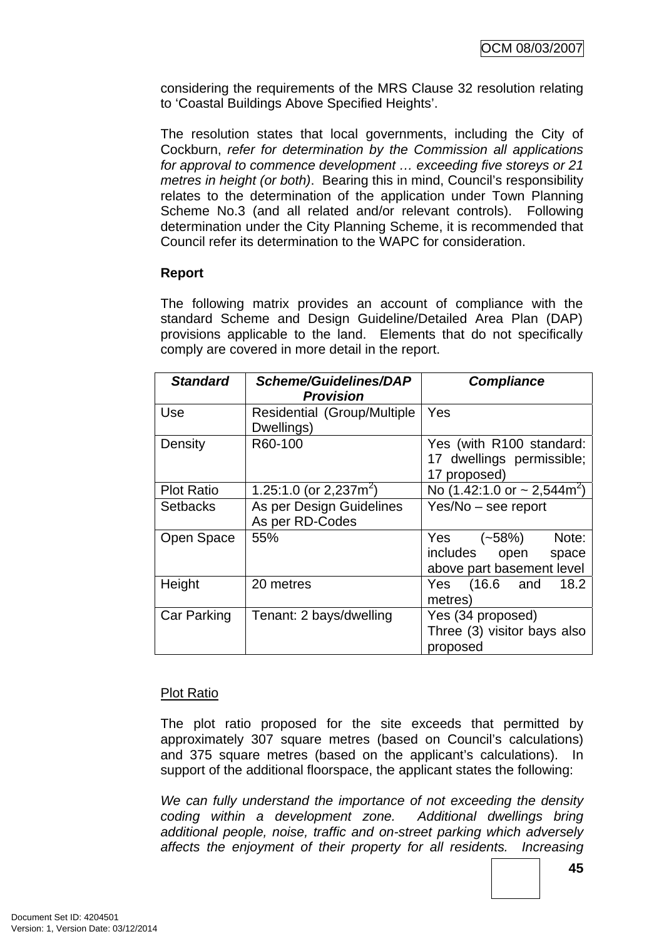considering the requirements of the MRS Clause 32 resolution relating to 'Coastal Buildings Above Specified Heights'.

The resolution states that local governments, including the City of Cockburn, *refer for determination by the Commission all applications for approval to commence development … exceeding five storeys or 21 metres in height (or both)*. Bearing this in mind, Council's responsibility relates to the determination of the application under Town Planning Scheme No.3 (and all related and/or relevant controls). Following determination under the City Planning Scheme, it is recommended that Council refer its determination to the WAPC for consideration.

## **Report**

The following matrix provides an account of compliance with the standard Scheme and Design Guideline/Detailed Area Plan (DAP) provisions applicable to the land. Elements that do not specifically comply are covered in more detail in the report.

| <b>Standard</b>   | Scheme/Guidelines/DAP<br><b>Provision</b>   | <b>Compliance</b>                                                          |
|-------------------|---------------------------------------------|----------------------------------------------------------------------------|
| Use               | Residential (Group/Multiple<br>Dwellings)   | Yes                                                                        |
| Density           | R60-100                                     | Yes (with R100 standard:<br>17 dwellings permissible;<br>17 proposed)      |
| <b>Plot Ratio</b> | 1.25:1.0 (or 2,237m <sup>2</sup> )          | No $(1.42:1.0 \text{ or } \sim 2.544 \text{ m}^2)$                         |
| <b>Setbacks</b>   | As per Design Guidelines<br>As per RD-Codes | Yes/No – see report                                                        |
| Open Space        | 55%                                         | Note:<br>Yes (~58%)<br>includes open<br>space<br>above part basement level |
| Height            | 20 metres                                   | Yes (16.6 and<br>18.2<br>metres)                                           |
| Car Parking       | Tenant: 2 bays/dwelling                     | Yes (34 proposed)<br>Three (3) visitor bays also<br>proposed               |

# Plot Ratio

The plot ratio proposed for the site exceeds that permitted by approximately 307 square metres (based on Council's calculations) and 375 square metres (based on the applicant's calculations). In support of the additional floorspace, the applicant states the following:

*We can fully understand the importance of not exceeding the density coding within a development zone. Additional dwellings bring additional people, noise, traffic and on-street parking which adversely affects the enjoyment of their property for all residents. Increasing*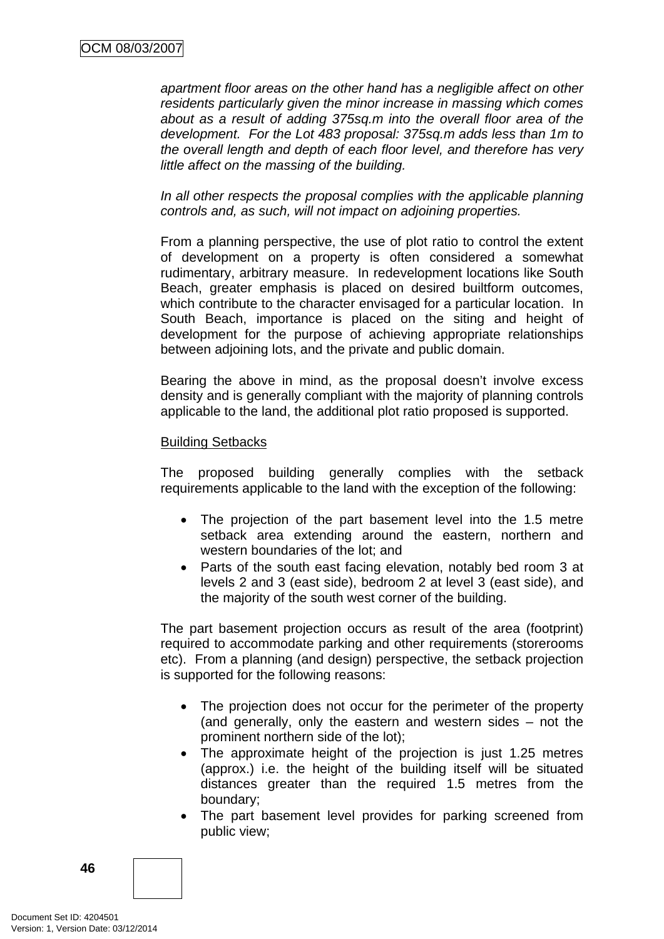*apartment floor areas on the other hand has a negligible affect on other residents particularly given the minor increase in massing which comes about as a result of adding 375sq.m into the overall floor area of the development. For the Lot 483 proposal: 375sq.m adds less than 1m to the overall length and depth of each floor level, and therefore has very little affect on the massing of the building.* 

In all other respects the proposal complies with the applicable planning *controls and, as such, will not impact on adjoining properties.* 

From a planning perspective, the use of plot ratio to control the extent of development on a property is often considered a somewhat rudimentary, arbitrary measure. In redevelopment locations like South Beach, greater emphasis is placed on desired builtform outcomes, which contribute to the character envisaged for a particular location. In South Beach, importance is placed on the siting and height of development for the purpose of achieving appropriate relationships between adjoining lots, and the private and public domain.

Bearing the above in mind, as the proposal doesn't involve excess density and is generally compliant with the majority of planning controls applicable to the land, the additional plot ratio proposed is supported.

#### Building Setbacks

The proposed building generally complies with the setback requirements applicable to the land with the exception of the following:

- The projection of the part basement level into the 1.5 metre setback area extending around the eastern, northern and western boundaries of the lot; and
- Parts of the south east facing elevation, notably bed room 3 at levels 2 and 3 (east side), bedroom 2 at level 3 (east side), and the majority of the south west corner of the building.

The part basement projection occurs as result of the area (footprint) required to accommodate parking and other requirements (storerooms etc). From a planning (and design) perspective, the setback projection is supported for the following reasons:

- The projection does not occur for the perimeter of the property (and generally, only the eastern and western sides – not the prominent northern side of the lot);
- The approximate height of the projection is just 1.25 metres (approx.) i.e. the height of the building itself will be situated distances greater than the required 1.5 metres from the boundary;
- The part basement level provides for parking screened from public view;

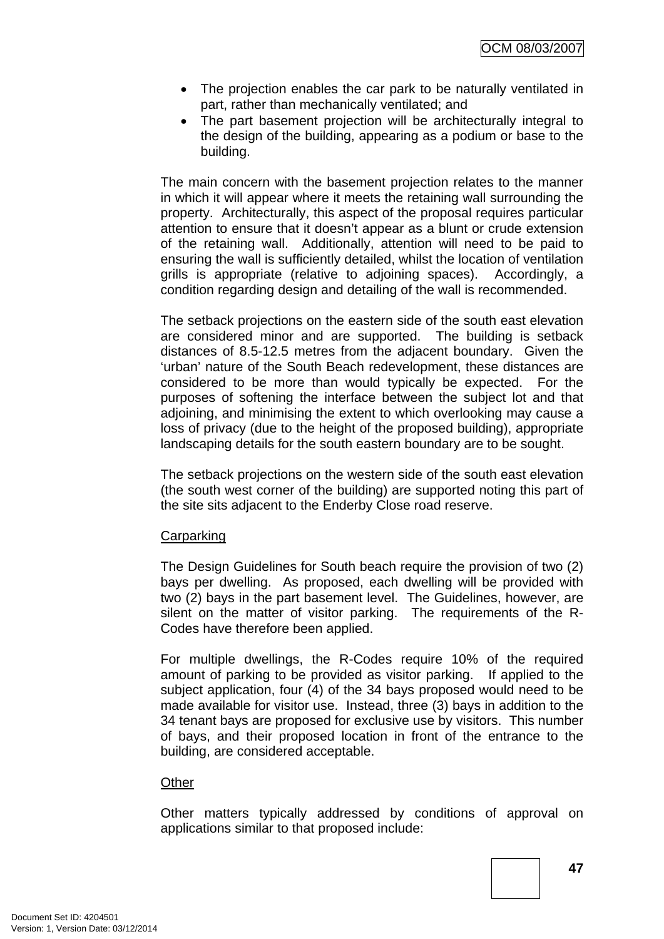- The projection enables the car park to be naturally ventilated in part, rather than mechanically ventilated; and
- The part basement projection will be architecturally integral to the design of the building, appearing as a podium or base to the building.

The main concern with the basement projection relates to the manner in which it will appear where it meets the retaining wall surrounding the property. Architecturally, this aspect of the proposal requires particular attention to ensure that it doesn't appear as a blunt or crude extension of the retaining wall. Additionally, attention will need to be paid to ensuring the wall is sufficiently detailed, whilst the location of ventilation grills is appropriate (relative to adjoining spaces). Accordingly, a condition regarding design and detailing of the wall is recommended.

The setback projections on the eastern side of the south east elevation are considered minor and are supported. The building is setback distances of 8.5-12.5 metres from the adjacent boundary. Given the 'urban' nature of the South Beach redevelopment, these distances are considered to be more than would typically be expected. For the purposes of softening the interface between the subject lot and that adjoining, and minimising the extent to which overlooking may cause a loss of privacy (due to the height of the proposed building), appropriate landscaping details for the south eastern boundary are to be sought.

The setback projections on the western side of the south east elevation (the south west corner of the building) are supported noting this part of the site sits adjacent to the Enderby Close road reserve.

# **Carparking**

The Design Guidelines for South beach require the provision of two (2) bays per dwelling. As proposed, each dwelling will be provided with two (2) bays in the part basement level. The Guidelines, however, are silent on the matter of visitor parking. The requirements of the R-Codes have therefore been applied.

For multiple dwellings, the R-Codes require 10% of the required amount of parking to be provided as visitor parking. If applied to the subject application, four (4) of the 34 bays proposed would need to be made available for visitor use. Instead, three (3) bays in addition to the 34 tenant bays are proposed for exclusive use by visitors. This number of bays, and their proposed location in front of the entrance to the building, are considered acceptable.

# **Other**

Other matters typically addressed by conditions of approval on applications similar to that proposed include: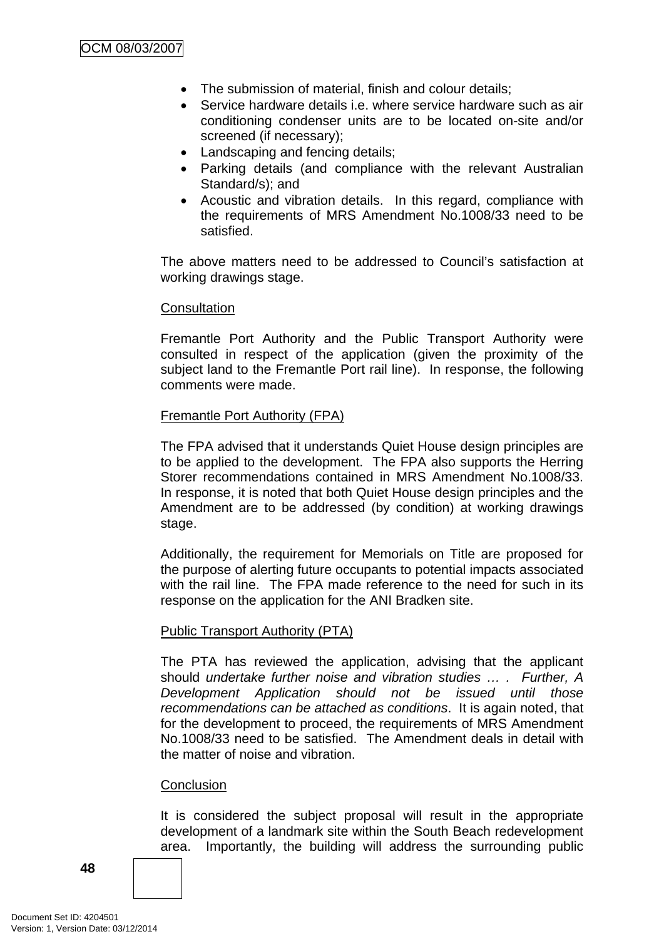- The submission of material, finish and colour details;
- Service hardware details i.e. where service hardware such as air conditioning condenser units are to be located on-site and/or screened (if necessary);
- Landscaping and fencing details;
- Parking details (and compliance with the relevant Australian Standard/s); and
- Acoustic and vibration details. In this regard, compliance with the requirements of MRS Amendment No.1008/33 need to be satisfied.

The above matters need to be addressed to Council's satisfaction at working drawings stage.

## **Consultation**

Fremantle Port Authority and the Public Transport Authority were consulted in respect of the application (given the proximity of the subject land to the Fremantle Port rail line). In response, the following comments were made.

## Fremantle Port Authority (FPA)

The FPA advised that it understands Quiet House design principles are to be applied to the development. The FPA also supports the Herring Storer recommendations contained in MRS Amendment No.1008/33. In response, it is noted that both Quiet House design principles and the Amendment are to be addressed (by condition) at working drawings stage.

Additionally, the requirement for Memorials on Title are proposed for the purpose of alerting future occupants to potential impacts associated with the rail line. The FPA made reference to the need for such in its response on the application for the ANI Bradken site.

## Public Transport Authority (PTA)

The PTA has reviewed the application, advising that the applicant should *undertake further noise and vibration studies … . Further, A Development Application should not be issued until those recommendations can be attached as conditions*. It is again noted, that for the development to proceed, the requirements of MRS Amendment No.1008/33 need to be satisfied. The Amendment deals in detail with the matter of noise and vibration.

#### **Conclusion**

It is considered the subject proposal will result in the appropriate development of a landmark site within the South Beach redevelopment area. Importantly, the building will address the surrounding public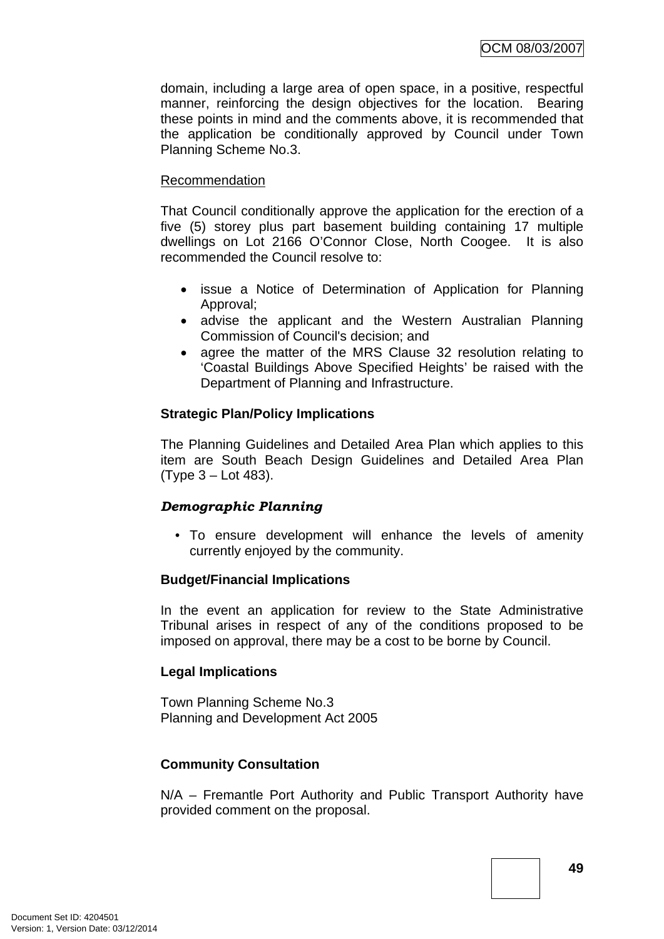domain, including a large area of open space, in a positive, respectful manner, reinforcing the design objectives for the location. Bearing these points in mind and the comments above, it is recommended that the application be conditionally approved by Council under Town Planning Scheme No.3.

## Recommendation

That Council conditionally approve the application for the erection of a five (5) storey plus part basement building containing 17 multiple dwellings on Lot 2166 O'Connor Close, North Coogee. It is also recommended the Council resolve to:

- issue a Notice of Determination of Application for Planning Approval;
- advise the applicant and the Western Australian Planning Commission of Council's decision; and
- agree the matter of the MRS Clause 32 resolution relating to 'Coastal Buildings Above Specified Heights' be raised with the Department of Planning and Infrastructure.

## **Strategic Plan/Policy Implications**

The Planning Guidelines and Detailed Area Plan which applies to this item are South Beach Design Guidelines and Detailed Area Plan (Type 3 – Lot 483).

# *Demographic Planning*

• To ensure development will enhance the levels of amenity currently enjoyed by the community.

## **Budget/Financial Implications**

In the event an application for review to the State Administrative Tribunal arises in respect of any of the conditions proposed to be imposed on approval, there may be a cost to be borne by Council.

## **Legal Implications**

Town Planning Scheme No.3 Planning and Development Act 2005

# **Community Consultation**

N/A – Fremantle Port Authority and Public Transport Authority have provided comment on the proposal.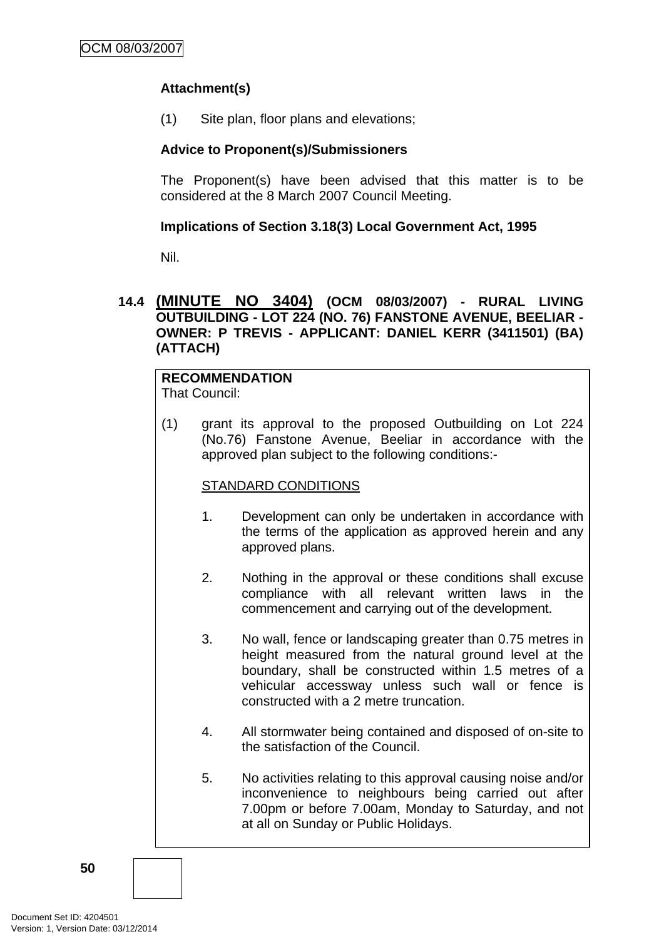# **Attachment(s)**

(1) Site plan, floor plans and elevations;

# **Advice to Proponent(s)/Submissioners**

The Proponent(s) have been advised that this matter is to be considered at the 8 March 2007 Council Meeting.

## **Implications of Section 3.18(3) Local Government Act, 1995**

Nil.

## **14.4 (MINUTE NO 3404) (OCM 08/03/2007) - RURAL LIVING OUTBUILDING - LOT 224 (NO. 76) FANSTONE AVENUE, BEELIAR - OWNER: P TREVIS - APPLICANT: DANIEL KERR (3411501) (BA) (ATTACH)**

# **RECOMMENDATION**

That Council:

(1) grant its approval to the proposed Outbuilding on Lot 224 (No.76) Fanstone Avenue, Beeliar in accordance with the approved plan subject to the following conditions:-

# STANDARD CONDITIONS

- 1. Development can only be undertaken in accordance with the terms of the application as approved herein and any approved plans.
- 2. Nothing in the approval or these conditions shall excuse compliance with all relevant written laws in the commencement and carrying out of the development.
- 3. No wall, fence or landscaping greater than 0.75 metres in height measured from the natural ground level at the boundary, shall be constructed within 1.5 metres of a vehicular accessway unless such wall or fence is constructed with a 2 metre truncation.
- 4. All stormwater being contained and disposed of on-site to the satisfaction of the Council.
- 5. No activities relating to this approval causing noise and/or inconvenience to neighbours being carried out after 7.00pm or before 7.00am, Monday to Saturday, and not at all on Sunday or Public Holidays.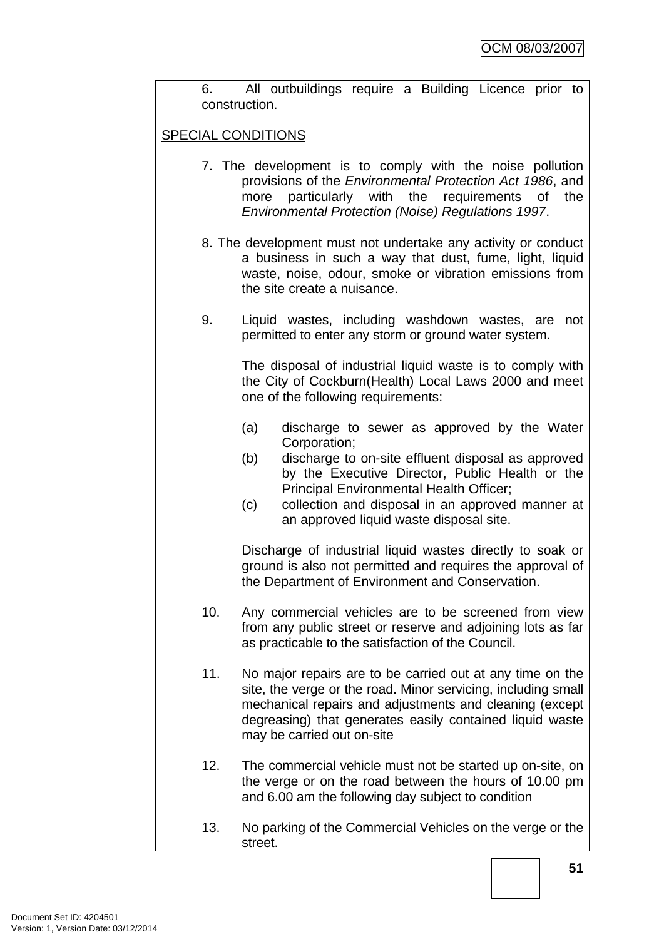6. All outbuildings require a Building Licence prior to construction.

# SPECIAL CONDITIONS

- 7. The development is to comply with the noise pollution provisions of the *Environmental Protection Act 1986*, and more particularly with the requirements of the *Environmental Protection (Noise) Regulations 1997*.
- 8. The development must not undertake any activity or conduct a business in such a way that dust, fume, light, liquid waste, noise, odour, smoke or vibration emissions from the site create a nuisance.
- 9. Liquid wastes, including washdown wastes, are not permitted to enter any storm or ground water system.

 The disposal of industrial liquid waste is to comply with the City of Cockburn(Health) Local Laws 2000 and meet one of the following requirements:

- (a) discharge to sewer as approved by the Water Corporation;
- (b) discharge to on-site effluent disposal as approved by the Executive Director, Public Health or the Principal Environmental Health Officer;
- (c) collection and disposal in an approved manner at an approved liquid waste disposal site.

 Discharge of industrial liquid wastes directly to soak or ground is also not permitted and requires the approval of the Department of Environment and Conservation.

- 10. Any commercial vehicles are to be screened from view from any public street or reserve and adjoining lots as far as practicable to the satisfaction of the Council.
- 11. No major repairs are to be carried out at any time on the site, the verge or the road. Minor servicing, including small mechanical repairs and adjustments and cleaning (except degreasing) that generates easily contained liquid waste may be carried out on-site
- 12. The commercial vehicle must not be started up on-site, on the verge or on the road between the hours of 10.00 pm and 6.00 am the following day subject to condition
- 13. No parking of the Commercial Vehicles on the verge or the street.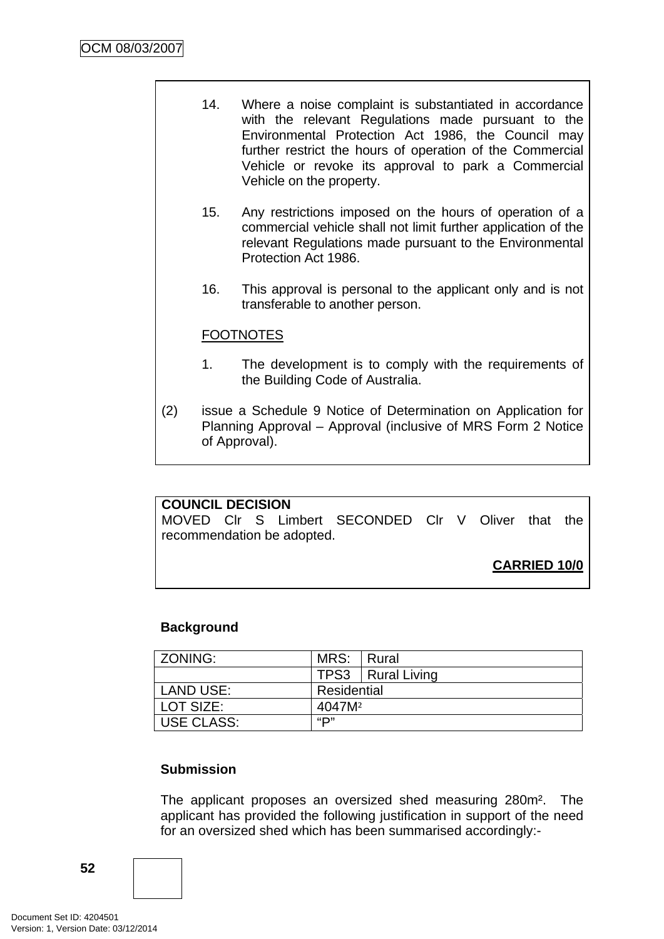- 14. Where a noise complaint is substantiated in accordance with the relevant Regulations made pursuant to the Environmental Protection Act 1986, the Council may further restrict the hours of operation of the Commercial Vehicle or revoke its approval to park a Commercial Vehicle on the property.
- 15. Any restrictions imposed on the hours of operation of a commercial vehicle shall not limit further application of the relevant Regulations made pursuant to the Environmental Protection Act 1986.
- 16. This approval is personal to the applicant only and is not transferable to another person.

## **FOOTNOTES**

- 1. The development is to comply with the requirements of the Building Code of Australia.
- (2) issue a Schedule 9 Notice of Determination on Application for Planning Approval – Approval (inclusive of MRS Form 2 Notice of Approval).

# **COUNCIL DECISION**

MOVED Clr S Limbert SECONDED Clr V Oliver that the recommendation be adopted.

**CARRIED 10/0**

## **Background**

| ZONING:           | MRS: Rural         |                     |
|-------------------|--------------------|---------------------|
|                   |                    | TPS3   Rural Living |
| LAND USE:         | Residential        |                     |
| l LOT SIZE:       | 4047M <sup>2</sup> |                     |
| <b>USE CLASS:</b> | יים "              |                     |

## **Submission**

The applicant proposes an oversized shed measuring 280m². The applicant has provided the following justification in support of the need for an oversized shed which has been summarised accordingly:-

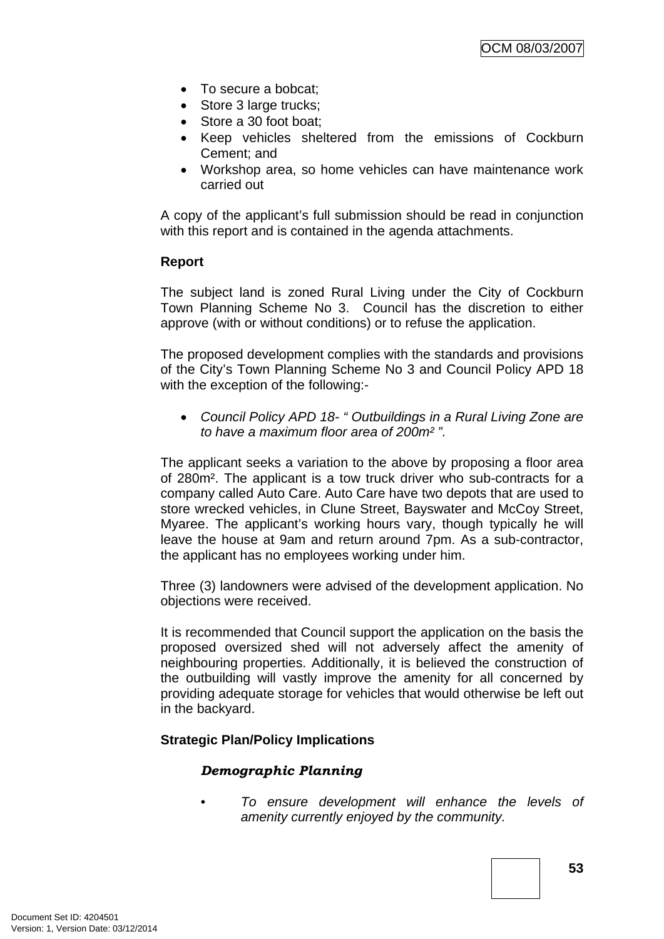- To secure a bobcat;
- Store 3 large trucks;
- Store a 30 foot boat:
- Keep vehicles sheltered from the emissions of Cockburn Cement; and
- Workshop area, so home vehicles can have maintenance work carried out

A copy of the applicant's full submission should be read in conjunction with this report and is contained in the agenda attachments.

## **Report**

The subject land is zoned Rural Living under the City of Cockburn Town Planning Scheme No 3. Council has the discretion to either approve (with or without conditions) or to refuse the application.

The proposed development complies with the standards and provisions of the City's Town Planning Scheme No 3 and Council Policy APD 18 with the exception of the following:-

• *Council Policy APD 18- " Outbuildings in a Rural Living Zone are to have a maximum floor area of 200m² ".* 

The applicant seeks a variation to the above by proposing a floor area of 280m². The applicant is a tow truck driver who sub-contracts for a company called Auto Care. Auto Care have two depots that are used to store wrecked vehicles, in Clune Street, Bayswater and McCoy Street, Myaree. The applicant's working hours vary, though typically he will leave the house at 9am and return around 7pm. As a sub-contractor, the applicant has no employees working under him.

Three (3) landowners were advised of the development application. No objections were received.

It is recommended that Council support the application on the basis the proposed oversized shed will not adversely affect the amenity of neighbouring properties. Additionally, it is believed the construction of the outbuilding will vastly improve the amenity for all concerned by providing adequate storage for vehicles that would otherwise be left out in the backyard.

# **Strategic Plan/Policy Implications**

## *Demographic Planning*

*• To ensure development will enhance the levels of amenity currently enjoyed by the community.*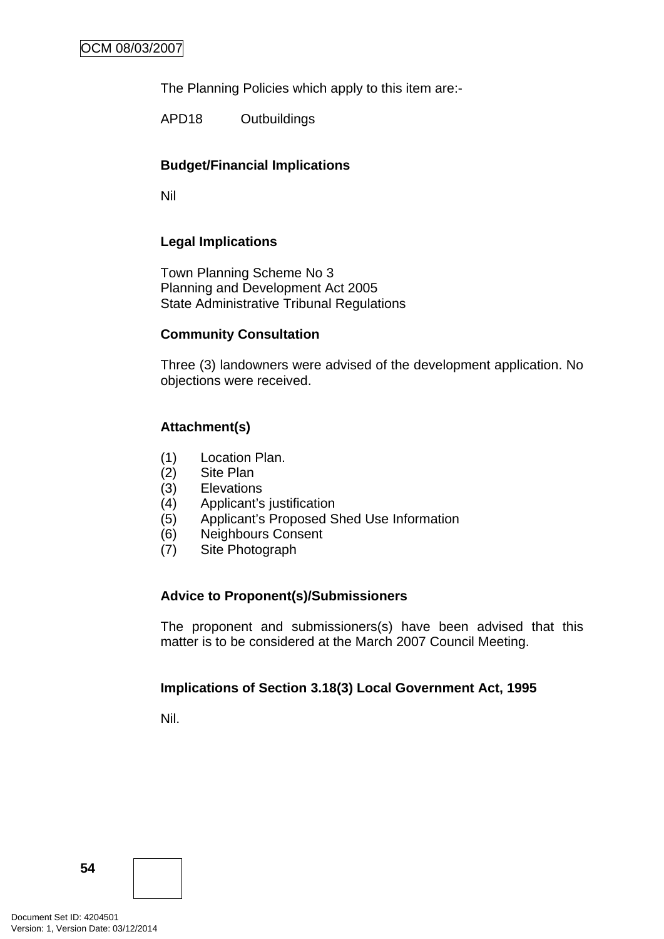The Planning Policies which apply to this item are:-

APD18 Outbuildings

## **Budget/Financial Implications**

Nil

## **Legal Implications**

Town Planning Scheme No 3 Planning and Development Act 2005 State Administrative Tribunal Regulations

#### **Community Consultation**

Three (3) landowners were advised of the development application. No objections were received.

## **Attachment(s)**

- (1) Location Plan.
- (2) Site Plan
- (3) Elevations
- (4) Applicant's justification
- (5) Applicant's Proposed Shed Use Information
- (6) Neighbours Consent
- (7) Site Photograph

## **Advice to Proponent(s)/Submissioners**

The proponent and submissioners(s) have been advised that this matter is to be considered at the March 2007 Council Meeting.

## **Implications of Section 3.18(3) Local Government Act, 1995**

Nil.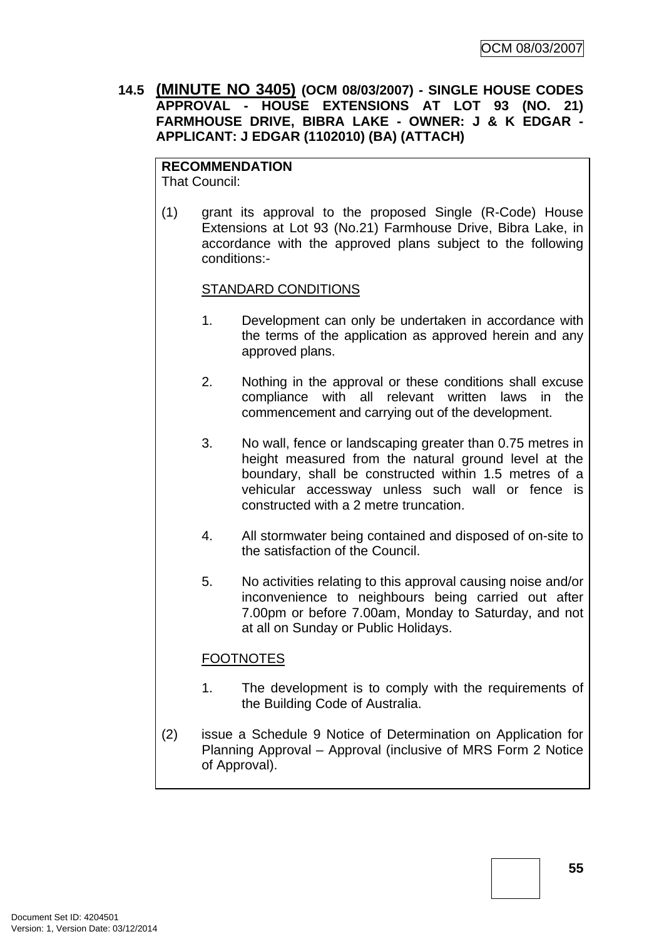**14.5 (MINUTE NO 3405) (OCM 08/03/2007) - SINGLE HOUSE CODES APPROVAL - HOUSE EXTENSIONS AT LOT 93 (NO. 21) FARMHOUSE DRIVE, BIBRA LAKE - OWNER: J & K EDGAR - APPLICANT: J EDGAR (1102010) (BA) (ATTACH)** 

## **RECOMMENDATION**

That Council:

(1) grant its approval to the proposed Single (R-Code) House Extensions at Lot 93 (No.21) Farmhouse Drive, Bibra Lake, in accordance with the approved plans subject to the following conditions:-

## STANDARD CONDITIONS

- 1. Development can only be undertaken in accordance with the terms of the application as approved herein and any approved plans.
- 2. Nothing in the approval or these conditions shall excuse compliance with all relevant written laws in the commencement and carrying out of the development.
- 3. No wall, fence or landscaping greater than 0.75 metres in height measured from the natural ground level at the boundary, shall be constructed within 1.5 metres of a vehicular accessway unless such wall or fence is constructed with a 2 metre truncation.
- 4. All stormwater being contained and disposed of on-site to the satisfaction of the Council.
- 5. No activities relating to this approval causing noise and/or inconvenience to neighbours being carried out after 7.00pm or before 7.00am, Monday to Saturday, and not at all on Sunday or Public Holidays.

# FOOTNOTES

- 1. The development is to comply with the requirements of the Building Code of Australia.
- (2) issue a Schedule 9 Notice of Determination on Application for Planning Approval – Approval (inclusive of MRS Form 2 Notice of Approval).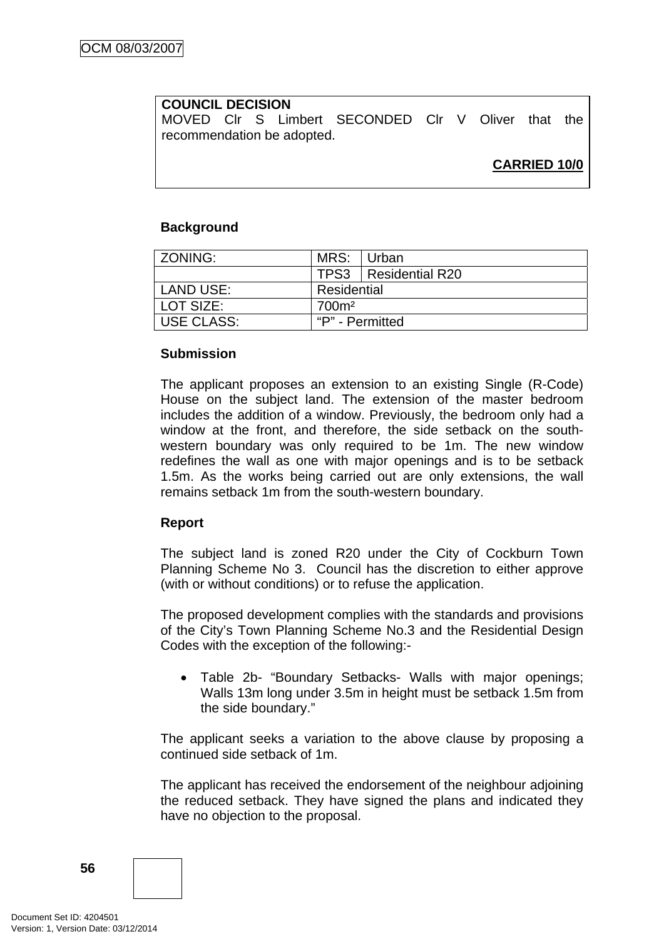## **COUNCIL DECISION**

MOVED Clr S Limbert SECONDED Clr V Oliver that the recommendation be adopted.

**CARRIED 10/0**

## **Background**

| l ZONING:  | MRS:              | ⊟ Urban                |  |
|------------|-------------------|------------------------|--|
|            |                   | TPS3   Residential R20 |  |
| LAND USE:  | Residential       |                        |  |
| LOT SIZE:  | 700m <sup>2</sup> |                        |  |
| USE CLASS: | "P" - Permitted   |                        |  |

#### **Submission**

The applicant proposes an extension to an existing Single (R-Code) House on the subject land. The extension of the master bedroom includes the addition of a window. Previously, the bedroom only had a window at the front, and therefore, the side setback on the southwestern boundary was only required to be 1m. The new window redefines the wall as one with major openings and is to be setback 1.5m. As the works being carried out are only extensions, the wall remains setback 1m from the south-western boundary.

## **Report**

The subject land is zoned R20 under the City of Cockburn Town Planning Scheme No 3. Council has the discretion to either approve (with or without conditions) or to refuse the application.

The proposed development complies with the standards and provisions of the City's Town Planning Scheme No.3 and the Residential Design Codes with the exception of the following:-

• Table 2b- "Boundary Setbacks- Walls with major openings; Walls 13m long under 3.5m in height must be setback 1.5m from the side boundary."

The applicant seeks a variation to the above clause by proposing a continued side setback of 1m.

The applicant has received the endorsement of the neighbour adjoining the reduced setback. They have signed the plans and indicated they have no objection to the proposal.

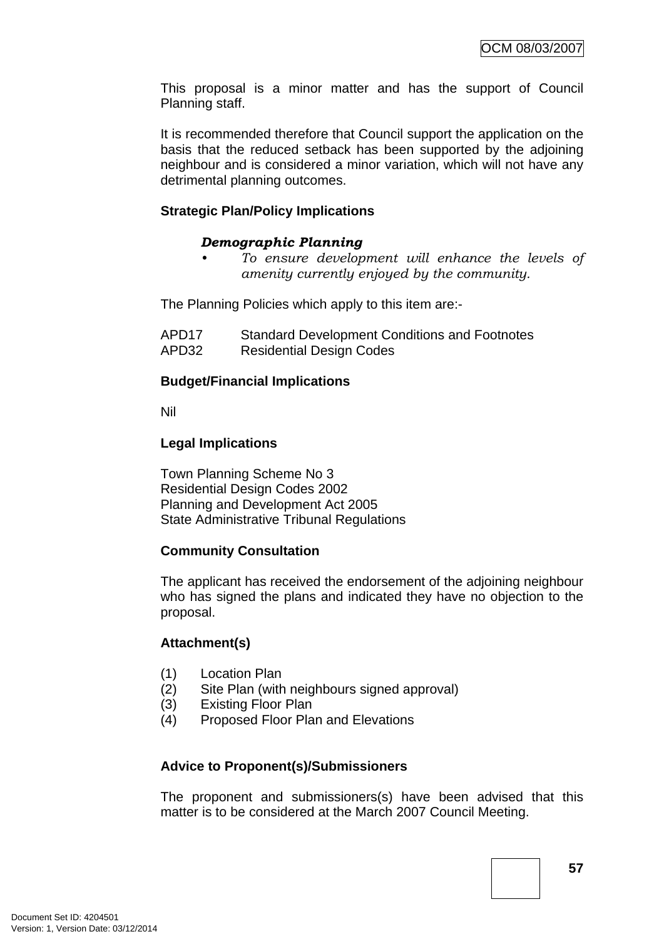This proposal is a minor matter and has the support of Council Planning staff.

It is recommended therefore that Council support the application on the basis that the reduced setback has been supported by the adjoining neighbour and is considered a minor variation, which will not have any detrimental planning outcomes.

## **Strategic Plan/Policy Implications**

## *Demographic Planning*

*• To ensure development will enhance the levels of amenity currently enjoyed by the community.*

The Planning Policies which apply to this item are:-

| APD <sub>17</sub> | <b>Standard Development Conditions and Footnotes</b> |
|-------------------|------------------------------------------------------|
| APD32             | <b>Residential Design Codes</b>                      |

## **Budget/Financial Implications**

Nil

## **Legal Implications**

Town Planning Scheme No 3 Residential Design Codes 2002 Planning and Development Act 2005 State Administrative Tribunal Regulations

## **Community Consultation**

The applicant has received the endorsement of the adjoining neighbour who has signed the plans and indicated they have no objection to the proposal.

## **Attachment(s)**

- (1) Location Plan
- (2) Site Plan (with neighbours signed approval)
- (3) Existing Floor Plan
- (4) Proposed Floor Plan and Elevations

## **Advice to Proponent(s)/Submissioners**

The proponent and submissioners(s) have been advised that this matter is to be considered at the March 2007 Council Meeting.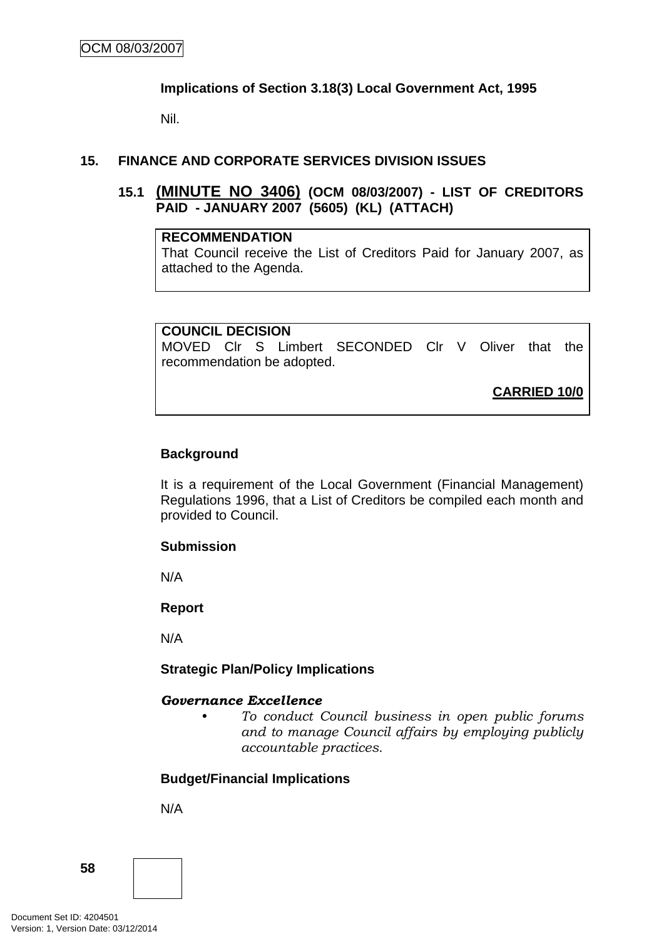## **Implications of Section 3.18(3) Local Government Act, 1995**

Nil.

# **15. FINANCE AND CORPORATE SERVICES DIVISION ISSUES**

# **15.1 (MINUTE NO 3406) (OCM 08/03/2007) - LIST OF CREDITORS PAID - JANUARY 2007 (5605) (KL) (ATTACH)**

## **RECOMMENDATION**

That Council receive the List of Creditors Paid for January 2007, as attached to the Agenda.

**COUNCIL DECISION**

MOVED Clr S Limbert SECONDED Clr V Oliver that the recommendation be adopted.

**CARRIED 10/0**

# **Background**

It is a requirement of the Local Government (Financial Management) Regulations 1996, that a List of Creditors be compiled each month and provided to Council.

# **Submission**

N/A

**Report**

N/A

# **Strategic Plan/Policy Implications**

# *Governance Excellence*

*• To conduct Council business in open public forums and to manage Council affairs by employing publicly accountable practices.* 

# **Budget/Financial Implications**

N/A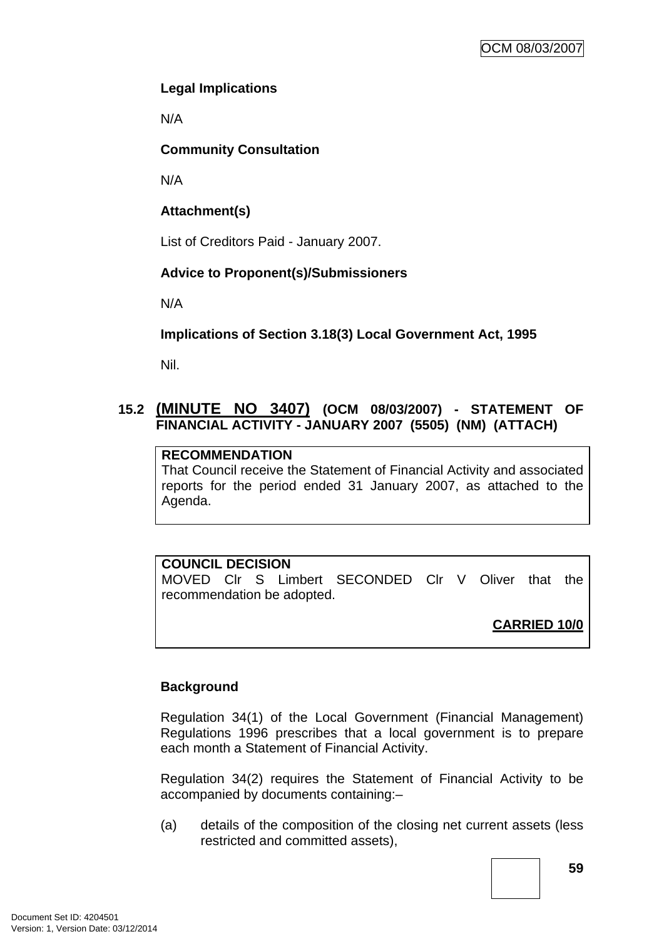# **Legal Implications**

N/A

# **Community Consultation**

N/A

# **Attachment(s)**

List of Creditors Paid - January 2007.

# **Advice to Proponent(s)/Submissioners**

N/A

**Implications of Section 3.18(3) Local Government Act, 1995**

Nil.

# **15.2 (MINUTE NO 3407) (OCM 08/03/2007) - STATEMENT OF FINANCIAL ACTIVITY - JANUARY 2007 (5505) (NM) (ATTACH)**

## **RECOMMENDATION**

That Council receive the Statement of Financial Activity and associated reports for the period ended 31 January 2007, as attached to the Agenda.

# **COUNCIL DECISION**

MOVED Clr S Limbert SECONDED Clr V Oliver that the recommendation be adopted.

# **CARRIED 10/0**

# **Background**

Regulation 34(1) of the Local Government (Financial Management) Regulations 1996 prescribes that a local government is to prepare each month a Statement of Financial Activity.

Regulation 34(2) requires the Statement of Financial Activity to be accompanied by documents containing:–

(a) details of the composition of the closing net current assets (less restricted and committed assets),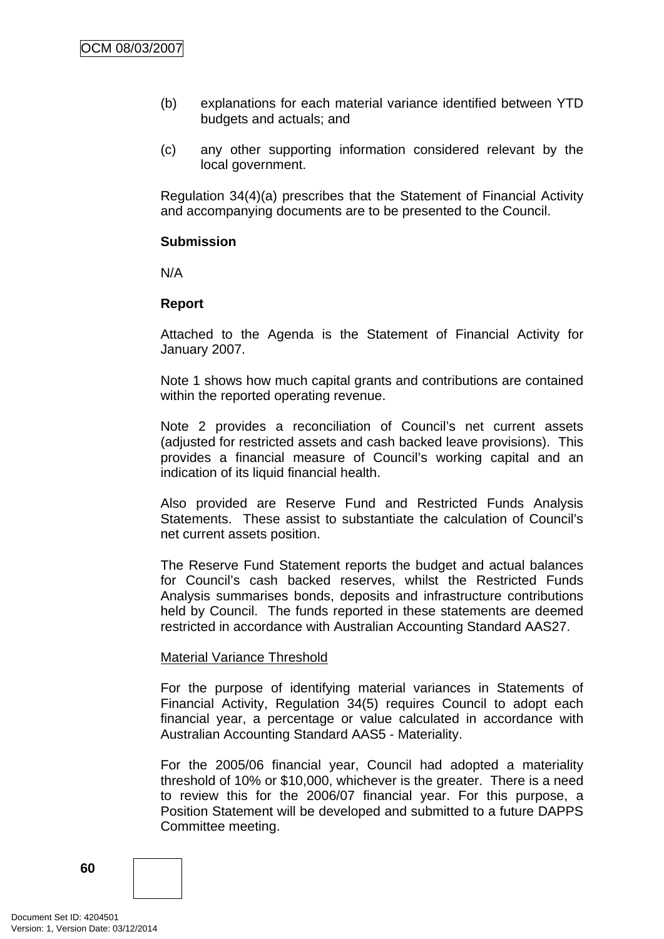- (b) explanations for each material variance identified between YTD budgets and actuals; and
- (c) any other supporting information considered relevant by the local government.

Regulation 34(4)(a) prescribes that the Statement of Financial Activity and accompanying documents are to be presented to the Council.

#### **Submission**

N/A

## **Report**

Attached to the Agenda is the Statement of Financial Activity for January 2007.

Note 1 shows how much capital grants and contributions are contained within the reported operating revenue.

Note 2 provides a reconciliation of Council's net current assets (adjusted for restricted assets and cash backed leave provisions). This provides a financial measure of Council's working capital and an indication of its liquid financial health.

Also provided are Reserve Fund and Restricted Funds Analysis Statements. These assist to substantiate the calculation of Council's net current assets position.

The Reserve Fund Statement reports the budget and actual balances for Council's cash backed reserves, whilst the Restricted Funds Analysis summarises bonds, deposits and infrastructure contributions held by Council. The funds reported in these statements are deemed restricted in accordance with Australian Accounting Standard AAS27.

## Material Variance Threshold

For the purpose of identifying material variances in Statements of Financial Activity, Regulation 34(5) requires Council to adopt each financial year, a percentage or value calculated in accordance with Australian Accounting Standard AAS5 - Materiality.

For the 2005/06 financial year, Council had adopted a materiality threshold of 10% or \$10,000, whichever is the greater. There is a need to review this for the 2006/07 financial year. For this purpose, a Position Statement will be developed and submitted to a future DAPPS Committee meeting.

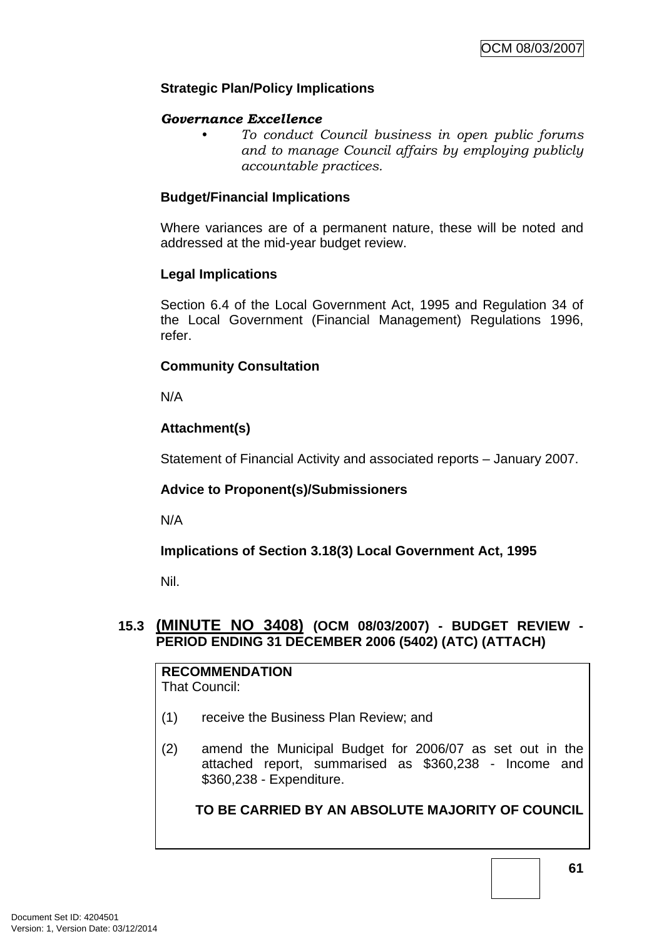## **Strategic Plan/Policy Implications**

#### *Governance Excellence*

*• To conduct Council business in open public forums and to manage Council affairs by employing publicly accountable practices.* 

#### **Budget/Financial Implications**

Where variances are of a permanent nature, these will be noted and addressed at the mid-year budget review.

#### **Legal Implications**

Section 6.4 of the Local Government Act, 1995 and Regulation 34 of the Local Government (Financial Management) Regulations 1996, refer.

## **Community Consultation**

N/A

## **Attachment(s)**

Statement of Financial Activity and associated reports – January 2007.

## **Advice to Proponent(s)/Submissioners**

N/A

**Implications of Section 3.18(3) Local Government Act, 1995**

Nil.

# **15.3 (MINUTE NO 3408) (OCM 08/03/2007) - BUDGET REVIEW - PERIOD ENDING 31 DECEMBER 2006 (5402) (ATC) (ATTACH)**

| <b>RECOMMENDATION</b> |
|-----------------------|
| <b>That Council:</b>  |

- (1) receive the Business Plan Review; and
- (2) amend the Municipal Budget for 2006/07 as set out in the attached report, summarised as \$360,238 - Income and \$360,238 - Expenditure.

**TO BE CARRIED BY AN ABSOLUTE MAJORITY OF COUNCIL**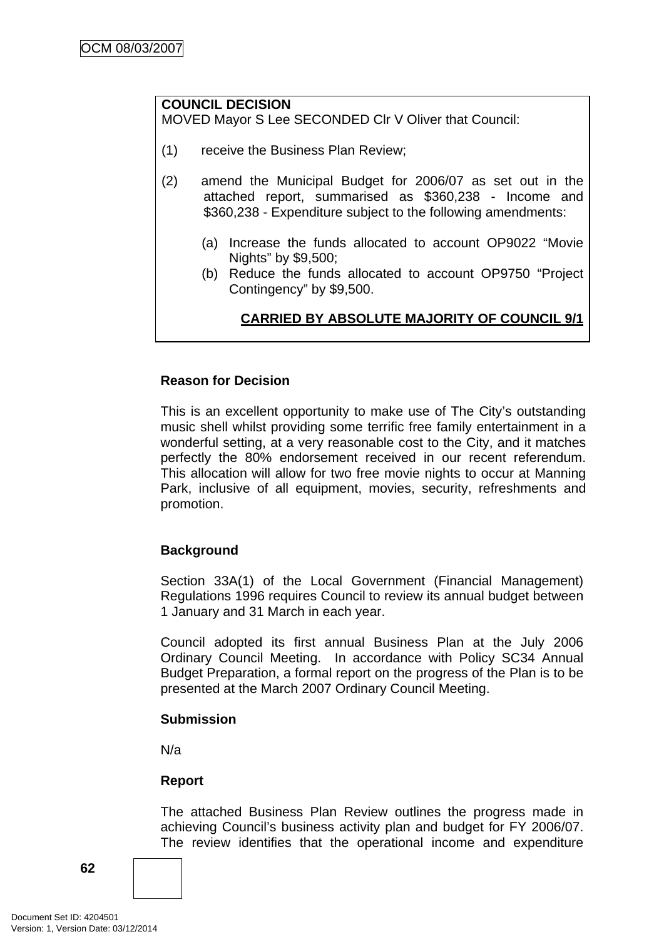# **COUNCIL DECISION**

MOVED Mayor S Lee SECONDED Clr V Oliver that Council:

- (1) receive the Business Plan Review;
- (2) amend the Municipal Budget for 2006/07 as set out in the attached report, summarised as \$360,238 - Income and \$360,238 - Expenditure subject to the following amendments:
	- (a) Increase the funds allocated to account OP9022 "Movie Nights" by \$9,500;
	- (b) Reduce the funds allocated to account OP9750 "Project Contingency" by \$9,500.

# **CARRIED BY ABSOLUTE MAJORITY OF COUNCIL 9/1**

## **Reason for Decision**

This is an excellent opportunity to make use of The City's outstanding music shell whilst providing some terrific free family entertainment in a wonderful setting, at a very reasonable cost to the City, and it matches perfectly the 80% endorsement received in our recent referendum. This allocation will allow for two free movie nights to occur at Manning Park, inclusive of all equipment, movies, security, refreshments and promotion.

## **Background**

Section 33A(1) of the Local Government (Financial Management) Regulations 1996 requires Council to review its annual budget between 1 January and 31 March in each year.

Council adopted its first annual Business Plan at the July 2006 Ordinary Council Meeting. In accordance with Policy SC34 Annual Budget Preparation, a formal report on the progress of the Plan is to be presented at the March 2007 Ordinary Council Meeting.

#### **Submission**

N/a

## **Report**

The attached Business Plan Review outlines the progress made in achieving Council's business activity plan and budget for FY 2006/07. The review identifies that the operational income and expenditure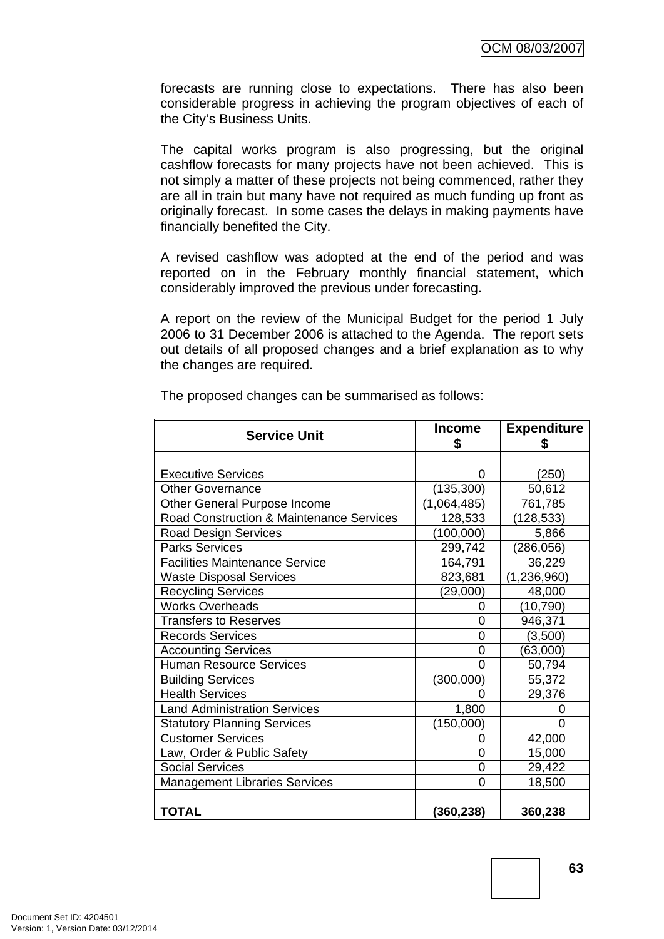forecasts are running close to expectations. There has also been considerable progress in achieving the program objectives of each of the City's Business Units.

The capital works program is also progressing, but the original cashflow forecasts for many projects have not been achieved. This is not simply a matter of these projects not being commenced, rather they are all in train but many have not required as much funding up front as originally forecast. In some cases the delays in making payments have financially benefited the City.

A revised cashflow was adopted at the end of the period and was reported on in the February monthly financial statement, which considerably improved the previous under forecasting.

A report on the review of the Municipal Budget for the period 1 July 2006 to 31 December 2006 is attached to the Agenda. The report sets out details of all proposed changes and a brief explanation as to why the changes are required.

| <b>Service Unit</b>                      | <b>Income</b><br>\$ | <b>Expenditure</b> |
|------------------------------------------|---------------------|--------------------|
|                                          |                     |                    |
| <b>Executive Services</b>                | O                   | (250)              |
| <b>Other Governance</b>                  | (135, 300)          | 50,612             |
| Other General Purpose Income             | (1,064,485)         | 761,785            |
| Road Construction & Maintenance Services | 128,533             | (128, 533)         |
| <b>Road Design Services</b>              | (100,000)           | 5,866              |
| <b>Parks Services</b>                    | 299,742             | (286, 056)         |
| <b>Facilities Maintenance Service</b>    | 164,791             | 36,229             |
| <b>Waste Disposal Services</b>           | 823,681             | (1, 236, 960)      |
| <b>Recycling Services</b>                | (29,000)            | 48,000             |
| <b>Works Overheads</b>                   | 0                   | (10, 790)          |
| <b>Transfers to Reserves</b>             | $\overline{0}$      | 946,371            |
| <b>Records Services</b>                  | 0                   | (3,500)            |
| <b>Accounting Services</b>               | $\overline{0}$      | (63,000)           |
| <b>Human Resource Services</b>           | 0                   | 50,794             |
| <b>Building Services</b>                 | (300, 000)          | 55,372             |
| <b>Health Services</b>                   |                     | 29,376             |
| <b>Land Administration Services</b>      | 1,800               | 0                  |
| <b>Statutory Planning Services</b>       | 150,000             | O                  |
| <b>Customer Services</b>                 | 0                   | 42,000             |
| Law, Order & Public Safety               | 0                   | 15,000             |
| <b>Social Services</b>                   | $\overline{0}$      | 29,422             |
| <b>Management Libraries Services</b>     | $\overline{0}$      | 18,500             |
|                                          |                     |                    |
| <b>TOTAL</b>                             | (360, 238)          | 360,238            |

The proposed changes can be summarised as follows: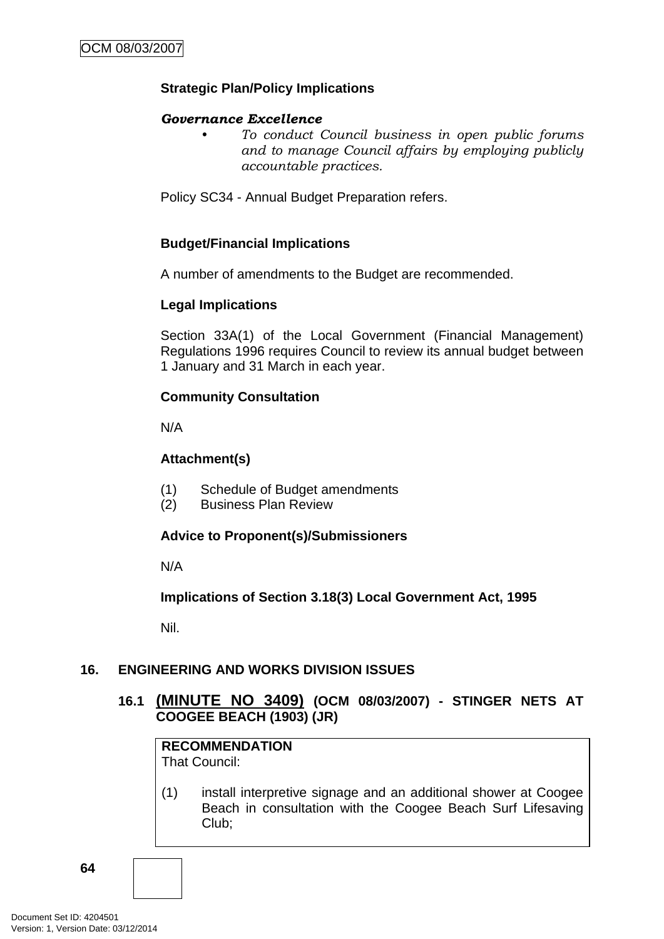# **Strategic Plan/Policy Implications**

#### *Governance Excellence*

*• To conduct Council business in open public forums and to manage Council affairs by employing publicly accountable practices.* 

Policy SC34 - Annual Budget Preparation refers.

#### **Budget/Financial Implications**

A number of amendments to the Budget are recommended.

#### **Legal Implications**

Section 33A(1) of the Local Government (Financial Management) Regulations 1996 requires Council to review its annual budget between 1 January and 31 March in each year.

## **Community Consultation**

N/A

## **Attachment(s)**

- (1) Schedule of Budget amendments
- (2) Business Plan Review

## **Advice to Proponent(s)/Submissioners**

N/A

**Implications of Section 3.18(3) Local Government Act, 1995**

Nil.

## **16. ENGINEERING AND WORKS DIVISION ISSUES**

# **16.1 (MINUTE NO 3409) (OCM 08/03/2007) - STINGER NETS AT COOGEE BEACH (1903) (JR)**

**RECOMMENDATION** That Council:

(1) install interpretive signage and an additional shower at Coogee Beach in consultation with the Coogee Beach Surf Lifesaving Club;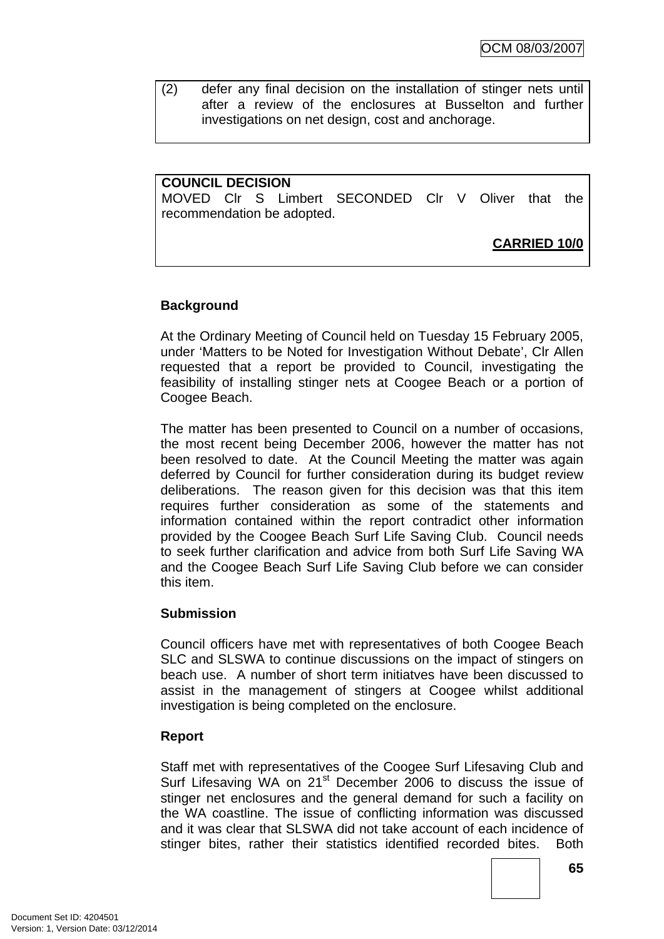(2) defer any final decision on the installation of stinger nets until after a review of the enclosures at Busselton and further investigations on net design, cost and anchorage.

## **COUNCIL DECISION**

MOVED Clr S Limbert SECONDED Clr V Oliver that the recommendation be adopted.

## **CARRIED 10/0**

## **Background**

At the Ordinary Meeting of Council held on Tuesday 15 February 2005, under 'Matters to be Noted for Investigation Without Debate', Clr Allen requested that a report be provided to Council, investigating the feasibility of installing stinger nets at Coogee Beach or a portion of Coogee Beach.

The matter has been presented to Council on a number of occasions, the most recent being December 2006, however the matter has not been resolved to date. At the Council Meeting the matter was again deferred by Council for further consideration during its budget review deliberations. The reason given for this decision was that this item requires further consideration as some of the statements and information contained within the report contradict other information provided by the Coogee Beach Surf Life Saving Club. Council needs to seek further clarification and advice from both Surf Life Saving WA and the Coogee Beach Surf Life Saving Club before we can consider this item.

#### **Submission**

Council officers have met with representatives of both Coogee Beach SLC and SLSWA to continue discussions on the impact of stingers on beach use. A number of short term initiatves have been discussed to assist in the management of stingers at Coogee whilst additional investigation is being completed on the enclosure.

#### **Report**

Staff met with representatives of the Coogee Surf Lifesaving Club and Surf Lifesaving WA on 21<sup>st</sup> December 2006 to discuss the issue of stinger net enclosures and the general demand for such a facility on the WA coastline. The issue of conflicting information was discussed and it was clear that SLSWA did not take account of each incidence of stinger bites, rather their statistics identified recorded bites. Both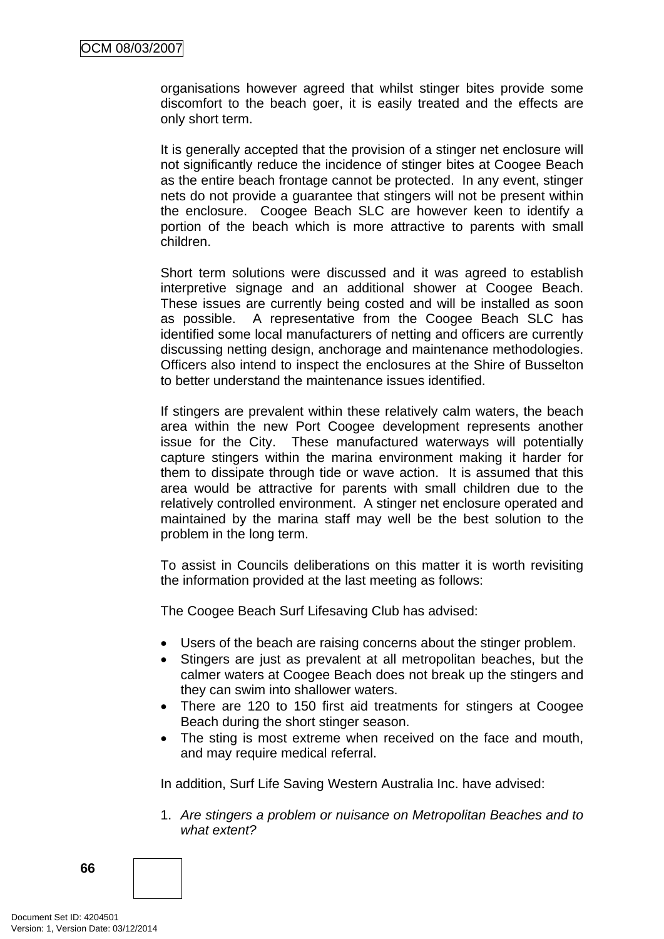organisations however agreed that whilst stinger bites provide some discomfort to the beach goer, it is easily treated and the effects are only short term.

It is generally accepted that the provision of a stinger net enclosure will not significantly reduce the incidence of stinger bites at Coogee Beach as the entire beach frontage cannot be protected. In any event, stinger nets do not provide a guarantee that stingers will not be present within the enclosure. Coogee Beach SLC are however keen to identify a portion of the beach which is more attractive to parents with small children.

Short term solutions were discussed and it was agreed to establish interpretive signage and an additional shower at Coogee Beach. These issues are currently being costed and will be installed as soon as possible. A representative from the Coogee Beach SLC has identified some local manufacturers of netting and officers are currently discussing netting design, anchorage and maintenance methodologies. Officers also intend to inspect the enclosures at the Shire of Busselton to better understand the maintenance issues identified.

If stingers are prevalent within these relatively calm waters, the beach area within the new Port Coogee development represents another issue for the City. These manufactured waterways will potentially capture stingers within the marina environment making it harder for them to dissipate through tide or wave action. It is assumed that this area would be attractive for parents with small children due to the relatively controlled environment. A stinger net enclosure operated and maintained by the marina staff may well be the best solution to the problem in the long term.

To assist in Councils deliberations on this matter it is worth revisiting the information provided at the last meeting as follows:

The Coogee Beach Surf Lifesaving Club has advised:

- Users of the beach are raising concerns about the stinger problem.
- Stingers are just as prevalent at all metropolitan beaches, but the calmer waters at Coogee Beach does not break up the stingers and they can swim into shallower waters.
- There are 120 to 150 first aid treatments for stingers at Coogee Beach during the short stinger season.
- The sting is most extreme when received on the face and mouth, and may require medical referral.

In addition, Surf Life Saving Western Australia Inc. have advised:

1. *Are stingers a problem or nuisance on Metropolitan Beaches and to what extent?*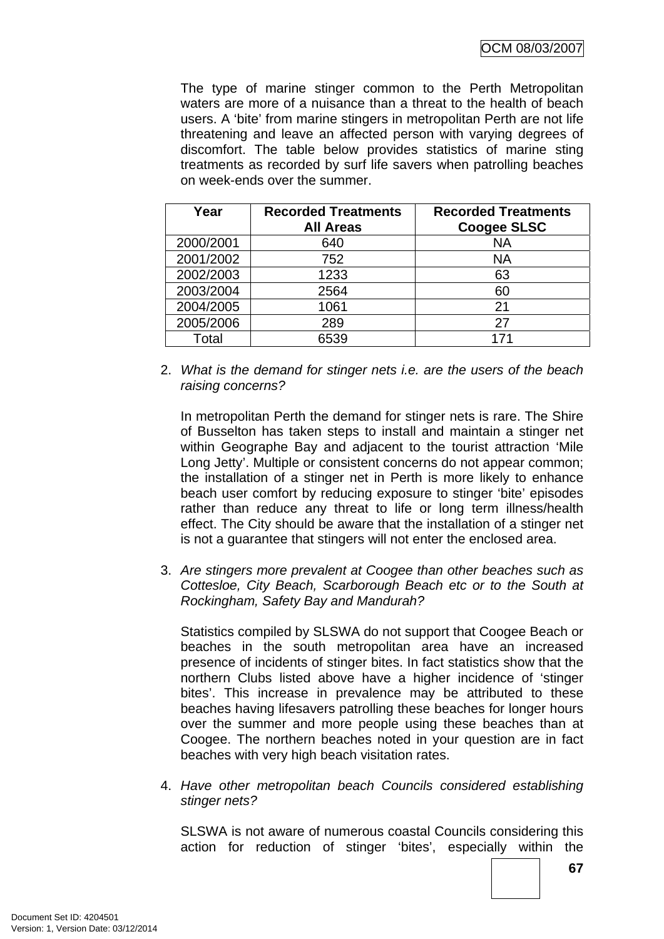The type of marine stinger common to the Perth Metropolitan waters are more of a nuisance than a threat to the health of beach users. A 'bite' from marine stingers in metropolitan Perth are not life threatening and leave an affected person with varying degrees of discomfort. The table below provides statistics of marine sting treatments as recorded by surf life savers when patrolling beaches on week-ends over the summer.

| Year      | <b>Recorded Treatments</b><br><b>All Areas</b> | <b>Recorded Treatments</b><br><b>Coogee SLSC</b> |
|-----------|------------------------------------------------|--------------------------------------------------|
| 2000/2001 | 640                                            | <b>NA</b>                                        |
| 2001/2002 | 752                                            | <b>NA</b>                                        |
| 2002/2003 | 1233                                           | 63                                               |
| 2003/2004 | 2564                                           | 60                                               |
| 2004/2005 | 1061                                           | 21                                               |
| 2005/2006 | 289                                            | 27                                               |
| Total     | 6539                                           | 171                                              |

2. *What is the demand for stinger nets i.e. are the users of the beach raising concerns?* 

In metropolitan Perth the demand for stinger nets is rare. The Shire of Busselton has taken steps to install and maintain a stinger net within Geographe Bay and adjacent to the tourist attraction 'Mile Long Jetty'. Multiple or consistent concerns do not appear common; the installation of a stinger net in Perth is more likely to enhance beach user comfort by reducing exposure to stinger 'bite' episodes rather than reduce any threat to life or long term illness/health effect. The City should be aware that the installation of a stinger net is not a guarantee that stingers will not enter the enclosed area.

3. *Are stingers more prevalent at Coogee than other beaches such as Cottesloe, City Beach, Scarborough Beach etc or to the South at Rockingham, Safety Bay and Mandurah?* 

Statistics compiled by SLSWA do not support that Coogee Beach or beaches in the south metropolitan area have an increased presence of incidents of stinger bites. In fact statistics show that the northern Clubs listed above have a higher incidence of 'stinger bites'. This increase in prevalence may be attributed to these beaches having lifesavers patrolling these beaches for longer hours over the summer and more people using these beaches than at Coogee. The northern beaches noted in your question are in fact beaches with very high beach visitation rates.

4. *Have other metropolitan beach Councils considered establishing stinger nets?* 

SLSWA is not aware of numerous coastal Councils considering this action for reduction of stinger 'bites', especially within the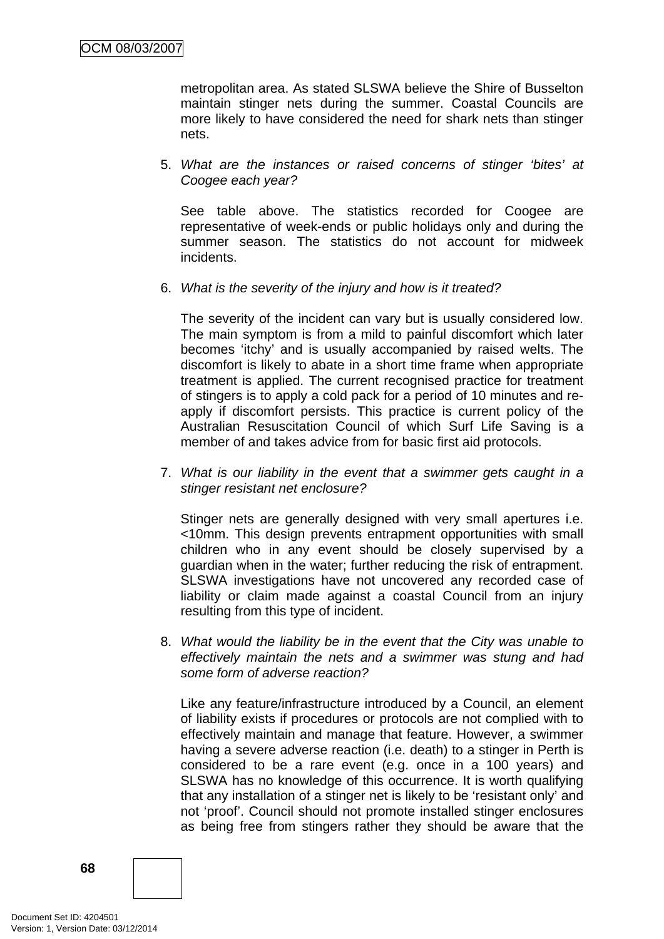metropolitan area. As stated SLSWA believe the Shire of Busselton maintain stinger nets during the summer. Coastal Councils are more likely to have considered the need for shark nets than stinger nets.

5. *What are the instances or raised concerns of stinger 'bites' at Coogee each year?* 

See table above. The statistics recorded for Coogee are representative of week-ends or public holidays only and during the summer season. The statistics do not account for midweek incidents.

#### 6. *What is the severity of the injury and how is it treated?*

The severity of the incident can vary but is usually considered low. The main symptom is from a mild to painful discomfort which later becomes 'itchy' and is usually accompanied by raised welts. The discomfort is likely to abate in a short time frame when appropriate treatment is applied. The current recognised practice for treatment of stingers is to apply a cold pack for a period of 10 minutes and reapply if discomfort persists. This practice is current policy of the Australian Resuscitation Council of which Surf Life Saving is a member of and takes advice from for basic first aid protocols.

7. *What is our liability in the event that a swimmer gets caught in a stinger resistant net enclosure?* 

Stinger nets are generally designed with very small apertures i.e. <10mm. This design prevents entrapment opportunities with small children who in any event should be closely supervised by a guardian when in the water; further reducing the risk of entrapment. SLSWA investigations have not uncovered any recorded case of liability or claim made against a coastal Council from an injury resulting from this type of incident.

8. *What would the liability be in the event that the City was unable to effectively maintain the nets and a swimmer was stung and had some form of adverse reaction?*

Like any feature/infrastructure introduced by a Council, an element of liability exists if procedures or protocols are not complied with to effectively maintain and manage that feature. However, a swimmer having a severe adverse reaction (i.e. death) to a stinger in Perth is considered to be a rare event (e.g. once in a 100 years) and SLSWA has no knowledge of this occurrence. It is worth qualifying that any installation of a stinger net is likely to be 'resistant only' and not 'proof'. Council should not promote installed stinger enclosures as being free from stingers rather they should be aware that the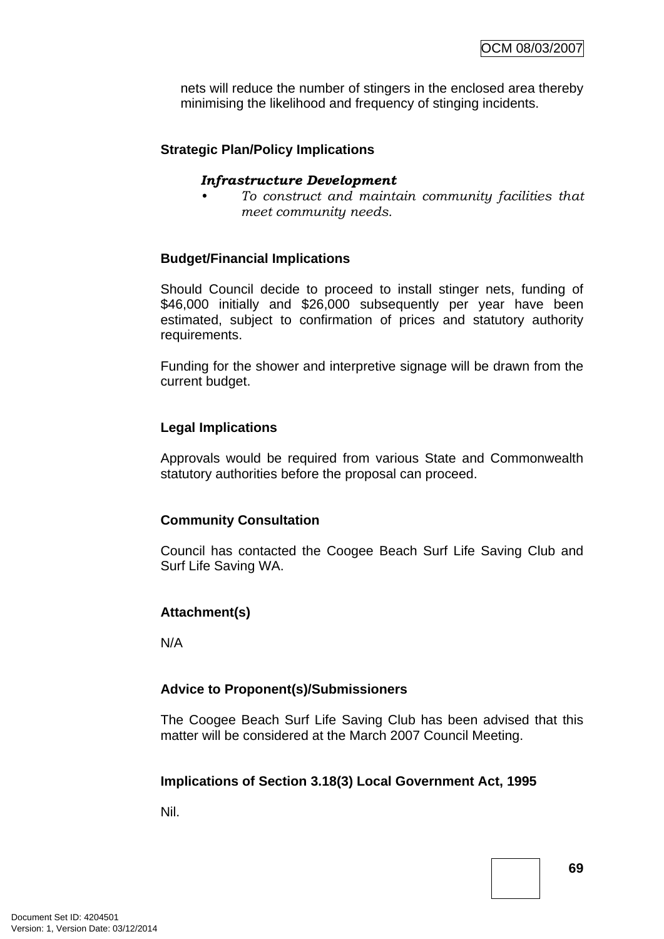nets will reduce the number of stingers in the enclosed area thereby minimising the likelihood and frequency of stinging incidents.

## **Strategic Plan/Policy Implications**

#### *Infrastructure Development*

*• To construct and maintain community facilities that meet community needs.* 

## **Budget/Financial Implications**

Should Council decide to proceed to install stinger nets, funding of \$46,000 initially and \$26,000 subsequently per year have been estimated, subject to confirmation of prices and statutory authority requirements.

Funding for the shower and interpretive signage will be drawn from the current budget.

## **Legal Implications**

Approvals would be required from various State and Commonwealth statutory authorities before the proposal can proceed.

## **Community Consultation**

Council has contacted the Coogee Beach Surf Life Saving Club and Surf Life Saving WA.

## **Attachment(s)**

N/A

## **Advice to Proponent(s)/Submissioners**

The Coogee Beach Surf Life Saving Club has been advised that this matter will be considered at the March 2007 Council Meeting.

## **Implications of Section 3.18(3) Local Government Act, 1995**

Nil.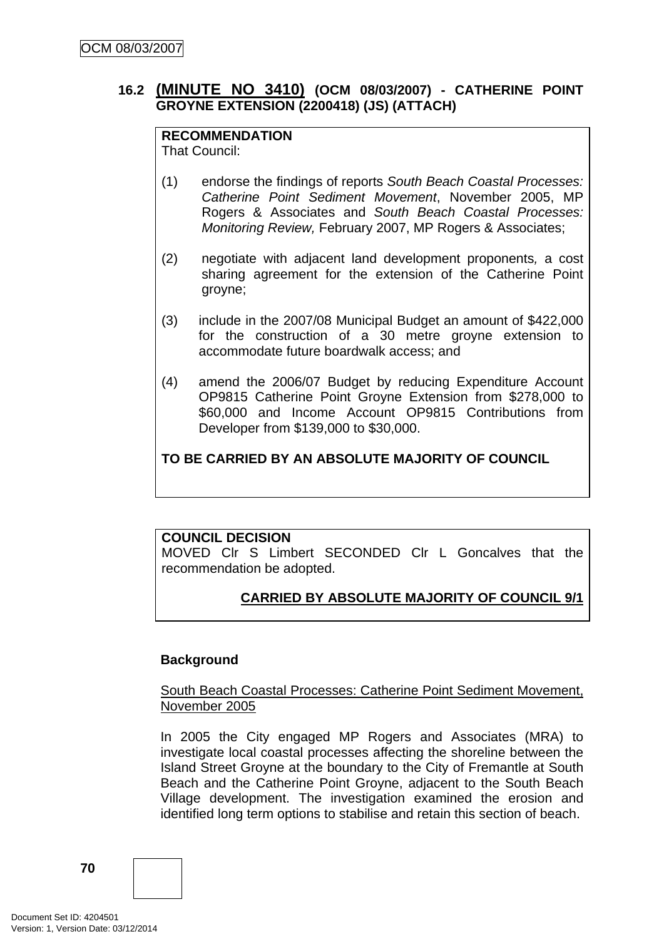## **16.2 (MINUTE NO 3410) (OCM 08/03/2007) - CATHERINE POINT GROYNE EXTENSION (2200418) (JS) (ATTACH)**

## **RECOMMENDATION**

That Council:

- (1) endorse the findings of reports *South Beach Coastal Processes: Catherine Point Sediment Movement*, November 2005, MP Rogers & Associates and *South Beach Coastal Processes: Monitoring Review,* February 2007, MP Rogers & Associates;
- (2) negotiate with adjacent land development proponents*,* a cost sharing agreement for the extension of the Catherine Point groyne;
- (3) include in the 2007/08 Municipal Budget an amount of \$422,000 for the construction of a 30 metre groyne extension to accommodate future boardwalk access; and
- (4) amend the 2006/07 Budget by reducing Expenditure Account OP9815 Catherine Point Groyne Extension from \$278,000 to \$60,000 and Income Account OP9815 Contributions from Developer from \$139,000 to \$30,000.

## **TO BE CARRIED BY AN ABSOLUTE MAJORITY OF COUNCIL**

## **COUNCIL DECISION**

MOVED Clr S Limbert SECONDED Clr L Goncalves that the recommendation be adopted.

## **CARRIED BY ABSOLUTE MAJORITY OF COUNCIL 9/1**

## **Background**

#### South Beach Coastal Processes: Catherine Point Sediment Movement, November 2005

In 2005 the City engaged MP Rogers and Associates (MRA) to investigate local coastal processes affecting the shoreline between the Island Street Groyne at the boundary to the City of Fremantle at South Beach and the Catherine Point Groyne, adjacent to the South Beach Village development. The investigation examined the erosion and identified long term options to stabilise and retain this section of beach.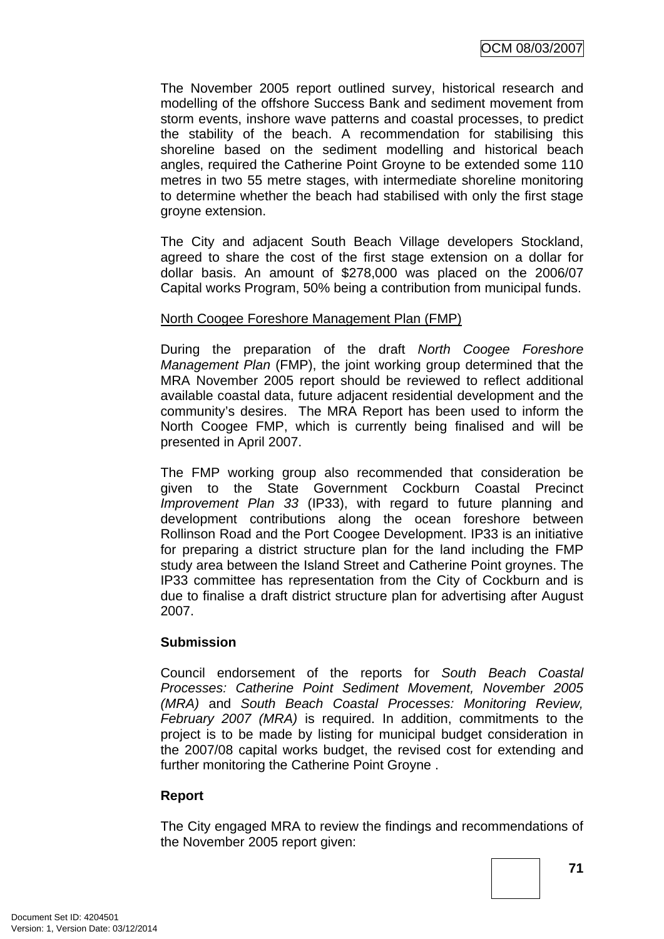The November 2005 report outlined survey, historical research and modelling of the offshore Success Bank and sediment movement from storm events, inshore wave patterns and coastal processes, to predict the stability of the beach. A recommendation for stabilising this shoreline based on the sediment modelling and historical beach angles, required the Catherine Point Groyne to be extended some 110 metres in two 55 metre stages, with intermediate shoreline monitoring to determine whether the beach had stabilised with only the first stage groyne extension.

The City and adjacent South Beach Village developers Stockland, agreed to share the cost of the first stage extension on a dollar for dollar basis. An amount of \$278,000 was placed on the 2006/07 Capital works Program, 50% being a contribution from municipal funds.

## North Coogee Foreshore Management Plan (FMP)

During the preparation of the draft *North Coogee Foreshore Management Plan* (FMP), the joint working group determined that the MRA November 2005 report should be reviewed to reflect additional available coastal data, future adjacent residential development and the community's desires. The MRA Report has been used to inform the North Coogee FMP, which is currently being finalised and will be presented in April 2007.

The FMP working group also recommended that consideration be given to the State Government Cockburn Coastal Precinct *Improvement Plan 33* (IP33), with regard to future planning and development contributions along the ocean foreshore between Rollinson Road and the Port Coogee Development. IP33 is an initiative for preparing a district structure plan for the land including the FMP study area between the Island Street and Catherine Point groynes. The IP33 committee has representation from the City of Cockburn and is due to finalise a draft district structure plan for advertising after August 2007.

## **Submission**

Council endorsement of the reports for *South Beach Coastal Processes: Catherine Point Sediment Movement, November 2005 (MRA)* and *South Beach Coastal Processes: Monitoring Review, February 2007 (MRA)* is required. In addition, commitments to the project is to be made by listing for municipal budget consideration in the 2007/08 capital works budget, the revised cost for extending and further monitoring the Catherine Point Groyne .

## **Report**

The City engaged MRA to review the findings and recommendations of the November 2005 report given: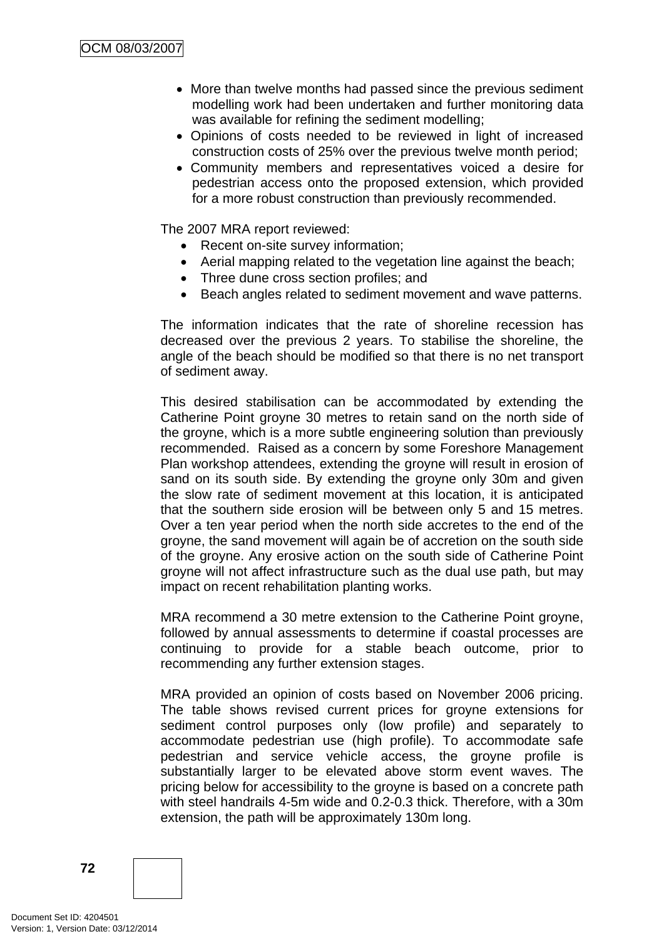- More than twelve months had passed since the previous sediment modelling work had been undertaken and further monitoring data was available for refining the sediment modelling;
- Opinions of costs needed to be reviewed in light of increased construction costs of 25% over the previous twelve month period;
- Community members and representatives voiced a desire for pedestrian access onto the proposed extension, which provided for a more robust construction than previously recommended.

The 2007 MRA report reviewed:

- Recent on-site survey information;
- Aerial mapping related to the vegetation line against the beach;
- Three dune cross section profiles; and
- Beach angles related to sediment movement and wave patterns.

The information indicates that the rate of shoreline recession has decreased over the previous 2 years. To stabilise the shoreline, the angle of the beach should be modified so that there is no net transport of sediment away.

This desired stabilisation can be accommodated by extending the Catherine Point groyne 30 metres to retain sand on the north side of the groyne, which is a more subtle engineering solution than previously recommended. Raised as a concern by some Foreshore Management Plan workshop attendees, extending the groyne will result in erosion of sand on its south side. By extending the groyne only 30m and given the slow rate of sediment movement at this location, it is anticipated that the southern side erosion will be between only 5 and 15 metres. Over a ten year period when the north side accretes to the end of the groyne, the sand movement will again be of accretion on the south side of the groyne. Any erosive action on the south side of Catherine Point groyne will not affect infrastructure such as the dual use path, but may impact on recent rehabilitation planting works.

MRA recommend a 30 metre extension to the Catherine Point groyne, followed by annual assessments to determine if coastal processes are continuing to provide for a stable beach outcome, prior to recommending any further extension stages.

MRA provided an opinion of costs based on November 2006 pricing. The table shows revised current prices for groyne extensions for sediment control purposes only (low profile) and separately to accommodate pedestrian use (high profile). To accommodate safe pedestrian and service vehicle access, the groyne profile is substantially larger to be elevated above storm event waves. The pricing below for accessibility to the groyne is based on a concrete path with steel handrails 4-5m wide and 0.2-0.3 thick. Therefore, with a 30m extension, the path will be approximately 130m long.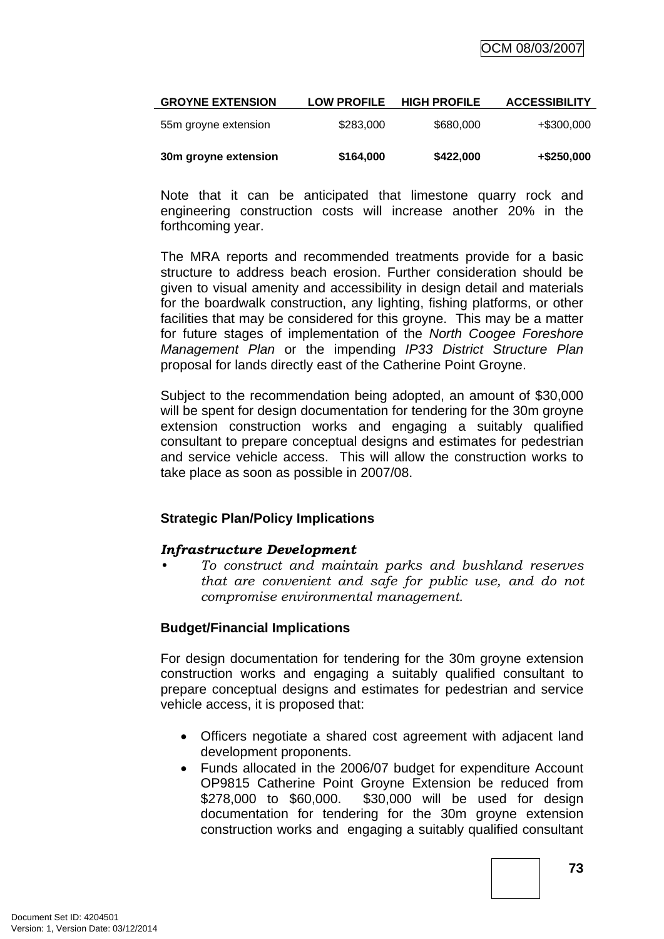| <b>GROYNE EXTENSION</b> | <b>LOW PROFILE</b> | <b>HIGH PROFILE</b> | <b>ACCESSIBILITY</b> |
|-------------------------|--------------------|---------------------|----------------------|
| 55m groyne extension    | \$283,000          | \$680,000           | +\$300,000           |
| 30m groyne extension    | \$164,000          | \$422,000           | +\$250,000           |

Note that it can be anticipated that limestone quarry rock and engineering construction costs will increase another 20% in the forthcoming year.

The MRA reports and recommended treatments provide for a basic structure to address beach erosion. Further consideration should be given to visual amenity and accessibility in design detail and materials for the boardwalk construction, any lighting, fishing platforms, or other facilities that may be considered for this groyne. This may be a matter for future stages of implementation of the *North Coogee Foreshore Management Plan* or the impending *IP33 District Structure Plan* proposal for lands directly east of the Catherine Point Groyne.

Subject to the recommendation being adopted, an amount of \$30,000 will be spent for design documentation for tendering for the 30m groyne extension construction works and engaging a suitably qualified consultant to prepare conceptual designs and estimates for pedestrian and service vehicle access. This will allow the construction works to take place as soon as possible in 2007/08.

## **Strategic Plan/Policy Implications**

## *Infrastructure Development*

*• To construct and maintain parks and bushland reserves that are convenient and safe for public use, and do not compromise environmental management.* 

## **Budget/Financial Implications**

For design documentation for tendering for the 30m groyne extension construction works and engaging a suitably qualified consultant to prepare conceptual designs and estimates for pedestrian and service vehicle access, it is proposed that:

- Officers negotiate a shared cost agreement with adjacent land development proponents.
- Funds allocated in the 2006/07 budget for expenditure Account OP9815 Catherine Point Groyne Extension be reduced from \$278,000 to \$60,000. \$30,000 will be used for design documentation for tendering for the 30m groyne extension construction works and engaging a suitably qualified consultant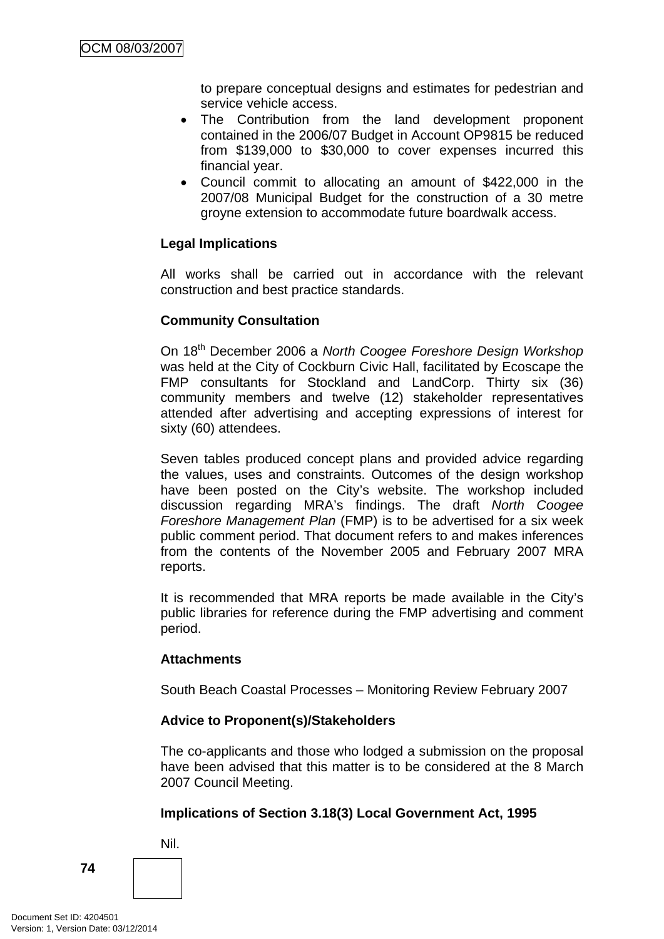to prepare conceptual designs and estimates for pedestrian and service vehicle access.

- The Contribution from the land development proponent contained in the 2006/07 Budget in Account OP9815 be reduced from \$139,000 to \$30,000 to cover expenses incurred this financial year.
- Council commit to allocating an amount of \$422,000 in the 2007/08 Municipal Budget for the construction of a 30 metre groyne extension to accommodate future boardwalk access.

## **Legal Implications**

All works shall be carried out in accordance with the relevant construction and best practice standards.

## **Community Consultation**

On 18th December 2006 a *North Coogee Foreshore Design Workshop* was held at the City of Cockburn Civic Hall, facilitated by Ecoscape the FMP consultants for Stockland and LandCorp. Thirty six (36) community members and twelve (12) stakeholder representatives attended after advertising and accepting expressions of interest for sixty (60) attendees.

Seven tables produced concept plans and provided advice regarding the values, uses and constraints. Outcomes of the design workshop have been posted on the City's website. The workshop included discussion regarding MRA's findings. The draft *North Coogee Foreshore Management Plan* (FMP) is to be advertised for a six week public comment period. That document refers to and makes inferences from the contents of the November 2005 and February 2007 MRA reports.

It is recommended that MRA reports be made available in the City's public libraries for reference during the FMP advertising and comment period.

## **Attachments**

South Beach Coastal Processes – Monitoring Review February 2007

## **Advice to Proponent(s)/Stakeholders**

The co-applicants and those who lodged a submission on the proposal have been advised that this matter is to be considered at the 8 March 2007 Council Meeting.

## **Implications of Section 3.18(3) Local Government Act, 1995**

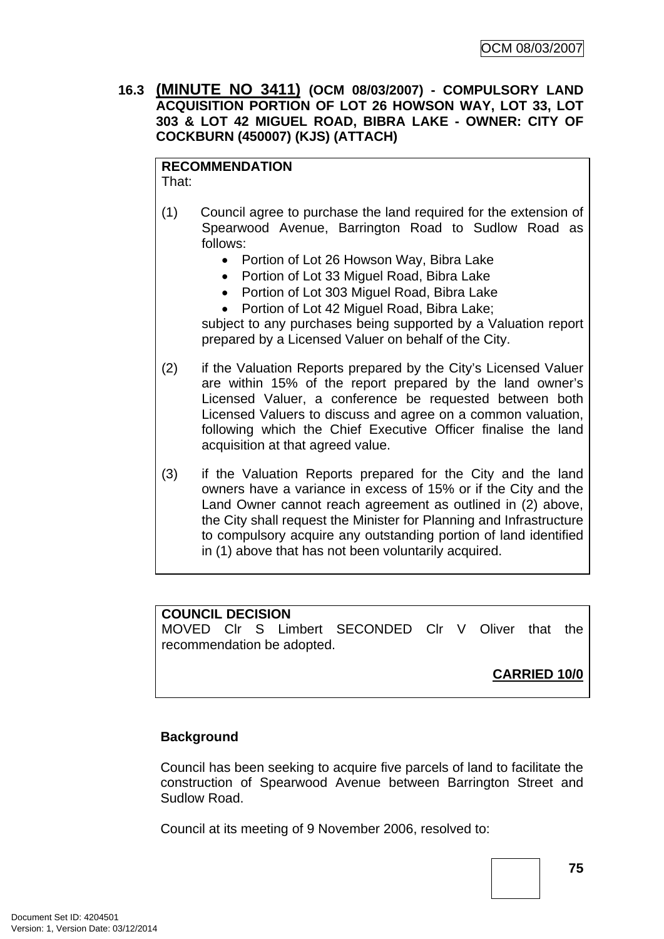**16.3 (MINUTE NO 3411) (OCM 08/03/2007) - COMPULSORY LAND ACQUISITION PORTION OF LOT 26 HOWSON WAY, LOT 33, LOT 303 & LOT 42 MIGUEL ROAD, BIBRA LAKE - OWNER: CITY OF COCKBURN (450007) (KJS) (ATTACH)** 

# **RECOMMENDATION**

That:

- (1) Council agree to purchase the land required for the extension of Spearwood Avenue, Barrington Road to Sudlow Road as follows:
	- Portion of Lot 26 Howson Way, Bibra Lake
	- Portion of Lot 33 Miguel Road, Bibra Lake
	- Portion of Lot 303 Miguel Road, Bibra Lake
	- Portion of Lot 42 Miguel Road, Bibra Lake;

subject to any purchases being supported by a Valuation report prepared by a Licensed Valuer on behalf of the City.

- (2) if the Valuation Reports prepared by the City's Licensed Valuer are within 15% of the report prepared by the land owner's Licensed Valuer, a conference be requested between both Licensed Valuers to discuss and agree on a common valuation, following which the Chief Executive Officer finalise the land acquisition at that agreed value.
- (3) if the Valuation Reports prepared for the City and the land owners have a variance in excess of 15% or if the City and the Land Owner cannot reach agreement as outlined in (2) above, the City shall request the Minister for Planning and Infrastructure to compulsory acquire any outstanding portion of land identified in (1) above that has not been voluntarily acquired.

## **COUNCIL DECISION**

MOVED Clr S Limbert SECONDED Clr V Oliver that the recommendation be adopted.

**CARRIED 10/0**

## **Background**

Council has been seeking to acquire five parcels of land to facilitate the construction of Spearwood Avenue between Barrington Street and Sudlow Road.

Council at its meeting of 9 November 2006, resolved to: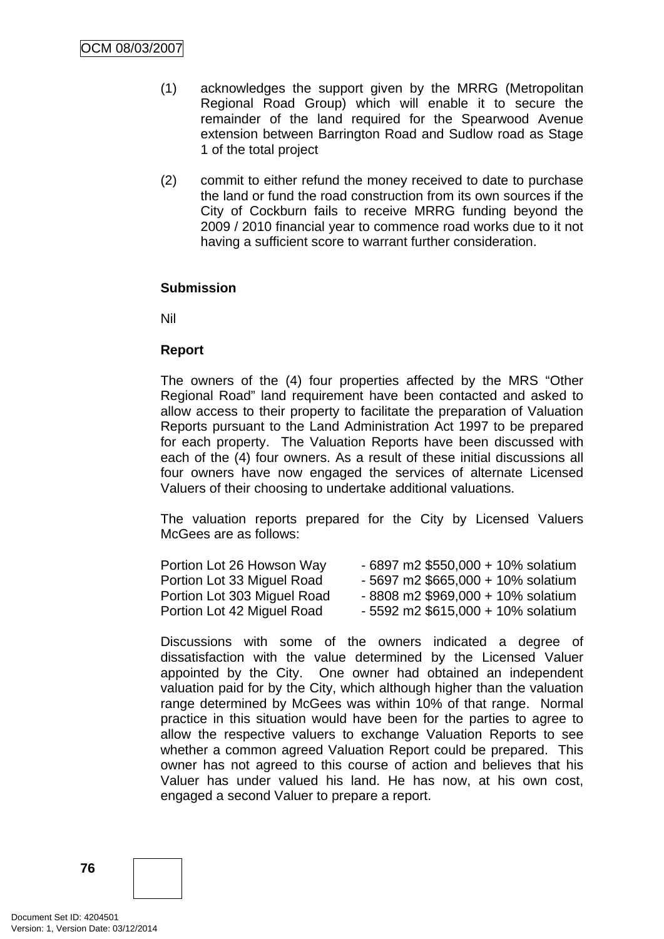- (1) acknowledges the support given by the MRRG (Metropolitan Regional Road Group) which will enable it to secure the remainder of the land required for the Spearwood Avenue extension between Barrington Road and Sudlow road as Stage 1 of the total project
- (2) commit to either refund the money received to date to purchase the land or fund the road construction from its own sources if the City of Cockburn fails to receive MRRG funding beyond the 2009 / 2010 financial year to commence road works due to it not having a sufficient score to warrant further consideration.

## **Submission**

Nil

#### **Report**

The owners of the (4) four properties affected by the MRS "Other Regional Road" land requirement have been contacted and asked to allow access to their property to facilitate the preparation of Valuation Reports pursuant to the Land Administration Act 1997 to be prepared for each property. The Valuation Reports have been discussed with each of the (4) four owners. As a result of these initial discussions all four owners have now engaged the services of alternate Licensed Valuers of their choosing to undertake additional valuations.

The valuation reports prepared for the City by Licensed Valuers McGees are as follows:

| Portion Lot 26 Howson Way   | $-6897$ m2 \$550,000 + 10% solatium |
|-----------------------------|-------------------------------------|
| Portion Lot 33 Miguel Road  | $-5697$ m2 \$665,000 + 10% solatium |
| Portion Lot 303 Miguel Road | $-8808$ m2 \$969,000 + 10% solatium |
| Portion Lot 42 Miguel Road  | $-5592$ m2 \$615,000 + 10% solatium |

Discussions with some of the owners indicated a degree of dissatisfaction with the value determined by the Licensed Valuer appointed by the City. One owner had obtained an independent valuation paid for by the City, which although higher than the valuation range determined by McGees was within 10% of that range. Normal practice in this situation would have been for the parties to agree to allow the respective valuers to exchange Valuation Reports to see whether a common agreed Valuation Report could be prepared. This owner has not agreed to this course of action and believes that his Valuer has under valued his land. He has now, at his own cost, engaged a second Valuer to prepare a report.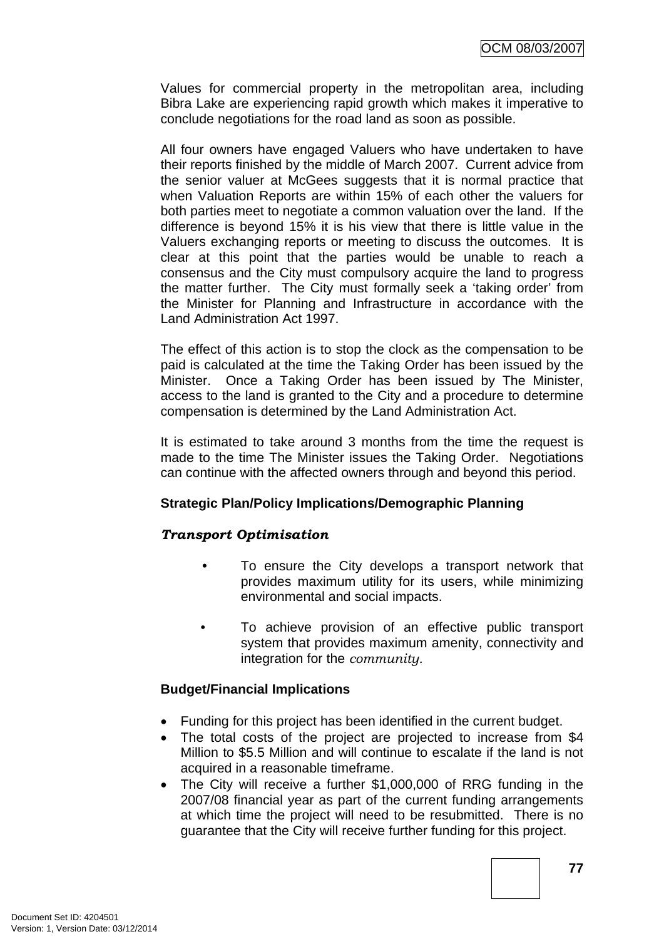Values for commercial property in the metropolitan area, including Bibra Lake are experiencing rapid growth which makes it imperative to conclude negotiations for the road land as soon as possible.

All four owners have engaged Valuers who have undertaken to have their reports finished by the middle of March 2007. Current advice from the senior valuer at McGees suggests that it is normal practice that when Valuation Reports are within 15% of each other the valuers for both parties meet to negotiate a common valuation over the land. If the difference is beyond 15% it is his view that there is little value in the Valuers exchanging reports or meeting to discuss the outcomes. It is clear at this point that the parties would be unable to reach a consensus and the City must compulsory acquire the land to progress the matter further. The City must formally seek a 'taking order' from the Minister for Planning and Infrastructure in accordance with the Land Administration Act 1997.

The effect of this action is to stop the clock as the compensation to be paid is calculated at the time the Taking Order has been issued by the Minister. Once a Taking Order has been issued by The Minister, access to the land is granted to the City and a procedure to determine compensation is determined by the Land Administration Act.

It is estimated to take around 3 months from the time the request is made to the time The Minister issues the Taking Order. Negotiations can continue with the affected owners through and beyond this period.

## **Strategic Plan/Policy Implications/Demographic Planning**

## *Transport Optimisation*

- To ensure the City develops a transport network that provides maximum utility for its users, while minimizing environmental and social impacts.
- To achieve provision of an effective public transport system that provides maximum amenity, connectivity and integration for the *community.*

## **Budget/Financial Implications**

- Funding for this project has been identified in the current budget.
- The total costs of the project are projected to increase from \$4 Million to \$5.5 Million and will continue to escalate if the land is not acquired in a reasonable timeframe.
- The City will receive a further \$1,000,000 of RRG funding in the 2007/08 financial year as part of the current funding arrangements at which time the project will need to be resubmitted. There is no guarantee that the City will receive further funding for this project.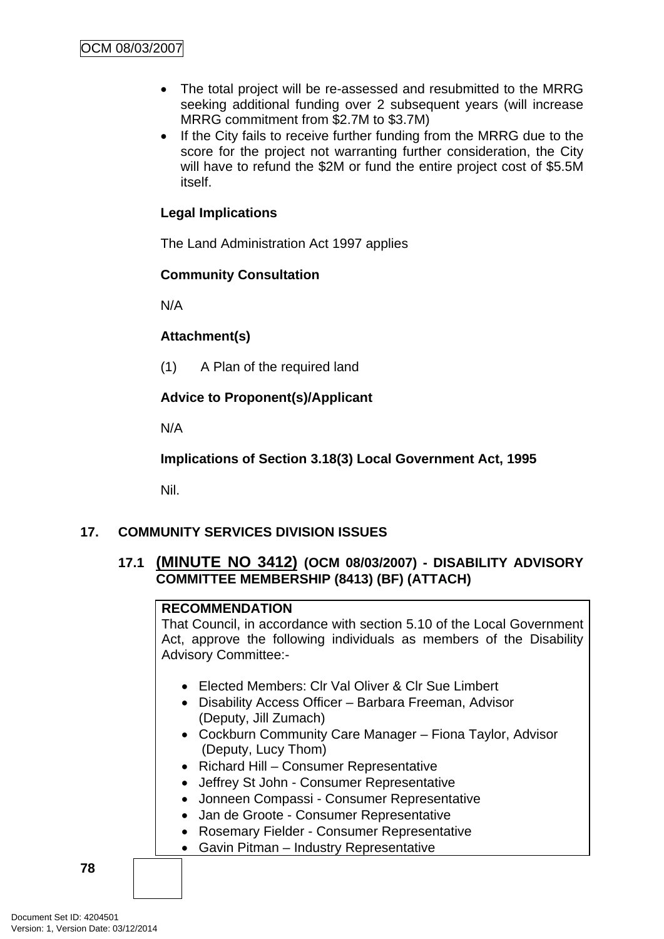- The total project will be re-assessed and resubmitted to the MRRG seeking additional funding over 2 subsequent years (will increase MRRG commitment from \$2.7M to \$3.7M)
- If the City fails to receive further funding from the MRRG due to the score for the project not warranting further consideration, the City will have to refund the \$2M or fund the entire project cost of \$5.5M itself.

## **Legal Implications**

The Land Administration Act 1997 applies

## **Community Consultation**

N/A

## **Attachment(s)**

(1) A Plan of the required land

## **Advice to Proponent(s)/Applicant**

N/A

**Implications of Section 3.18(3) Local Government Act, 1995**

Nil.

## **17. COMMUNITY SERVICES DIVISION ISSUES**

## **17.1 (MINUTE NO 3412) (OCM 08/03/2007) - DISABILITY ADVISORY COMMITTEE MEMBERSHIP (8413) (BF) (ATTACH)**

## **RECOMMENDATION**

That Council, in accordance with section 5.10 of the Local Government Act, approve the following individuals as members of the Disability Advisory Committee:-

- Elected Members: Clr Val Oliver & Clr Sue Limbert
- Disability Access Officer Barbara Freeman, Advisor (Deputy, Jill Zumach)
- Cockburn Community Care Manager Fiona Taylor, Advisor (Deputy, Lucy Thom)
- Richard Hill Consumer Representative
- Jeffrey St John Consumer Representative
- Jonneen Compassi Consumer Representative
- Jan de Groote Consumer Representative
- Rosemary Fielder Consumer Representative
- Gavin Pitman Industry Representative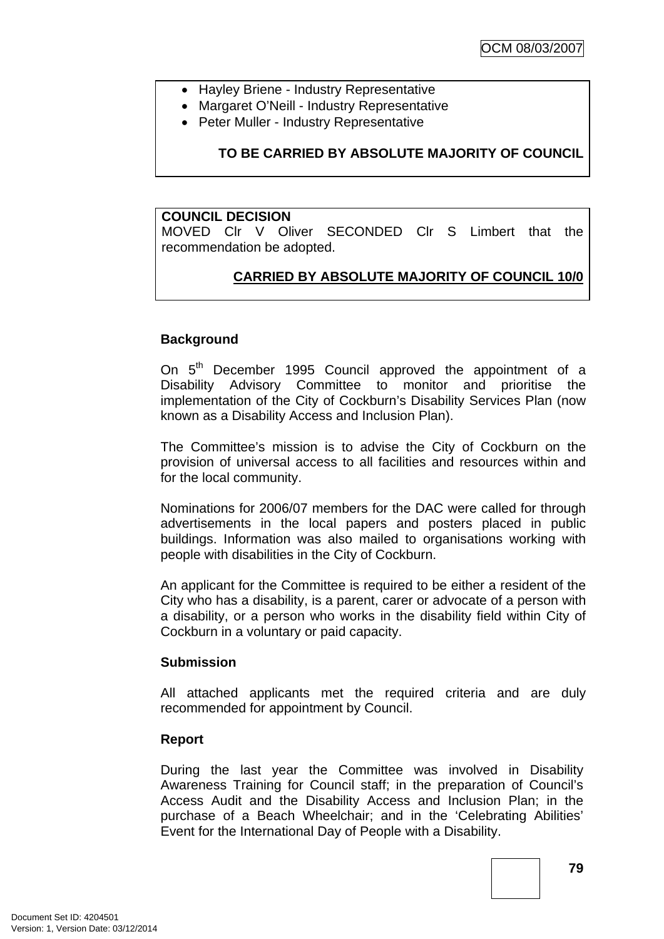- Hayley Briene Industry Representative
- Margaret O'Neill Industry Representative
- Peter Muller Industry Representative

## **TO BE CARRIED BY ABSOLUTE MAJORITY OF COUNCIL**

#### **COUNCIL DECISION**

MOVED Clr V Oliver SECONDED Clr S Limbert that the recommendation be adopted.

## **CARRIED BY ABSOLUTE MAJORITY OF COUNCIL 10/0**

## **Background**

On 5<sup>th</sup> December 1995 Council approved the appointment of a Disability Advisory Committee to monitor and prioritise the implementation of the City of Cockburn's Disability Services Plan (now known as a Disability Access and Inclusion Plan).

The Committee's mission is to advise the City of Cockburn on the provision of universal access to all facilities and resources within and for the local community.

Nominations for 2006/07 members for the DAC were called for through advertisements in the local papers and posters placed in public buildings. Information was also mailed to organisations working with people with disabilities in the City of Cockburn.

An applicant for the Committee is required to be either a resident of the City who has a disability, is a parent, carer or advocate of a person with a disability, or a person who works in the disability field within City of Cockburn in a voluntary or paid capacity.

## **Submission**

All attached applicants met the required criteria and are duly recommended for appointment by Council.

## **Report**

During the last year the Committee was involved in Disability Awareness Training for Council staff; in the preparation of Council's Access Audit and the Disability Access and Inclusion Plan; in the purchase of a Beach Wheelchair; and in the 'Celebrating Abilities' Event for the International Day of People with a Disability.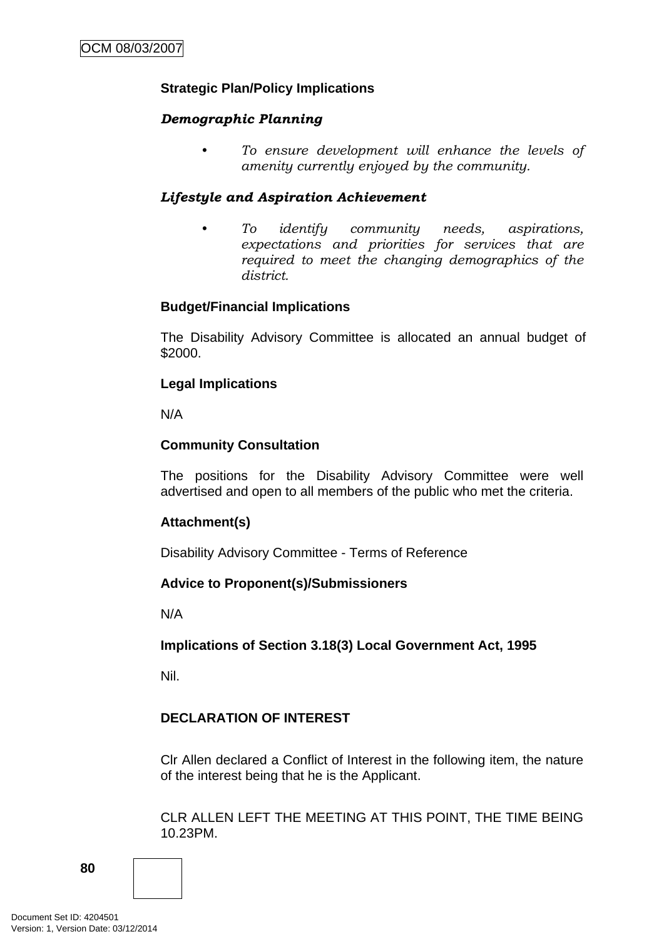## **Strategic Plan/Policy Implications**

## *Demographic Planning*

*• To ensure development will enhance the levels of amenity currently enjoyed by the community.*

## *Lifestyle and Aspiration Achievement*

*• To identify community needs, aspirations, expectations and priorities for services that are required to meet the changing demographics of the district.* 

## **Budget/Financial Implications**

The Disability Advisory Committee is allocated an annual budget of \$2000.

## **Legal Implications**

N/A

## **Community Consultation**

The positions for the Disability Advisory Committee were well advertised and open to all members of the public who met the criteria.

## **Attachment(s)**

Disability Advisory Committee - Terms of Reference

## **Advice to Proponent(s)/Submissioners**

N/A

## **Implications of Section 3.18(3) Local Government Act, 1995**

Nil.

## **DECLARATION OF INTEREST**

Clr Allen declared a Conflict of Interest in the following item, the nature of the interest being that he is the Applicant.

CLR ALLEN LEFT THE MEETING AT THIS POINT, THE TIME BEING 10.23PM.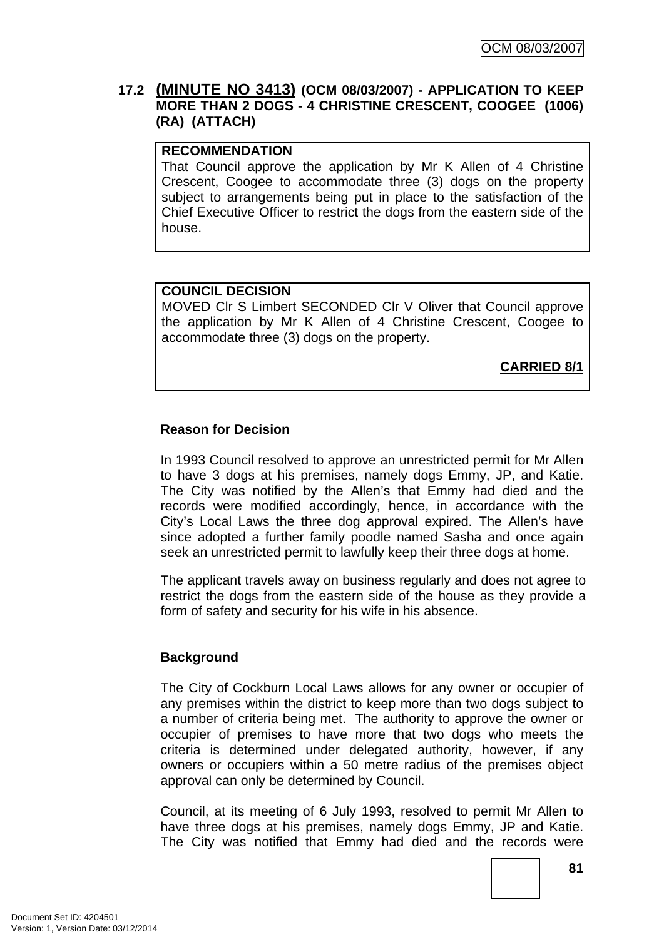## **17.2 (MINUTE NO 3413) (OCM 08/03/2007) - APPLICATION TO KEEP MORE THAN 2 DOGS - 4 CHRISTINE CRESCENT, COOGEE (1006) (RA) (ATTACH)**

## **RECOMMENDATION**

That Council approve the application by Mr K Allen of 4 Christine Crescent, Coogee to accommodate three (3) dogs on the property subject to arrangements being put in place to the satisfaction of the Chief Executive Officer to restrict the dogs from the eastern side of the house.

## **COUNCIL DECISION**

MOVED Clr S Limbert SECONDED Clr V Oliver that Council approve the application by Mr K Allen of 4 Christine Crescent, Coogee to accommodate three (3) dogs on the property.

**CARRIED 8/1**

## **Reason for Decision**

In 1993 Council resolved to approve an unrestricted permit for Mr Allen to have 3 dogs at his premises, namely dogs Emmy, JP, and Katie. The City was notified by the Allen's that Emmy had died and the records were modified accordingly, hence, in accordance with the City's Local Laws the three dog approval expired. The Allen's have since adopted a further family poodle named Sasha and once again seek an unrestricted permit to lawfully keep their three dogs at home.

The applicant travels away on business regularly and does not agree to restrict the dogs from the eastern side of the house as they provide a form of safety and security for his wife in his absence.

## **Background**

The City of Cockburn Local Laws allows for any owner or occupier of any premises within the district to keep more than two dogs subject to a number of criteria being met. The authority to approve the owner or occupier of premises to have more that two dogs who meets the criteria is determined under delegated authority, however, if any owners or occupiers within a 50 metre radius of the premises object approval can only be determined by Council.

Council, at its meeting of 6 July 1993, resolved to permit Mr Allen to have three dogs at his premises, namely dogs Emmy, JP and Katie. The City was notified that Emmy had died and the records were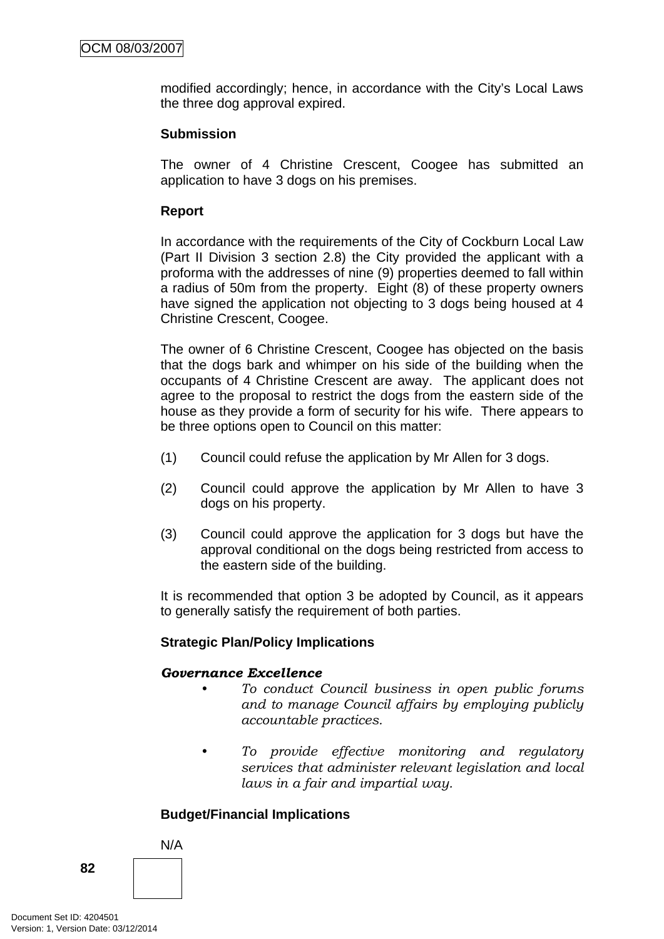modified accordingly; hence, in accordance with the City's Local Laws the three dog approval expired.

## **Submission**

The owner of 4 Christine Crescent, Coogee has submitted an application to have 3 dogs on his premises.

## **Report**

In accordance with the requirements of the City of Cockburn Local Law (Part II Division 3 section 2.8) the City provided the applicant with a proforma with the addresses of nine (9) properties deemed to fall within a radius of 50m from the property. Eight (8) of these property owners have signed the application not objecting to 3 dogs being housed at 4 Christine Crescent, Coogee.

The owner of 6 Christine Crescent, Coogee has objected on the basis that the dogs bark and whimper on his side of the building when the occupants of 4 Christine Crescent are away. The applicant does not agree to the proposal to restrict the dogs from the eastern side of the house as they provide a form of security for his wife. There appears to be three options open to Council on this matter:

- (1) Council could refuse the application by Mr Allen for 3 dogs.
- (2) Council could approve the application by Mr Allen to have 3 dogs on his property.
- (3) Council could approve the application for 3 dogs but have the approval conditional on the dogs being restricted from access to the eastern side of the building.

It is recommended that option 3 be adopted by Council, as it appears to generally satisfy the requirement of both parties.

## **Strategic Plan/Policy Implications**

## *Governance Excellence*

- *To conduct Council business in open public forums and to manage Council affairs by employing publicly accountable practices.*
- *To provide effective monitoring and regulatory services that administer relevant legislation and local laws in a fair and impartial way.*

## **Budget/Financial Implications**

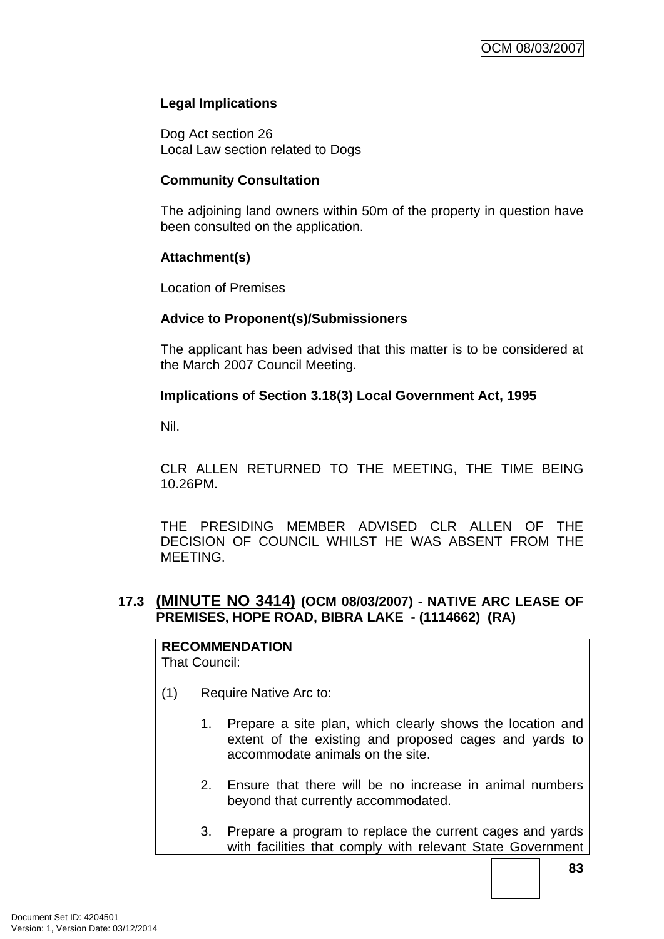## **Legal Implications**

Dog Act section 26 Local Law section related to Dogs

## **Community Consultation**

The adjoining land owners within 50m of the property in question have been consulted on the application.

## **Attachment(s)**

Location of Premises

## **Advice to Proponent(s)/Submissioners**

The applicant has been advised that this matter is to be considered at the March 2007 Council Meeting.

## **Implications of Section 3.18(3) Local Government Act, 1995**

Nil.

CLR ALLEN RETURNED TO THE MEETING, THE TIME BEING 10.26PM.

THE PRESIDING MEMBER ADVISED CLR ALLEN OF THE DECISION OF COUNCIL WHILST HE WAS ABSENT FROM THE MEETING.

## **17.3 (MINUTE NO 3414) (OCM 08/03/2007) - NATIVE ARC LEASE OF PREMISES, HOPE ROAD, BIBRA LAKE - (1114662) (RA)**

**RECOMMENDATION** That Council:

- (1) Require Native Arc to:
	- 1. Prepare a site plan, which clearly shows the location and extent of the existing and proposed cages and yards to accommodate animals on the site.
	- 2. Ensure that there will be no increase in animal numbers beyond that currently accommodated.
	- 3. Prepare a program to replace the current cages and yards with facilities that comply with relevant State Government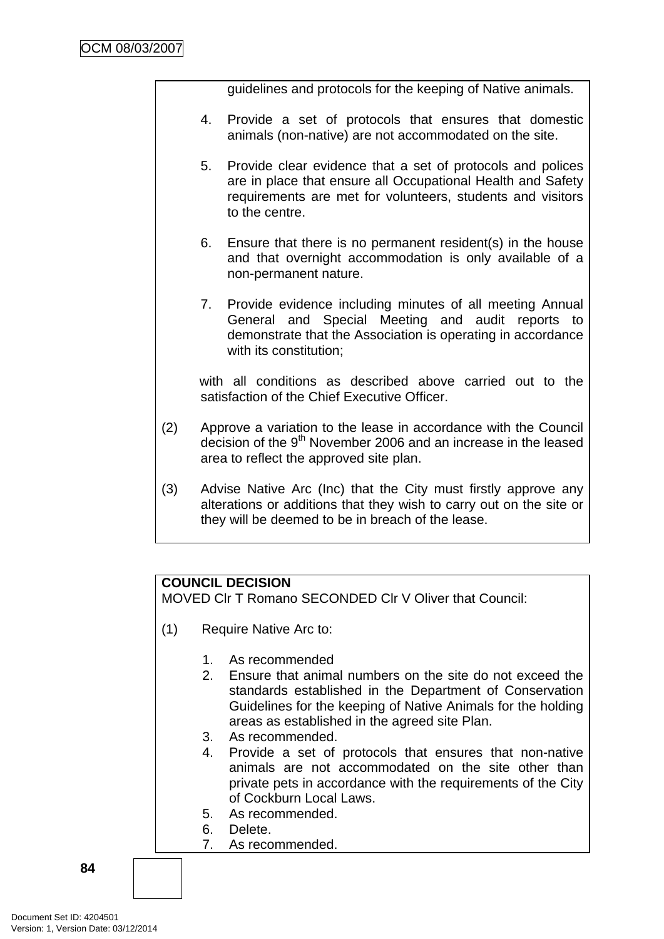guidelines and protocols for the keeping of Native animals.

- 4. Provide a set of protocols that ensures that domestic animals (non-native) are not accommodated on the site.
- 5. Provide clear evidence that a set of protocols and polices are in place that ensure all Occupational Health and Safety requirements are met for volunteers, students and visitors to the centre.
- 6. Ensure that there is no permanent resident(s) in the house and that overnight accommodation is only available of a non-permanent nature.
- 7. Provide evidence including minutes of all meeting Annual General and Special Meeting and audit reports to demonstrate that the Association is operating in accordance with its constitution;

with all conditions as described above carried out to the satisfaction of the Chief Executive Officer.

- (2) Approve a variation to the lease in accordance with the Council decision of the 9<sup>th</sup> November 2006 and an increase in the leased area to reflect the approved site plan.
- (3) Advise Native Arc (Inc) that the City must firstly approve any alterations or additions that they wish to carry out on the site or they will be deemed to be in breach of the lease.

## **COUNCIL DECISION**

MOVED Clr T Romano SECONDED Clr V Oliver that Council:

- (1) Require Native Arc to:
	- 1. As recommended
	- 2. Ensure that animal numbers on the site do not exceed the standards established in the Department of Conservation Guidelines for the keeping of Native Animals for the holding areas as established in the agreed site Plan.
	- 3. As recommended.
	- 4. Provide a set of protocols that ensures that non-native animals are not accommodated on the site other than private pets in accordance with the requirements of the City of Cockburn Local Laws.
	- 5. As recommended.
	- 6. Delete.
	- 7. As recommended.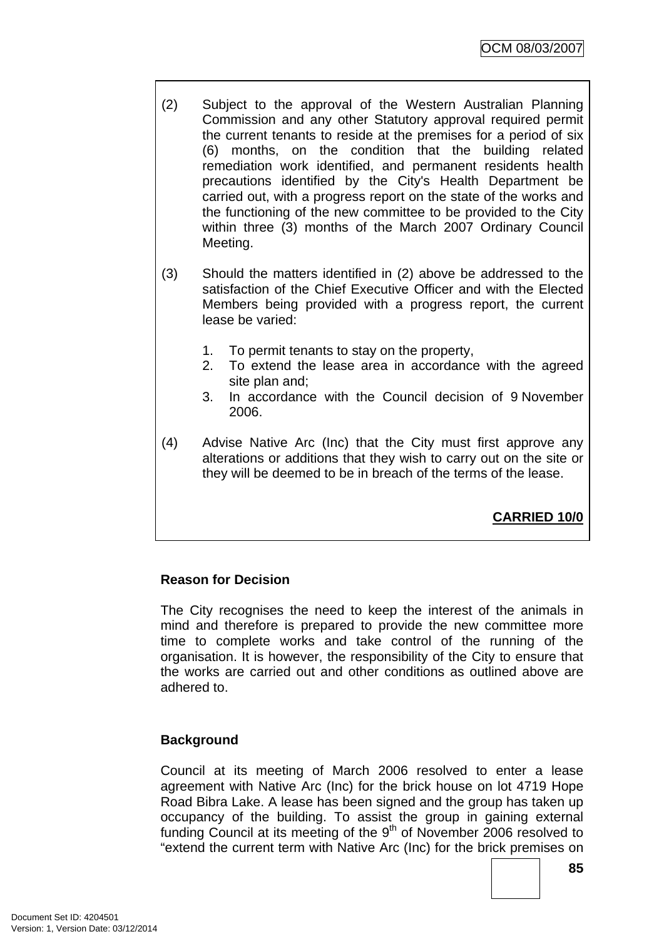- (2) Subject to the approval of the Western Australian Planning Commission and any other Statutory approval required permit the current tenants to reside at the premises for a period of six (6) months, on the condition that the building related remediation work identified, and permanent residents health precautions identified by the City's Health Department be carried out, with a progress report on the state of the works and the functioning of the new committee to be provided to the City within three (3) months of the March 2007 Ordinary Council Meeting.
- (3) Should the matters identified in (2) above be addressed to the satisfaction of the Chief Executive Officer and with the Elected Members being provided with a progress report, the current lease be varied:
	- 1. To permit tenants to stay on the property,
	- 2. To extend the lease area in accordance with the agreed site plan and;
	- 3. In accordance with the Council decision of 9 November 2006.
- (4) Advise Native Arc (Inc) that the City must first approve any alterations or additions that they wish to carry out on the site or they will be deemed to be in breach of the terms of the lease.

## **CARRIED 10/0**

## **Reason for Decision**

The City recognises the need to keep the interest of the animals in mind and therefore is prepared to provide the new committee more time to complete works and take control of the running of the organisation. It is however, the responsibility of the City to ensure that the works are carried out and other conditions as outlined above are adhered to.

## **Background**

Council at its meeting of March 2006 resolved to enter a lease agreement with Native Arc (Inc) for the brick house on lot 4719 Hope Road Bibra Lake. A lease has been signed and the group has taken up occupancy of the building. To assist the group in gaining external funding Council at its meeting of the 9<sup>th</sup> of November 2006 resolved to "extend the current term with Native Arc (Inc) for the brick premises on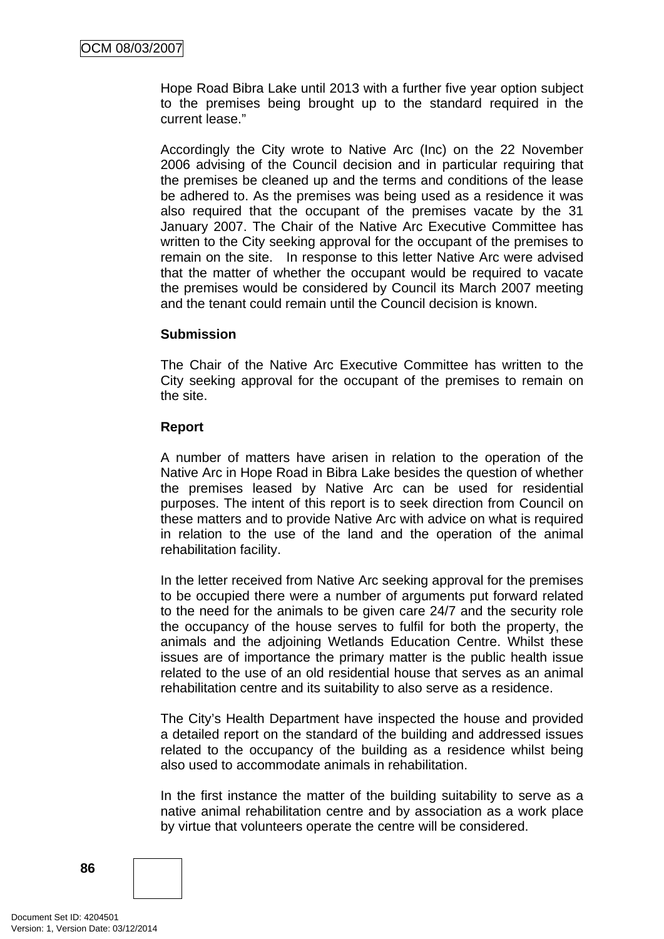Hope Road Bibra Lake until 2013 with a further five year option subject to the premises being brought up to the standard required in the current lease."

Accordingly the City wrote to Native Arc (Inc) on the 22 November 2006 advising of the Council decision and in particular requiring that the premises be cleaned up and the terms and conditions of the lease be adhered to. As the premises was being used as a residence it was also required that the occupant of the premises vacate by the 31 January 2007. The Chair of the Native Arc Executive Committee has written to the City seeking approval for the occupant of the premises to remain on the site. In response to this letter Native Arc were advised that the matter of whether the occupant would be required to vacate the premises would be considered by Council its March 2007 meeting and the tenant could remain until the Council decision is known.

#### **Submission**

The Chair of the Native Arc Executive Committee has written to the City seeking approval for the occupant of the premises to remain on the site.

#### **Report**

A number of matters have arisen in relation to the operation of the Native Arc in Hope Road in Bibra Lake besides the question of whether the premises leased by Native Arc can be used for residential purposes. The intent of this report is to seek direction from Council on these matters and to provide Native Arc with advice on what is required in relation to the use of the land and the operation of the animal rehabilitation facility.

In the letter received from Native Arc seeking approval for the premises to be occupied there were a number of arguments put forward related to the need for the animals to be given care 24/7 and the security role the occupancy of the house serves to fulfil for both the property, the animals and the adjoining Wetlands Education Centre. Whilst these issues are of importance the primary matter is the public health issue related to the use of an old residential house that serves as an animal rehabilitation centre and its suitability to also serve as a residence.

The City's Health Department have inspected the house and provided a detailed report on the standard of the building and addressed issues related to the occupancy of the building as a residence whilst being also used to accommodate animals in rehabilitation.

In the first instance the matter of the building suitability to serve as a native animal rehabilitation centre and by association as a work place by virtue that volunteers operate the centre will be considered.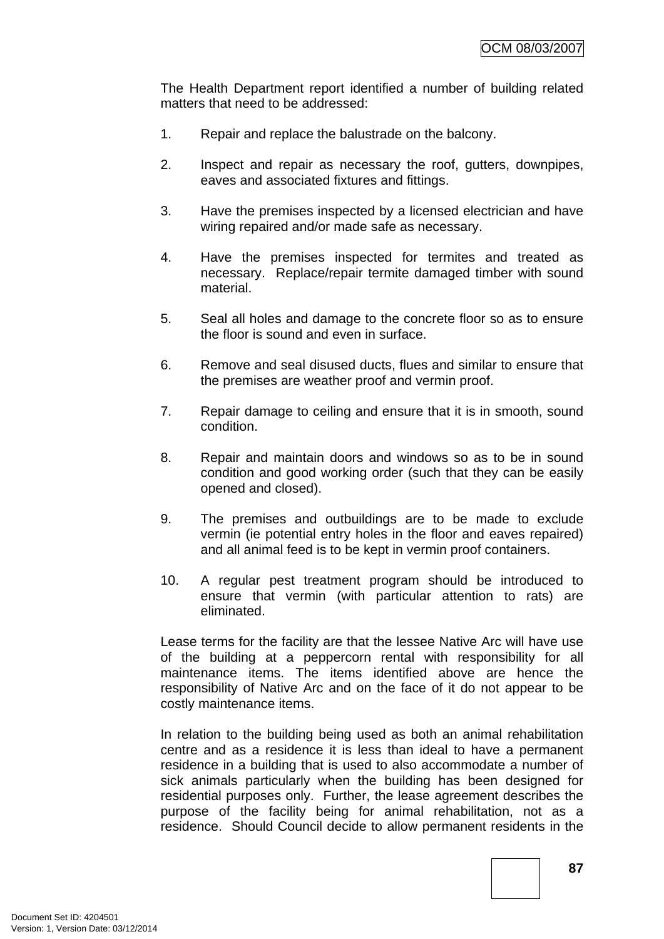The Health Department report identified a number of building related matters that need to be addressed:

- 1. Repair and replace the balustrade on the balcony.
- 2. Inspect and repair as necessary the roof, gutters, downpipes, eaves and associated fixtures and fittings.
- 3. Have the premises inspected by a licensed electrician and have wiring repaired and/or made safe as necessary.
- 4. Have the premises inspected for termites and treated as necessary. Replace/repair termite damaged timber with sound material.
- 5. Seal all holes and damage to the concrete floor so as to ensure the floor is sound and even in surface.
- 6. Remove and seal disused ducts, flues and similar to ensure that the premises are weather proof and vermin proof.
- 7. Repair damage to ceiling and ensure that it is in smooth, sound condition.
- 8. Repair and maintain doors and windows so as to be in sound condition and good working order (such that they can be easily opened and closed).
- 9. The premises and outbuildings are to be made to exclude vermin (ie potential entry holes in the floor and eaves repaired) and all animal feed is to be kept in vermin proof containers.
- 10. A regular pest treatment program should be introduced to ensure that vermin (with particular attention to rats) are eliminated.

Lease terms for the facility are that the lessee Native Arc will have use of the building at a peppercorn rental with responsibility for all maintenance items. The items identified above are hence the responsibility of Native Arc and on the face of it do not appear to be costly maintenance items.

In relation to the building being used as both an animal rehabilitation centre and as a residence it is less than ideal to have a permanent residence in a building that is used to also accommodate a number of sick animals particularly when the building has been designed for residential purposes only. Further, the lease agreement describes the purpose of the facility being for animal rehabilitation, not as a residence. Should Council decide to allow permanent residents in the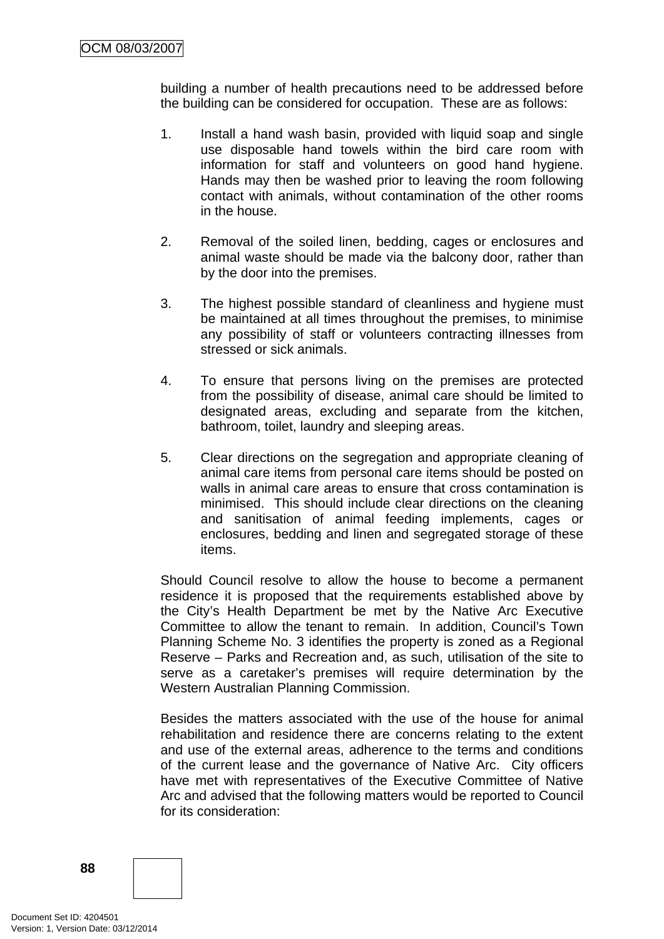building a number of health precautions need to be addressed before the building can be considered for occupation. These are as follows:

- 1. Install a hand wash basin, provided with liquid soap and single use disposable hand towels within the bird care room with information for staff and volunteers on good hand hygiene. Hands may then be washed prior to leaving the room following contact with animals, without contamination of the other rooms in the house.
- 2. Removal of the soiled linen, bedding, cages or enclosures and animal waste should be made via the balcony door, rather than by the door into the premises.
- 3. The highest possible standard of cleanliness and hygiene must be maintained at all times throughout the premises, to minimise any possibility of staff or volunteers contracting illnesses from stressed or sick animals.
- 4. To ensure that persons living on the premises are protected from the possibility of disease, animal care should be limited to designated areas, excluding and separate from the kitchen, bathroom, toilet, laundry and sleeping areas.
- 5. Clear directions on the segregation and appropriate cleaning of animal care items from personal care items should be posted on walls in animal care areas to ensure that cross contamination is minimised. This should include clear directions on the cleaning and sanitisation of animal feeding implements, cages or enclosures, bedding and linen and segregated storage of these items.

Should Council resolve to allow the house to become a permanent residence it is proposed that the requirements established above by the City's Health Department be met by the Native Arc Executive Committee to allow the tenant to remain. In addition, Council's Town Planning Scheme No. 3 identifies the property is zoned as a Regional Reserve – Parks and Recreation and, as such, utilisation of the site to serve as a caretaker's premises will require determination by the Western Australian Planning Commission.

Besides the matters associated with the use of the house for animal rehabilitation and residence there are concerns relating to the extent and use of the external areas, adherence to the terms and conditions of the current lease and the governance of Native Arc. City officers have met with representatives of the Executive Committee of Native Arc and advised that the following matters would be reported to Council for its consideration: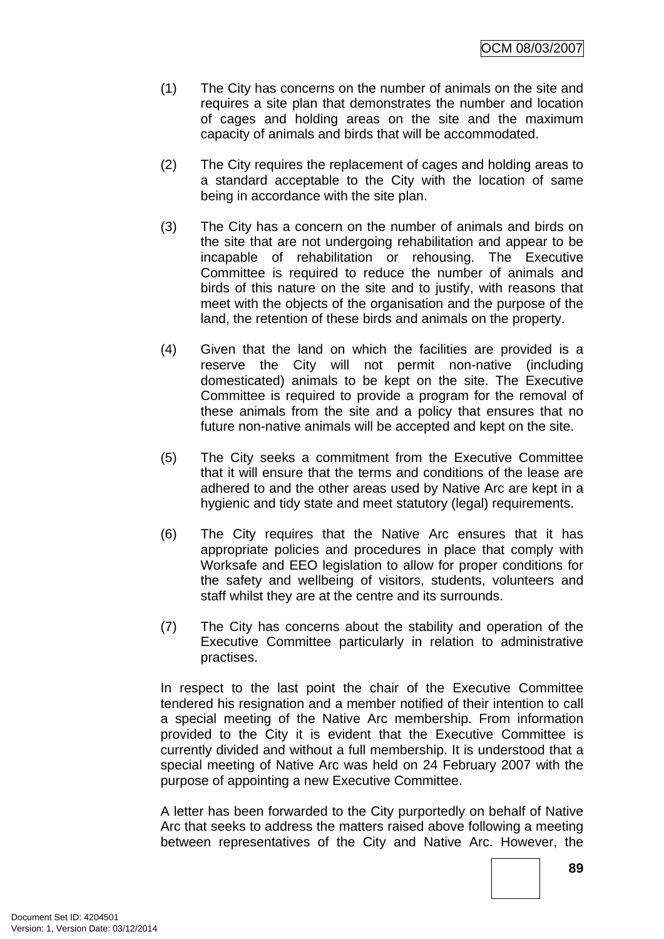- (1) The City has concerns on the number of animals on the site and requires a site plan that demonstrates the number and location of cages and holding areas on the site and the maximum capacity of animals and birds that will be accommodated.
- (2) The City requires the replacement of cages and holding areas to a standard acceptable to the City with the location of same being in accordance with the site plan.
- (3) The City has a concern on the number of animals and birds on the site that are not undergoing rehabilitation and appear to be incapable of rehabilitation or rehousing. The Executive Committee is required to reduce the number of animals and birds of this nature on the site and to justify, with reasons that meet with the objects of the organisation and the purpose of the land, the retention of these birds and animals on the property.
- (4) Given that the land on which the facilities are provided is a reserve the City will not permit non-native (including domesticated) animals to be kept on the site. The Executive Committee is required to provide a program for the removal of these animals from the site and a policy that ensures that no future non-native animals will be accepted and kept on the site.
- (5) The City seeks a commitment from the Executive Committee that it will ensure that the terms and conditions of the lease are adhered to and the other areas used by Native Arc are kept in a hygienic and tidy state and meet statutory (legal) requirements.
- (6) The City requires that the Native Arc ensures that it has appropriate policies and procedures in place that comply with Worksafe and EEO legislation to allow for proper conditions for the safety and wellbeing of visitors, students, volunteers and staff whilst they are at the centre and its surrounds.
- (7) The City has concerns about the stability and operation of the Executive Committee particularly in relation to administrative practises.

In respect to the last point the chair of the Executive Committee tendered his resignation and a member notified of their intention to call a special meeting of the Native Arc membership. From information provided to the City it is evident that the Executive Committee is currently divided and without a full membership. It is understood that a special meeting of Native Arc was held on 24 February 2007 with the purpose of appointing a new Executive Committee.

A letter has been forwarded to the City purportedly on behalf of Native Arc that seeks to address the matters raised above following a meeting between representatives of the City and Native Arc. However, the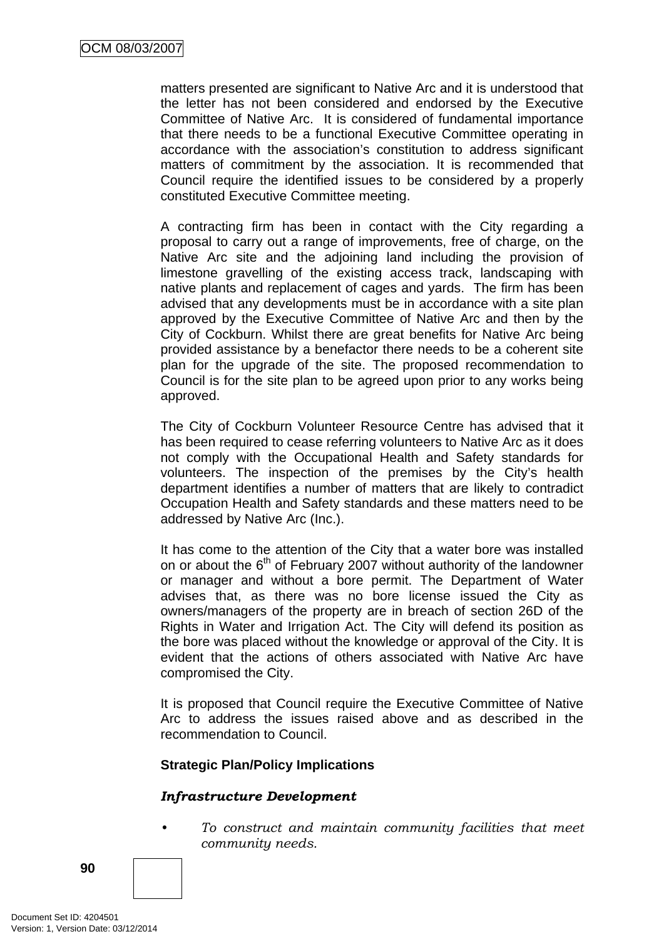matters presented are significant to Native Arc and it is understood that the letter has not been considered and endorsed by the Executive Committee of Native Arc. It is considered of fundamental importance that there needs to be a functional Executive Committee operating in accordance with the association's constitution to address significant matters of commitment by the association. It is recommended that Council require the identified issues to be considered by a properly constituted Executive Committee meeting.

A contracting firm has been in contact with the City regarding a proposal to carry out a range of improvements, free of charge, on the Native Arc site and the adjoining land including the provision of limestone gravelling of the existing access track, landscaping with native plants and replacement of cages and yards. The firm has been advised that any developments must be in accordance with a site plan approved by the Executive Committee of Native Arc and then by the City of Cockburn. Whilst there are great benefits for Native Arc being provided assistance by a benefactor there needs to be a coherent site plan for the upgrade of the site. The proposed recommendation to Council is for the site plan to be agreed upon prior to any works being approved.

The City of Cockburn Volunteer Resource Centre has advised that it has been required to cease referring volunteers to Native Arc as it does not comply with the Occupational Health and Safety standards for volunteers. The inspection of the premises by the City's health department identifies a number of matters that are likely to contradict Occupation Health and Safety standards and these matters need to be addressed by Native Arc (Inc.).

It has come to the attention of the City that a water bore was installed on or about the  $6<sup>th</sup>$  of February 2007 without authority of the landowner or manager and without a bore permit. The Department of Water advises that, as there was no bore license issued the City as owners/managers of the property are in breach of section 26D of the Rights in Water and Irrigation Act. The City will defend its position as the bore was placed without the knowledge or approval of the City. It is evident that the actions of others associated with Native Arc have compromised the City.

It is proposed that Council require the Executive Committee of Native Arc to address the issues raised above and as described in the recommendation to Council.

## **Strategic Plan/Policy Implications**

## *Infrastructure Development*

*• To construct and maintain community facilities that meet community needs.* 

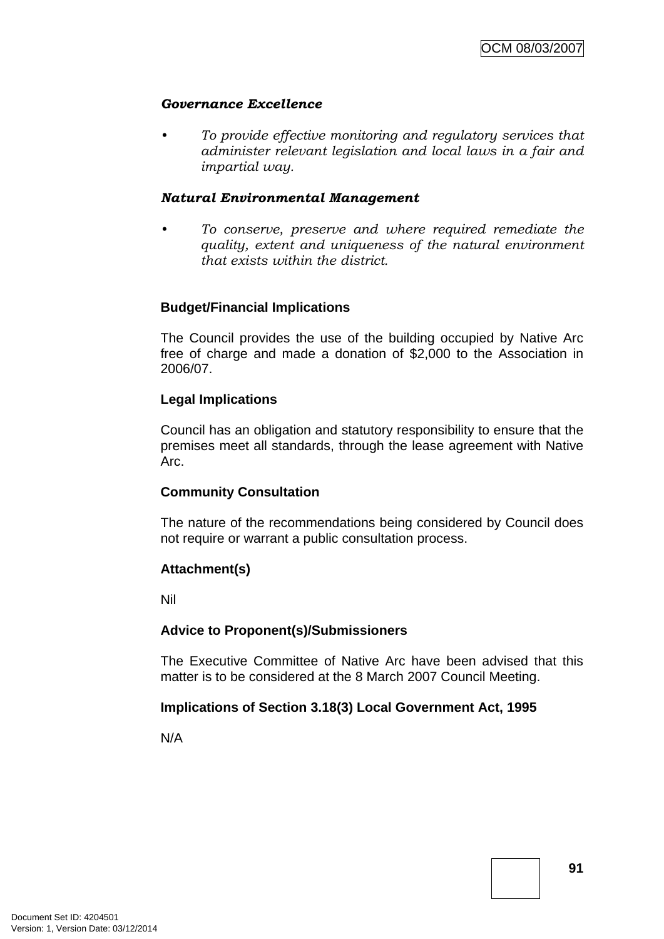## *Governance Excellence*

*• To provide effective monitoring and regulatory services that administer relevant legislation and local laws in a fair and impartial way.* 

#### *Natural Environmental Management*

*• To conserve, preserve and where required remediate the quality, extent and uniqueness of the natural environment that exists within the district.* 

## **Budget/Financial Implications**

The Council provides the use of the building occupied by Native Arc free of charge and made a donation of \$2,000 to the Association in 2006/07.

## **Legal Implications**

Council has an obligation and statutory responsibility to ensure that the premises meet all standards, through the lease agreement with Native Arc.

## **Community Consultation**

The nature of the recommendations being considered by Council does not require or warrant a public consultation process.

## **Attachment(s)**

Nil

## **Advice to Proponent(s)/Submissioners**

The Executive Committee of Native Arc have been advised that this matter is to be considered at the 8 March 2007 Council Meeting.

## **Implications of Section 3.18(3) Local Government Act, 1995**

N/A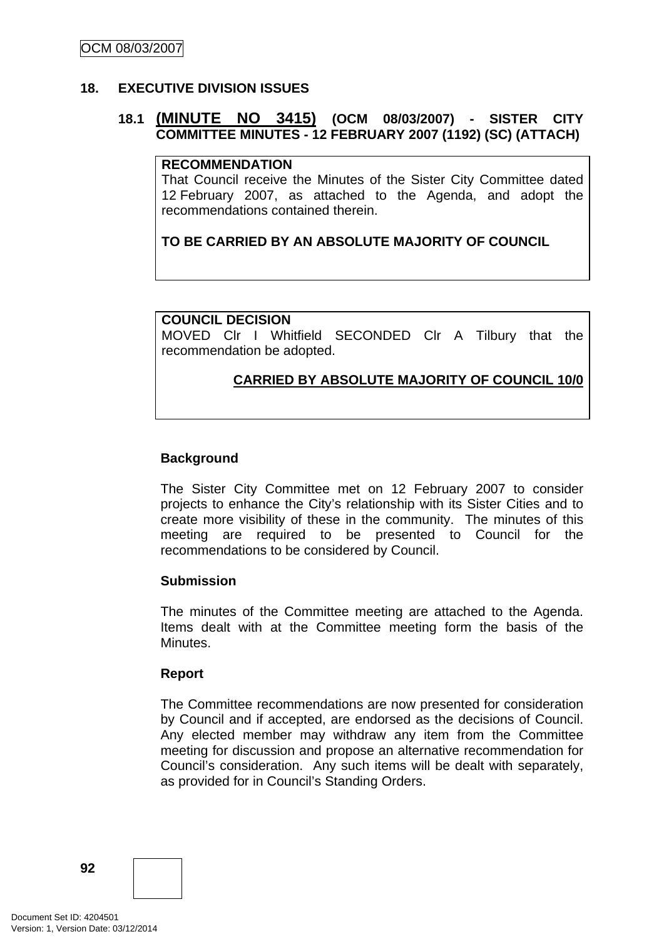## **18. EXECUTIVE DIVISION ISSUES**

## **18.1 (MINUTE NO 3415) (OCM 08/03/2007) - SISTER CITY COMMITTEE MINUTES - 12 FEBRUARY 2007 (1192) (SC) (ATTACH)**

#### **RECOMMENDATION**

That Council receive the Minutes of the Sister City Committee dated 12 February 2007, as attached to the Agenda, and adopt the recommendations contained therein.

## **TO BE CARRIED BY AN ABSOLUTE MAJORITY OF COUNCIL**

## **COUNCIL DECISION**

MOVED Clr I Whitfield SECONDED Clr A Tilbury that the recommendation be adopted.

## **CARRIED BY ABSOLUTE MAJORITY OF COUNCIL 10/0**

## **Background**

The Sister City Committee met on 12 February 2007 to consider projects to enhance the City's relationship with its Sister Cities and to create more visibility of these in the community. The minutes of this meeting are required to be presented to Council for the recommendations to be considered by Council.

## **Submission**

The minutes of the Committee meeting are attached to the Agenda. Items dealt with at the Committee meeting form the basis of the Minutes.

## **Report**

The Committee recommendations are now presented for consideration by Council and if accepted, are endorsed as the decisions of Council. Any elected member may withdraw any item from the Committee meeting for discussion and propose an alternative recommendation for Council's consideration. Any such items will be dealt with separately, as provided for in Council's Standing Orders.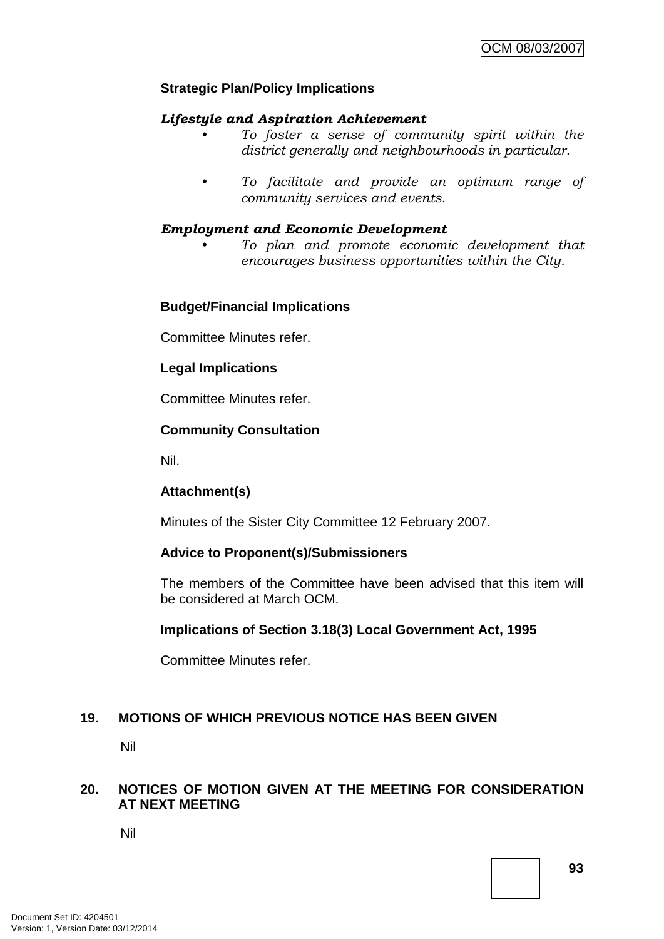## **Strategic Plan/Policy Implications**

## *Lifestyle and Aspiration Achievement*

- *To foster a sense of community spirit within the district generally and neighbourhoods in particular.*
- *To facilitate and provide an optimum range of community services and events.*

#### *Employment and Economic Development*

*• To plan and promote economic development that encourages business opportunities within the City.* 

## **Budget/Financial Implications**

Committee Minutes refer.

## **Legal Implications**

Committee Minutes refer.

#### **Community Consultation**

Nil.

## **Attachment(s)**

Minutes of the Sister City Committee 12 February 2007.

#### **Advice to Proponent(s)/Submissioners**

The members of the Committee have been advised that this item will be considered at March OCM.

#### **Implications of Section 3.18(3) Local Government Act, 1995**

Committee Minutes refer.

## **19. MOTIONS OF WHICH PREVIOUS NOTICE HAS BEEN GIVEN**

Nil

## **20. NOTICES OF MOTION GIVEN AT THE MEETING FOR CONSIDERATION AT NEXT MEETING**

Nil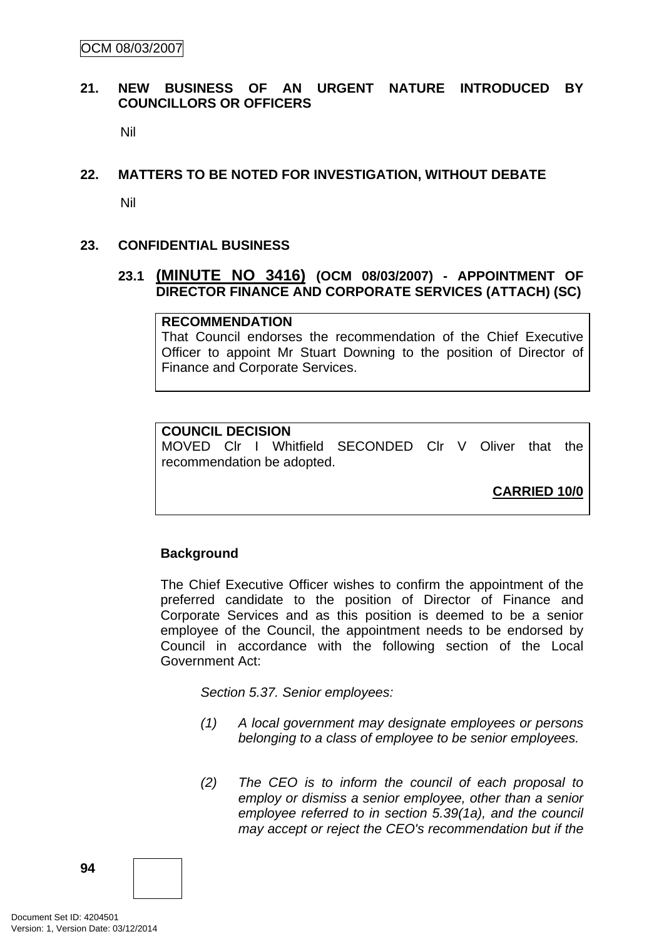OCM 08/03/2007

## **21. NEW BUSINESS OF AN URGENT NATURE INTRODUCED BY COUNCILLORS OR OFFICERS**

Nil

## **22. MATTERS TO BE NOTED FOR INVESTIGATION, WITHOUT DEBATE**

Nil

## **23. CONFIDENTIAL BUSINESS**

## **23.1 (MINUTE NO 3416) (OCM 08/03/2007) - APPOINTMENT OF DIRECTOR FINANCE AND CORPORATE SERVICES (ATTACH) (SC)**

#### **RECOMMENDATION**

That Council endorses the recommendation of the Chief Executive Officer to appoint Mr Stuart Downing to the position of Director of Finance and Corporate Services.

## **COUNCIL DECISION**

MOVED Clr I Whitfield SECONDED Clr V Oliver that the recommendation be adopted.

**CARRIED 10/0**

## **Background**

The Chief Executive Officer wishes to confirm the appointment of the preferred candidate to the position of Director of Finance and Corporate Services and as this position is deemed to be a senior employee of the Council, the appointment needs to be endorsed by Council in accordance with the following section of the Local Government Act:

*Section 5.37. Senior employees:* 

- *(1) A local government may designate employees or persons belonging to a class of employee to be senior employees.*
- *(2) The CEO is to inform the council of each proposal to employ or dismiss a senior employee, other than a senior employee referred to in section 5.39(1a), and the council may accept or reject the CEO's recommendation but if the*

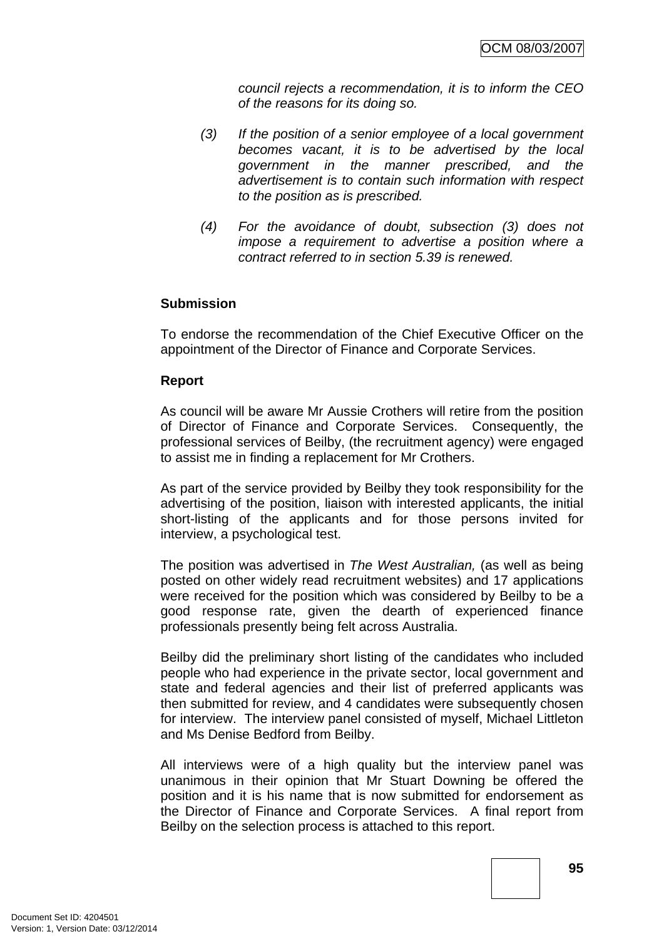*council rejects a recommendation, it is to inform the CEO of the reasons for its doing so.* 

- *(3) If the position of a senior employee of a local government becomes vacant, it is to be advertised by the local government in the manner prescribed, and the advertisement is to contain such information with respect to the position as is prescribed.*
- *(4) For the avoidance of doubt, subsection (3) does not impose a requirement to advertise a position where a contract referred to in section 5.39 is renewed.*

## **Submission**

To endorse the recommendation of the Chief Executive Officer on the appointment of the Director of Finance and Corporate Services.

## **Report**

As council will be aware Mr Aussie Crothers will retire from the position of Director of Finance and Corporate Services. Consequently, the professional services of Beilby, (the recruitment agency) were engaged to assist me in finding a replacement for Mr Crothers.

As part of the service provided by Beilby they took responsibility for the advertising of the position, liaison with interested applicants, the initial short-listing of the applicants and for those persons invited for interview, a psychological test.

The position was advertised in *The West Australian,* (as well as being posted on other widely read recruitment websites) and 17 applications were received for the position which was considered by Beilby to be a good response rate, given the dearth of experienced finance professionals presently being felt across Australia.

Beilby did the preliminary short listing of the candidates who included people who had experience in the private sector, local government and state and federal agencies and their list of preferred applicants was then submitted for review, and 4 candidates were subsequently chosen for interview. The interview panel consisted of myself, Michael Littleton and Ms Denise Bedford from Beilby.

All interviews were of a high quality but the interview panel was unanimous in their opinion that Mr Stuart Downing be offered the position and it is his name that is now submitted for endorsement as the Director of Finance and Corporate Services. A final report from Beilby on the selection process is attached to this report.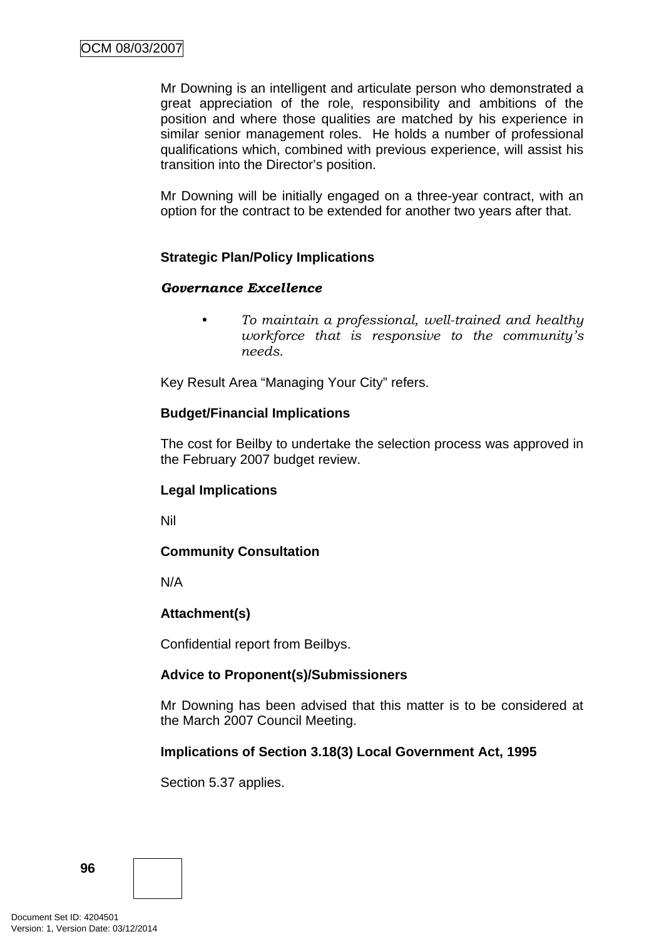Mr Downing is an intelligent and articulate person who demonstrated a great appreciation of the role, responsibility and ambitions of the position and where those qualities are matched by his experience in similar senior management roles. He holds a number of professional qualifications which, combined with previous experience, will assist his transition into the Director's position.

Mr Downing will be initially engaged on a three-year contract, with an option for the contract to be extended for another two years after that.

## **Strategic Plan/Policy Implications**

## *Governance Excellence*

*• To maintain a professional, well-trained and healthy workforce that is responsive to the community's needs.* 

Key Result Area "Managing Your City" refers.

## **Budget/Financial Implications**

The cost for Beilby to undertake the selection process was approved in the February 2007 budget review.

## **Legal Implications**

Nil

## **Community Consultation**

N/A

## **Attachment(s)**

Confidential report from Beilbys.

## **Advice to Proponent(s)/Submissioners**

Mr Downing has been advised that this matter is to be considered at the March 2007 Council Meeting.

## **Implications of Section 3.18(3) Local Government Act, 1995**

Section 5.37 applies.